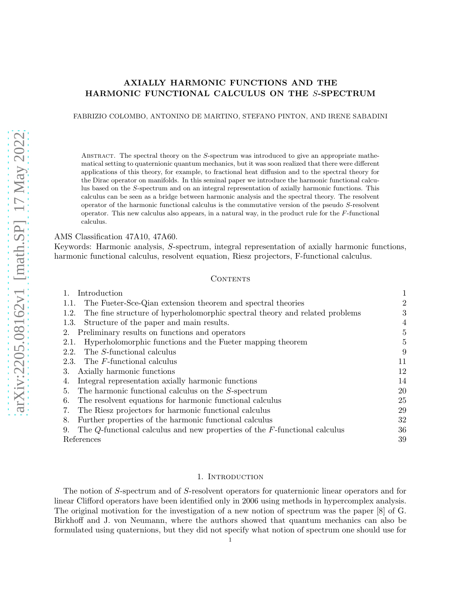# AXIALLY HARMONIC FUNCTIONS AND THE HARMONIC FUNCTIONAL CALCULUS ON THE S-SPECTRUM

## FABRIZIO COLOMBO, ANTONINO DE MARTINO, STEFANO PINTON, AND IRENE SABADINI

ABSTRACT. The spectral theory on the  $S$ -spectrum was introduced to give an appropriate mathematical setting to quaternionic quantum mechanics, but it was soon realized that there were different applications of this theory, for example, to fractional heat diffusion and to the spectral theory for the Dirac operator on manifolds. In this seminal paper we introduce the harmonic functional calculus based on the S-spectrum and on an integral representation of axially harmonic functions. This calculus can be seen as a bridge between harmonic analysis and the spectral theory. The resolvent operator of the harmonic functional calculus is the commutative version of the pseudo S-resolvent operator. This new calculus also appears, in a natural way, in the product rule for the F-functional calculus.

AMS Classification 47A10, 47A60.

Keywords: Harmonic analysis, S-spectrum, integral representation of axially harmonic functions, harmonic functional calculus, resolvent equation, Riesz projectors, F-functional calculus.

#### CONTENTS

| Introduction                                                                          | 1  |
|---------------------------------------------------------------------------------------|----|
| The Fueter-Sce-Qian extension theorem and spectral theories<br>1.1.                   | 2  |
| The fine structure of hyperholomorphic spectral theory and related problems<br>1.2.   | 3  |
| Structure of the paper and main results.<br>1.3.                                      | 4  |
| Preliminary results on functions and operators<br>2.                                  | 5  |
| Hyperholomorphic functions and the Fueter mapping theorem<br>2.1.                     | 5  |
| The S-functional calculus<br>2.2.                                                     | 9  |
| The <i>F</i> -functional calculus<br>2.3.                                             | 11 |
| Axially harmonic functions<br>3.                                                      | 12 |
| Integral representation axially harmonic functions<br>4.                              | 14 |
| The harmonic functional calculus on the S-spectrum<br>5.                              | 20 |
| The resolvent equations for harmonic functional calculus<br>6.                        | 25 |
| The Riesz projectors for harmonic functional calculus<br>7.                           | 29 |
| Further properties of the harmonic functional calculus<br>8.                          | 32 |
| The $Q$ -functional calculus and new properties of the $F$ -functional calculus<br>9. | 36 |
| References                                                                            | 39 |

#### 1. INTRODUCTION

<span id="page-0-0"></span>The notion of S-spectrum and of S-resolvent operators for quaternionic linear operators and for linear Clifford operators have been identified only in 2006 using methods in hypercomplex analysis. The original motivation for the investigation of a new notion of spectrum was the paper [\[8\]](#page-38-1) of G. Birkhoff and J. von Neumann, where the authors showed that quantum mechanics can also be formulated using quaternions, but they did not specify what notion of spectrum one should use for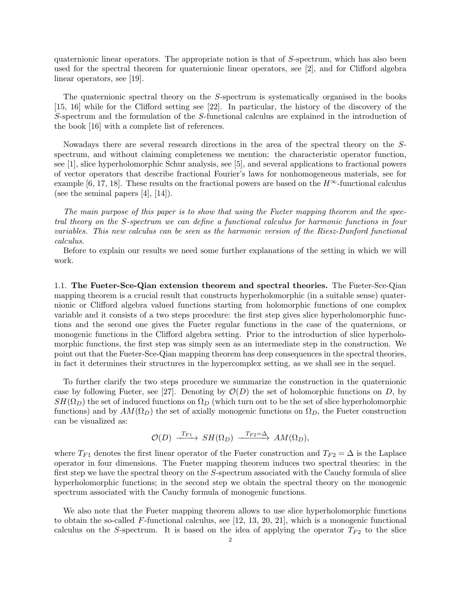quaternionic linear operators. The appropriate notion is that of S-spectrum, which has also been used for the spectral theorem for quaternionic linear operators, see [\[2\]](#page-38-2), and for Clifford algebra linear operators, see [\[19\]](#page-38-3).

The quaternionic spectral theory on the S-spectrum is systematically organised in the books [\[15,](#page-38-4) [16\]](#page-38-5) while for the Clifford setting see [\[22\]](#page-38-6). In particular, the history of the discovery of the S-spectrum and the formulation of the S-functional calculus are explained in the introduction of the book [\[16\]](#page-38-5) with a complete list of references.

Nowadays there are several research directions in the area of the spectral theory on the Sspectrum, and without claiming completeness we mention: the characteristic operator function, see [\[1\]](#page-38-7), slice hyperholomorphic Schur analysis, see [\[5\]](#page-38-8), and several applications to fractional powers of vector operators that describe fractional Fourier's laws for nonhomogeneous materials, see for example [\[6,](#page-38-9) [17,](#page-38-10) [18\]](#page-38-11). These results on the fractional powers are based on the  $H^{\infty}$ -functional calculus (see the seminal papers [\[4\]](#page-38-12), [\[14\]](#page-38-13)).

The main purpose of this paper is to show that using the Fueter mapping theorem and the spectral theory on the S-spectrum we can define a functional calculus for harmonic functions in four variables. This new calculus can be seen as the harmonic version of the Riesz-Dunford functional calculus.

Before to explain our results we need some further explanations of the setting in which we will work.

<span id="page-1-0"></span>1.1. The Fueter-Sce-Qian extension theorem and spectral theories. The Fueter-Sce-Qian mapping theorem is a crucial result that constructs hyperholomorphic (in a suitable sense) quaternionic or Clifford algebra valued functions starting from holomorphic functions of one complex variable and it consists of a two steps procedure: the first step gives slice hyperholomorphic functions and the second one gives the Fueter regular functions in the case of the quaternions, or monogenic functions in the Clifford algebra setting. Prior to the introduction of slice hyperholomorphic functions, the first step was simply seen as an intermediate step in the construction. We point out that the Fueter-Sce-Qian mapping theorem has deep consequences in the spectral theories, in fact it determines their structures in the hypercomplex setting, as we shall see in the sequel.

To further clarify the two steps procedure we summarize the construction in the quaternionic case by following Fueter, see [\[27\]](#page-39-0). Denoting by  $\mathcal{O}(D)$  the set of holomorphic functions on D, by  $SH(\Omega_D)$  the set of induced functions on  $\Omega_D$  (which turn out to be the set of slice hyperholomorphic functions) and by  $AM(\Omega_D)$  the set of axially monogenic functions on  $\Omega_D$ , the Fueter construction can be visualized as:

$$
\mathcal{O}(D) \xrightarrow{\ T_{F1}} SH(\Omega_D) \xrightarrow{\ T_{F2}=\Delta} AM(\Omega_D),
$$

where  $T_{F1}$  denotes the first linear operator of the Fueter construction and  $T_{F2} = \Delta$  is the Laplace operator in four dimensions. The Fueter mapping theorem induces two spectral theories: in the first step we have the spectral theory on the S-spectrum associated with the Cauchy formula of slice hyperholomorphic functions; in the second step we obtain the spectral theory on the monogenic spectrum associated with the Cauchy formula of monogenic functions.

We also note that the Fueter mapping theorem allows to use slice hyperholomorphic functions to obtain the so-called F-functional calculus, see [\[12,](#page-38-14) [13,](#page-38-15) [20,](#page-38-16) [21\]](#page-38-17), which is a monogenic functional calculus on the S-spectrum. It is based on the idea of applying the operator  $T_{F2}$  to the slice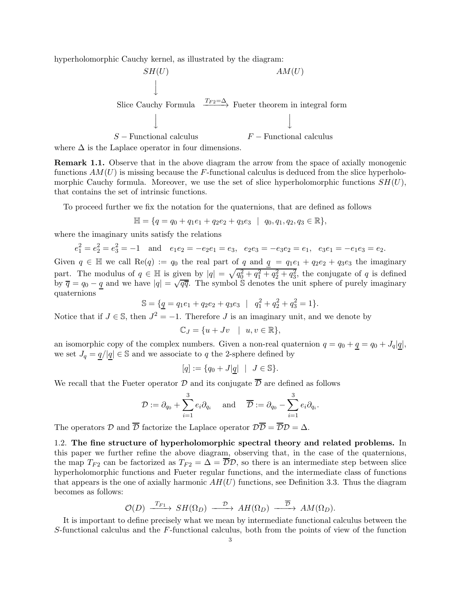hyperholomorphic Cauchy kernel, as illustrated by the diagram:

$$
SH(U)
$$
\n
$$
\downarrow
$$
\n
$$
AM(U)
$$
\n
$$
\downarrow
$$
\n
$$
S
$$
\n
$$
S - Functional calculus
$$
\n
$$
F - Functional calculus
$$

where  $\Delta$  is the Laplace operator in four dimensions.

Remark 1.1. Observe that in the above diagram the arrow from the space of axially monogenic functions  $AM(U)$  is missing because the F-functional calculus is deduced from the slice hyperholomorphic Cauchy formula. Moreover, we use the set of slice hyperholomorphic functions  $SH(U)$ , that contains the set of intrinsic functions.

To proceed further we fix the notation for the quaternions, that are defined as follows

$$
\mathbb{H} = \{q = q_0 + q_1e_1 + q_2e_2 + q_3e_3 \mid q_0, q_1, q_2, q_3 \in \mathbb{R}\},\
$$

where the imaginary units satisfy the relations

$$
e_1^2 = e_2^2 = e_3^2 = -1
$$
 and  $e_1e_2 = -e_2e_1 = e_3$ ,  $e_2e_3 = -e_3e_2 = e_1$ ,  $e_3e_1 = -e_1e_3 = e_2$ .

Given  $q \in \mathbb{H}$  we call  $\text{Re}(q) := q_0$  the real part of q and  $q = q_1e_1 + q_2e_2 + q_3e_3$  the imaginary part. The modulus of  $q \in \mathbb{H}$  is given by  $|q| = \sqrt{q_0^2 + q_1^2 + q_2^2 + q_3^2}$ , the conjugate of q is defined by  $\overline{q} = q_0 - \underline{q}$  and we have  $|q| = \sqrt{q\overline{q}}$ . The symbol S denotes the unit sphere of purely imaginary quaternions

$$
\mathbb{S} = \{ \underline{q} = q_1 e_1 + q_2 e_2 + q_3 e_3 \mid q_1^2 + q_2^2 + q_3^2 = 1 \}.
$$

Notice that if  $J \in \mathbb{S}$ , then  $J^2 = -1$ . Therefore  $J$  is an imaginary unit, and we denote by

$$
\mathbb{C}_J = \{ u + Jv \mid u, v \in \mathbb{R} \},\
$$

an isomorphic copy of the complex numbers. Given a non-real quaternion  $q = q_0 + q = q_0 + J_q|q|$ , we set  $J_q = q/|q| \in \mathbb{S}$  and we associate to q the 2-sphere defined by

$$
[q]:=\{q_0+J|\underline{q}|\ \mid\ J\in\mathbb{S}\}.
$$

We recall that the Fueter operator  $\mathcal D$  and its conjugate  $\overline{\mathcal D}$  are defined as follows

$$
\mathcal{D}:=\partial_{q_0}+\sum_{i=1}^3e_i\partial_{q_i}\quad \text{ and }\quad \overline{\mathcal{D}}:=\partial_{q_0}-\sum_{i=1}^3e_i\partial_{q_i}.
$$

The operators  $\mathcal D$  and  $\overline{\mathcal D}$  factorize the Laplace operator  $\mathcal D\overline{\mathcal D}=\overline{\mathcal D}\mathcal D=\Delta$ .

<span id="page-2-0"></span>1.2. The fine structure of hyperholomorphic spectral theory and related problems. In this paper we further refine the above diagram, observing that, in the case of the quaternions, the map  $T_{F2}$  can be factorized as  $T_{F2} = \Delta = \overline{\mathcal{D}}\mathcal{D}$ , so there is an intermediate step between slice hyperholomorphic functions and Fueter regular functions, and the intermediate class of functions that appears is the one of axially harmonic  $AH(U)$  functions, see Definition [3.3.](#page-12-0) Thus the diagram becomes as follows:

$$
\mathcal{O}(D) \xrightarrow{\ T_{F1}} SH(\Omega_D) \xrightarrow{\ \mathcal{D} \ } AH(\Omega_D) \xrightarrow{\ \overline{\mathcal{D}} \ } AM(\Omega_D).
$$

It is important to define precisely what we mean by intermediate functional calculus between the S-functional calculus and the  $F$ -functional calculus, both from the points of view of the function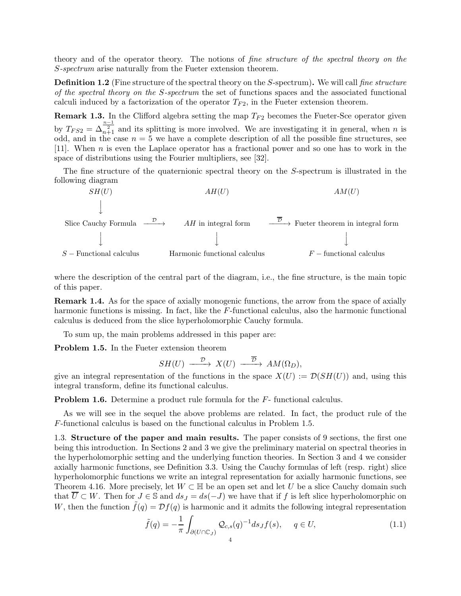<span id="page-3-2"></span>theory and of the operator theory. The notions of fine structure of the spectral theory on the S-spectrum arise naturally from the Fueter extension theorem.

**Definition 1.2** (Fine structure of the spectral theory on the S-spectrum). We will call fine structure of the spectral theory on the S-spectrum the set of functions spaces and the associated functional calculi induced by a factorization of the operator  $T_{F2}$ , in the Fueter extension theorem.

**Remark 1.3.** In the Clifford algebra setting the map  $T_{F2}$  becomes the Fueter-Sce operator given by  $T_{FS2} = \Delta_{n+1}^{\frac{n-1}{2}}$  and its splitting is more involved. We are investigating it in general, when n is odd, and in the case  $n = 5$  we have a complete description of all the possible fine structures, see [\[11\]](#page-38-18). When n is even the Laplace operator has a fractional power and so one has to work in the space of distributions using the Fourier multipliers, see [\[32\]](#page-39-1).

The fine structure of the quaternionic spectral theory on the S-spectrum is illustrated in the following diagram



where the description of the central part of the diagram, i.e., the fine structure, is the main topic of this paper.

Remark 1.4. As for the space of axially monogenic functions, the arrow from the space of axially harmonic functions is missing. In fact, like the F-functional calculus, also the harmonic functional calculus is deduced from the slice hyperholomorphic Cauchy formula.

<span id="page-3-1"></span>To sum up, the main problems addressed in this paper are:

Problem 1.5. In the Fueter extension theorem

$$
SH(U) \xrightarrow{\mathcal{D}} X(U) \xrightarrow{\overline{\mathcal{D}}} AM(\Omega_D),
$$

give an integral representation of the functions in the space  $X(U) := \mathcal{D}(SH(U))$  and, using this integral transform, define its functional calculus.

Problem 1.6. Determine a product rule formula for the  $F$ -functional calculus.

As we will see in the sequel the above problems are related. In fact, the product rule of the F-functional calculus is based on the functional calculus in Problem [1.5.](#page-3-1)

<span id="page-3-0"></span>1.3. Structure of the paper and main results. The paper consists of 9 sections, the first one being this introduction. In Sections 2 and 3 we give the preliminary material on spectral theories in the hyperholomorphic setting and the underlying function theories. In Section 3 and 4 we consider axially harmonic functions, see Definition [3.3.](#page-12-0) Using the Cauchy formulas of left (resp. right) slice hyperholomorphic functions we write an integral representation for axially harmonic functions, see Theorem [4.16.](#page-18-0) More precisely, let  $W \subset \mathbb{H}$  be an open set and let U be a slice Cauchy domain such that  $\overline{U} \subset W$ . Then for  $J \in \mathbb{S}$  and  $ds_J = ds(-J)$  we have that if f is left slice hyperholomorphic on W, then the function  $\tilde{f}(q) = \mathcal{D}f(q)$  is harmonic and it admits the following integral representation

$$
\tilde{f}(q) = -\frac{1}{\pi} \int_{\partial(U \cap \mathbb{C}_J)} \mathcal{Q}_{c,s}(q)^{-1} ds_J f(s), \quad q \in U,
$$
\n(1.1)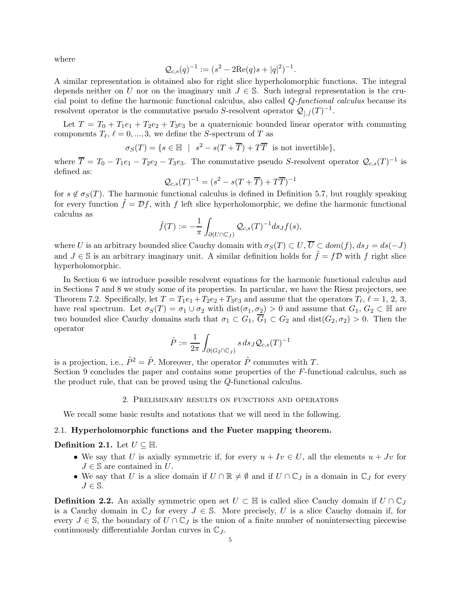where

$$
Q_{c,s}(q)^{-1} := (s^2 - 2\text{Re}(q)s + |q|^2)^{-1}.
$$

A similar representation is obtained also for right slice hyperholomorphic functions. The integral depends neither on U nor on the imaginary unit  $J \in \mathbb{S}$ . Such integral representation is the crucial point to define the harmonic functional calculus, also called Q-functional calculus because its resolvent operator is the commutative pseudo S-resolvent operator  $\mathcal{Q}_{j,f}(T)^{-1}$ .

Let  $T = T_0 + T_1e_1 + T_2e_2 + T_3e_3$  be a quaternionic bounded linear operator with commuting components  $T_{\ell}, \ell = 0, ..., 3$ , we define the S-spectrum of T as

$$
\sigma_S(T) = \{ s \in \mathbb{H} \mid s^2 - s(T + \overline{T}) + T\overline{T} \text{ is not invertible} \},
$$

where  $\overline{T} = T_0 - T_1 e_1 - T_2 e_2 - T_3 e_3$ . The commutative pseudo S-resolvent operator  $\mathcal{Q}_{c,s}(T)^{-1}$  is defined as:

$$
\mathcal{Q}_{c,s}(T)^{-1} = (s^2 - s(T + \overline{T}) + T\overline{T})^{-1}
$$

for  $s \notin \sigma_S(T)$ . The harmonic functional calculus is defined in Definition [5.7,](#page-20-0) but roughly speaking for every function  $\tilde{f} = \mathcal{D}f$ , with f left slice hyperholomorphic, we define the harmonic functional calculus as

$$
\tilde{f}(T) := -\frac{1}{\pi} \int_{\partial(U \cap \mathbb{C}_J)} \mathcal{Q}_{c,s}(T)^{-1} ds_J f(s),
$$

where U is an arbitrary bounded slice Cauchy domain with  $\sigma_S(T) \subset U$ ,  $\overline{U} \subset dom(f)$ ,  $ds_J = ds(-J)$ and  $J \in \mathbb{S}$  is an arbitrary imaginary unit. A similar definition holds for  $\tilde{f} = f\mathcal{D}$  with f right slice hyperholomorphic.

In Section 6 we introduce possible resolvent equations for the harmonic functional calculus and in Sections 7 and 8 we study some of its properties. In particular, we have the Riesz projectors, see Theorem [7.2.](#page-28-1) Specifically, let  $T = T_1e_1 + T_2e_2 + T_3e_3$  and assume that the operators  $T_{\ell}$ ,  $\ell = 1, 2, 3$ , have real spectrum. Let  $\sigma_S(T) = \sigma_1 \cup \sigma_2$  with  $dist(\sigma_1, \sigma_2) > 0$  and assume that  $G_1, G_2 \subset \mathbb{H}$  are two bounded slice Cauchy domains such that  $\sigma_1 \subset G_1$ ,  $\overline{G}_1 \subset G_2$  and  $dist(G_2, \sigma_2) > 0$ . Then the operator

$$
\tilde{P} := \frac{1}{2\pi} \int_{\partial(G_2 \cap \mathbb{C}_J)} s \, ds \, J \mathcal{Q}_{c,s}(T)^{-1}
$$

is a projection, i.e.,  $\tilde{P}^2 = \tilde{P}$ . Moreover, the operator  $\tilde{P}$  commutes with T.

<span id="page-4-0"></span>Section 9 concludes the paper and contains some properties of the F-functional calculus, such as the product rule, that can be proved using the Q-functional calculus.

## 2. Preliminary results on functions and operators

We recall some basic results and notations that we will need in the following.

## <span id="page-4-1"></span>2.1. Hyperholomorphic functions and the Fueter mapping theorem.

Definition 2.1. Let  $U \subseteq \mathbb{H}$ .

- We say that U is axially symmetric if, for every  $u + Iv \in U$ , all the elements  $u + Jv$  for  $J \in \mathbb{S}$  are contained in U.
- We say that U is a slice domain if  $U \cap \mathbb{R} \neq \emptyset$  and if  $U \cap \mathbb{C}_J$  is a domain in  $\mathbb{C}_J$  for every  $J \in \mathbb{S}$ .

**Definition 2.2.** An axially symmetric open set  $U \subset \mathbb{H}$  is called slice Cauchy domain if  $U \cap \mathbb{C}_J$ is a Cauchy domain in  $\mathbb{C}_J$  for every  $J \in \mathbb{S}$ . More precisely, U is a slice Cauchy domain if, for every  $J \in \mathbb{S}$ , the boundary of  $U \cap \mathbb{C}_J$  is the union of a finite number of nonintersecting piecewise continuously differentiable Jordan curves in  $\mathbb{C}_J$ .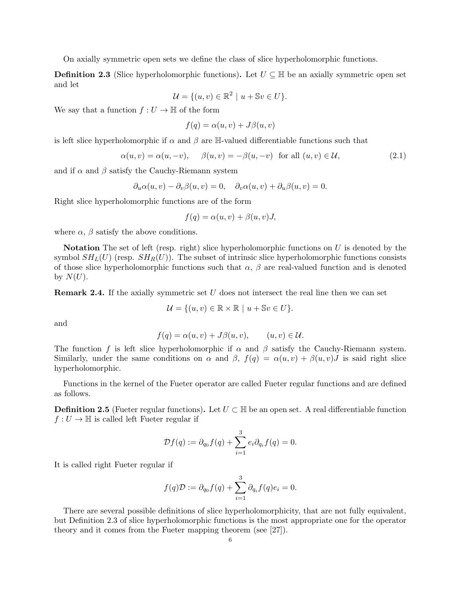<span id="page-5-0"></span>On axially symmetric open sets we define the class of slice hyperholomorphic functions.

**Definition 2.3** (Slice hyperholomorphic functions). Let  $U \subseteq \mathbb{H}$  be an axially symmetric open set and let

$$
\mathcal{U} = \{ (u, v) \in \mathbb{R}^2 \mid u + \mathbb{S}v \in U \}.
$$

We say that a function  $f: U \to \mathbb{H}$  of the form

$$
f(q) = \alpha(u, v) + J\beta(u, v)
$$

is left slice hyperholomorphic if  $\alpha$  and  $\beta$  are H-valued differentiable functions such that

$$
\alpha(u,v) = \alpha(u,-v), \quad \beta(u,v) = -\beta(u,-v) \text{ for all } (u,v) \in \mathcal{U}, \tag{2.1}
$$

and if  $\alpha$  and  $\beta$  satisfy the Cauchy-Riemann system

$$
\partial_u \alpha(u, v) - \partial_v \beta(u, v) = 0, \quad \partial_v \alpha(u, v) + \partial_u \beta(u, v) = 0.
$$

Right slice hyperholomorphic functions are of the form

$$
f(q) = \alpha(u, v) + \beta(u, v)J,
$$

where  $\alpha$ ,  $\beta$  satisfy the above conditions.

Notation The set of left (resp. right) slice hyperholomorphic functions on  $U$  is denoted by the symbol  $SH_L(U)$  (resp.  $SH_R(U)$ ). The subset of intrinsic slice hyperholomorphic functions consists of those slice hyperholomorphic functions such that  $\alpha$ ,  $\beta$  are real-valued function and is denoted by  $N(U)$ .

<span id="page-5-2"></span>**Remark 2.4.** If the axially symmetric set  $U$  does not intersect the real line then we can set

$$
\mathcal{U} = \{(u,v) \in \mathbb{R} \times \mathbb{R} \mid u + \mathbb{S}v \in U\}.
$$

and

$$
f(q) = \alpha(u, v) + J\beta(u, v), \qquad (u, v) \in \mathcal{U}.
$$

The function f is left slice hyperholomorphic if  $\alpha$  and  $\beta$  satisfy the Cauchy-Riemann system. Similarly, under the same conditions on  $\alpha$  and  $\beta$ ,  $f(q) = \alpha(u, v) + \beta(u, v)J$  is said right slice hyperholomorphic.

Functions in the kernel of the Fueter operator are called Fueter regular functions and are defined as follows.

**Definition 2.5** (Fueter regular functions). Let  $U \subset \mathbb{H}$  be an open set. A real differentiable function  $f: U \to \mathbb{H}$  is called left Fueter regular if

$$
\mathcal{D}f(q) := \partial_{q_0}f(q) + \sum_{i=1}^3 e_i \partial_{q_i}f(q) = 0.
$$

It is called right Fueter regular if

$$
f(q)\mathcal{D} := \partial_{q_0} f(q) + \sum_{i=1}^3 \partial_{q_i} f(q)e_i = 0.
$$

<span id="page-5-1"></span>There are several possible definitions of slice hyperholomorphicity, that are not fully equivalent, but Definition [2.3](#page-5-0) of slice hyperholomorphic functions is the most appropriate one for the operator theory and it comes from the Fueter mapping theorem (see [\[27\]](#page-39-0)).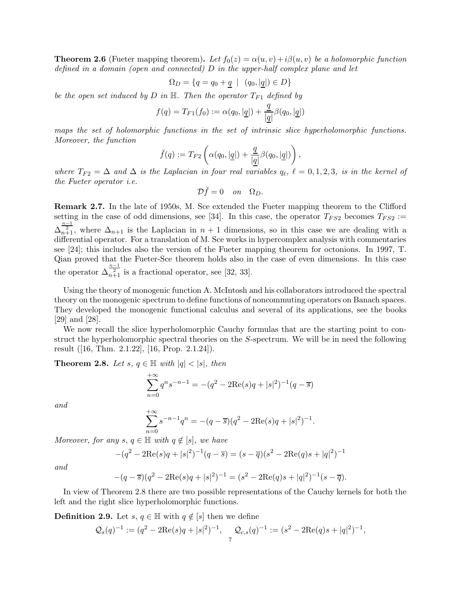**Theorem 2.6** (Fueter mapping theorem). Let  $f_0(z) = \alpha(u, v) + i\beta(u, v)$  be a holomorphic function defined in a domain (open and connected)  $D$  in the upper-half complex plane and let

$$
\Omega_D = \{ q = q_0 + \underline{q} \mid (q_0, |\underline{q}|) \in D \}
$$

be the open set induced by D in  $\mathbb{H}$ . Then the operator  $T_{F1}$  defined by

$$
f(q) = T_{F1}(f_0) := \alpha(q_0, |\underline{q}|) + \frac{\underline{q}}{|\underline{q}|} \beta(q_0, |\underline{q}|)
$$

maps the set of holomorphic functions in the set of intrinsic slice hyperholomorphic functions. Moreover, the function

$$
\breve{f}(q) := T_{F2}\left(\alpha(q_0, |\underline{q}|) + \frac{\underline{q}}{|\underline{q}|}\beta(q_0, |\underline{q}|)\right),\,
$$

where  $T_{F2} = \Delta$  and  $\Delta$  is the Laplacian in four real variables  $q_{\ell}, \ell = 0, 1, 2, 3$ , is in the kernel of the Fueter operator i.e.

$$
\mathcal{D}\breve{f}=0 \quad on \quad \Omega_D.
$$

Remark 2.7. In the late of 1950s, M. Sce extended the Fueter mapping theorem to the Clifford setting in the case of odd dimensions, see [\[34\]](#page-39-2). In this case, the operator  $T_{FS2}$  becomes  $T_{FS2}$  :=  $\Delta_{n+1}^{\frac{n-1}{2}}$ , where  $\Delta_{n+1}$  is the Laplacian in  $n+1$  dimensions, so in this case we are dealing with a differential operator. For a translation of M. Sce works in hypercomplex analysis with commentaries see [\[24\]](#page-38-19); this includes also the version of the Fueter mapping theorem for octonions. In 1997, T. Qian proved that the Fueter-Sce theorem holds also in the case of even dimensions. In this case the operator  $\Delta_{n+1}^{\frac{n-1}{2}}$  is a fractional operator, see [\[32,](#page-39-1) [33\]](#page-39-3).

Using the theory of monogenic function A. McIntosh and his collaborators introduced the spectral theory on the monogenic spectrum to define functions of noncommuting operators on Banach spaces. They developed the monogenic functional calculus and several of its applications, see the books [\[29\]](#page-39-4) and [\[28\]](#page-39-5).

We now recall the slice hyperholomorphic Cauchy formulas that are the starting point to construct the hyperholomorphic spectral theories on the S-spectrum. We will be in need the following result ([\[16,](#page-38-5) Thm. 2.1.22], [\[16,](#page-38-5) Prop. 2.1.24]).

<span id="page-6-0"></span>**Theorem 2.8.** Let s,  $q \in \mathbb{H}$  with  $|q| < |s|$ , then

$$
\sum_{n=0}^{+\infty} q^n s^{-n-1} = -(q^2 - 2\text{Re}(s)q + |s|^2)^{-1}(q - \overline{s})
$$

and

$$
\sum_{n=0}^{+\infty} s^{-n-1} q^n = -(q-\overline{s})(q^2 - 2\text{Re}(s)q + |s|^2)^{-1}.
$$

Moreover, for any  $s, q \in \mathbb{H}$  with  $q \notin [s]$ , we have

$$
-(q^{2} - 2\text{Re}(s)q + |s|^{2})^{-1}(q - \overline{s}) = (s - \overline{q})(s^{2} - 2\text{Re}(q)s + |q|^{2})^{-1}
$$

and

$$
-(q-\overline{s})(q^{2}-2Re(s)q+|s|^{2})^{-1} = (s^{2}-2Re(q)s+|q|^{2})^{-1}(s-\overline{q}).
$$

In view of Theorem [2.8](#page-6-0) there are two possible representations of the Cauchy kernels for both the left and the right slice hyperholomorphic functions.

**Definition 2.9.** Let  $s, q \in \mathbb{H}$  with  $q \notin [s]$  then we define

$$
Q_s(q)^{-1} := (q^2 - 2\text{Re}(s)q + |s|^2)^{-1}, \quad Q_{c,s}(q)^{-1} := (s^2 - 2\text{Re}(q)s + |q|^2)^{-1},
$$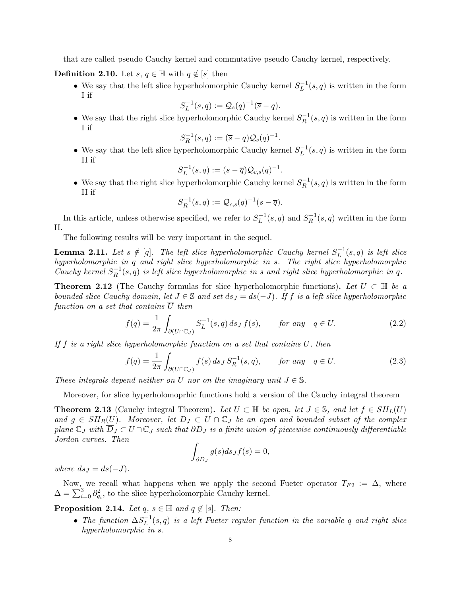<span id="page-7-0"></span>that are called pseudo Cauchy kernel and commutative pseudo Cauchy kernel, respectively.

**Definition 2.10.** Let  $s, q \in \mathbb{H}$  with  $q \notin [s]$  then

• We say that the left slice hyperholomorphic Cauchy kernel  $S_L^{-1}(s, q)$  is written in the form I if

$$
S_L^{-1}(s,q) := \mathcal{Q}_s(q)^{-1}(\overline{s} - q).
$$

• We say that the right slice hyperholomorphic Cauchy kernel  $S_R^{-1}(s,q)$  is written in the form I if

$$
S_R^{-1}(s,q) := (\overline{s} - q) \mathcal{Q}_s(q)^{-1}.
$$

• We say that the left slice hyperholomorphic Cauchy kernel  $S_L^{-1}(s, q)$  is written in the form II if

$$
S_L^{-1}(s,q) := (s - \overline{q})\mathcal{Q}_{c,s}(q)^{-1}.
$$

• We say that the right slice hyperholomorphic Cauchy kernel  $S_R^{-1}(s,q)$  is written in the form II if

$$
S_R^{-1}(s,q) := \mathcal{Q}_{c,s}(q)^{-1}(s-\overline{q}).
$$

In this article, unless otherwise specified, we refer to  $S_L^{-1}(s,q)$  and  $S_R^{-1}(s,q)$  written in the form II.

The following results will be very important in the sequel.

**Lemma 2.11.** Let  $s \notin [q]$ . The left slice hyperholomorphic Cauchy kernel  $S_L^{-1}(s,q)$  is left slice hyperholomorphic in q and right slice hyperholomorphic in s. The right slice hyperholomorphic Cauchy kernel  $S_R^{-1}(s,q)$  is left slice hyperholomorphic in s and right slice hyperholomorphic in q.

<span id="page-7-2"></span>**Theorem 2.12** (The Cauchy formulas for slice hyperholomorphic functions). Let  $U \subset \mathbb{H}$  be a bounded slice Cauchy domain, let  $J \in \mathbb{S}$  and set  $ds_J = ds(-J)$ . If f is a left slice hyperholomorphic function on a set that contains  $\overline{U}$  then

$$
f(q) = \frac{1}{2\pi} \int_{\partial(U \cap \mathbb{C}_J)} S_L^{-1}(s, q) ds_J f(s), \qquad \text{for any} \quad q \in U. \tag{2.2}
$$

If f is a right slice hyperholomorphic function on a set that contains  $\overline{U}$ , then

$$
f(q) = \frac{1}{2\pi} \int_{\partial(U \cap \mathbb{C}_J)} f(s) ds_J S_R^{-1}(s, q), \qquad \text{for any} \quad q \in U. \tag{2.3}
$$

These integrals depend neither on U nor on the imaginary unit  $J \in \mathbb{S}$ .

<span id="page-7-3"></span>Moreover, for slice hyperholomoprhic functions hold a version of the Cauchy integral theorem

**Theorem 2.13** (Cauchy integral Theorem). Let  $U \subset \mathbb{H}$  be open, let  $J \in \mathbb{S}$ , and let  $f \in SH<sub>L</sub>(U)$ and  $g \in SH_R(U)$ . Moreover, let  $D_J \subset U \cap \mathbb{C}_J$  be an open and bounded subset of the complex plane  $\mathbb{C}_J$  with  $\overline{D}_J \subset U \cap \mathbb{C}_J$  such that  $\partial D_J$  is a finite union of piecewise continuously differentiable Jordan curves. Then

$$
\int_{\partial D_J} g(s) ds_J f(s) = 0,
$$

where  $ds_I = ds(-J)$ .

Now, we recall what happens when we apply the second Fueter operator  $T_{F2} := \Delta$ , where  $\Delta = \sum_{i=0}^{3} \partial_{q_i}^2$ , to the slice hyperholomorphic Cauchy kernel.

<span id="page-7-1"></span>**Proposition 2.14.** Let  $q, s \in \mathbb{H}$  and  $q \notin [s]$ . Then:

• The function  $\Delta S_L^{-1}(s,q)$  is a left Fueter regular function in the variable q and right slice hyperholomorphic in s.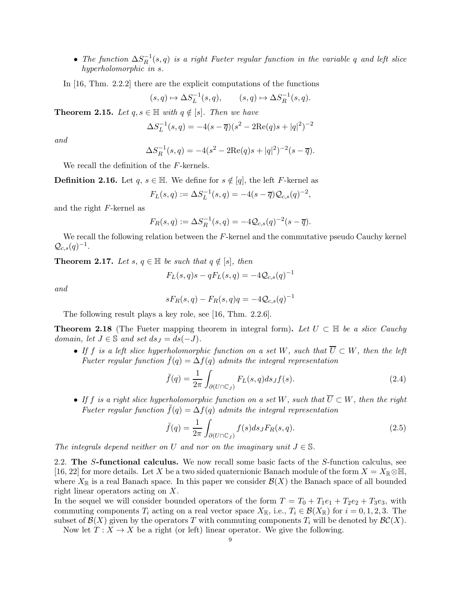- The function  $\Delta S_R^{-1}(s,q)$  is a right Fueter regular function in the variable q and left slice hyperholomorphic in s.
- In [\[16,](#page-38-5) Thm. 2.2.2] there are the explicit computations of the functions

$$
(s,q)\mapsto \Delta S_L^{-1}(s,q), \qquad (s,q)\mapsto \Delta S_R^{-1}(s,q).
$$

**Theorem 2.15.** Let  $q, s \in \mathbb{H}$  with  $q \notin [s]$ . Then we have

$$
\Delta S_L^{-1}(s,q) = -4(s-\overline{q})(s^2 - 2\text{Re}(q)s + |q|^2)^{-2}
$$

and

$$
\Delta S_R^{-1}(s,q) = -4(s^2 - 2\text{Re}(q)s + |q|^2)^{-2}(s - \overline{q}).
$$

<span id="page-8-2"></span>We recall the definition of the F-kernels.

**Definition 2.16.** Let  $q, s \in \mathbb{H}$ . We define for  $s \notin [q]$ , the left F-kernel as

$$
F_L(s,q) := \Delta S_L^{-1}(s,q) = -4(s-\overline{q})Q_{c,s}(q)^{-2},
$$

and the right F-kernel as

$$
F_R(s,q) := \Delta S_R^{-1}(s,q) = -4Q_{c,s}(q)^{-2}(s-\overline{q}).
$$

<span id="page-8-3"></span>We recall the following relation between the  $F$ -kernel and the commutative pseudo Cauchy kernel  $\mathcal{Q}_{c,s}(q)^{-1}.$ 

**Theorem 2.17.** Let s,  $q \in \mathbb{H}$  be such that  $q \notin [s]$ , then

$$
F_L(s, q)s - qF_L(s, q) = -4Q_{c,s}(q)^{-1}
$$

and

$$
sF_R(s,q) - F_R(s,q)q = -4Q_{c,s}(q)^{-1}
$$

<span id="page-8-1"></span>The following result plays a key role, see [\[16,](#page-38-5) Thm. 2.2.6].

**Theorem 2.18** (The Fueter mapping theorem in integral form). Let  $U \subset \mathbb{H}$  be a slice Cauchy domain, let  $J \in \mathbb{S}$  and set  $ds_J = ds(-J)$ .

• If f is a left slice hyperholomorphic function on a set W, such that  $\overline{U} \subset W$ , then the left Fueter regular function  $\check{f}(q) = \Delta f(q)$  admits the integral representation

$$
\breve{f}(q) = \frac{1}{2\pi} \int_{\partial(U \cap \mathbb{C}_J)} F_L(s, q) ds_J f(s).
$$
\n(2.4)

• If f is a right slice hyperholomorphic function on a set W, such that  $\overline{U} \subset W$ , then the right Fueter regular function  $\check{f}(q) = \Delta f(q)$  admits the integral representation

$$
\breve{f}(q) = \frac{1}{2\pi} \int_{\partial (U \cap \mathbb{C}_J)} f(s) ds_J F_R(s, q). \tag{2.5}
$$

<span id="page-8-0"></span>The integrals depend neither on U and nor on the imaginary unit  $J \in \mathbb{S}$ .

2.2. The S-functional calculus. We now recall some basic facts of the S-function calculus, see [\[16,](#page-38-5) [22\]](#page-38-6) for more details. Let X be a two sided quaternionic Banach module of the form  $X = X_{\mathbb{R}} \otimes \mathbb{H}$ , where  $X_{\mathbb{R}}$  is a real Banach space. In this paper we consider  $\mathcal{B}(X)$  the Banach space of all bounded right linear operators acting on X.

In the sequel we will consider bounded operators of the form  $T = T_0 + T_1e_1 + T_2e_2 + T_3e_3$ , with commuting components  $T_i$  acting on a real vector space  $X_{\mathbb{R}}$ , i.e.,  $T_i \in \mathcal{B}(X_{\mathbb{R}})$  for  $i = 0, 1, 2, 3$ . The subset of  $\mathcal{B}(X)$  given by the operators T with commuting components  $T_i$  will be denoted by  $\mathcal{BC}(X)$ .

Now let  $T: X \to X$  be a right (or left) linear operator. We give the following.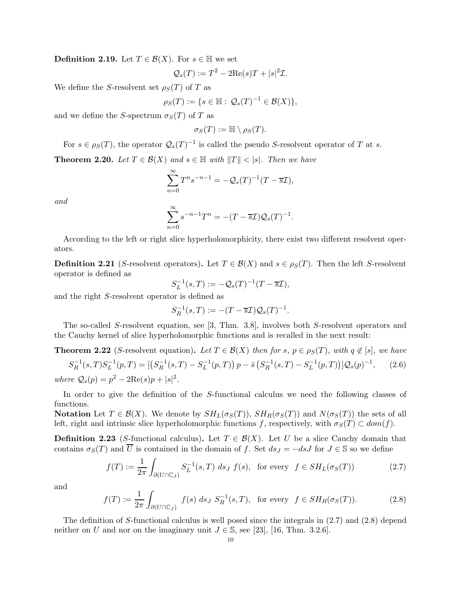**Definition 2.19.** Let  $T \in \mathcal{B}(X)$ . For  $s \in \mathbb{H}$  we set

$$
\mathcal{Q}_s(T) := T^2 - 2\text{Re}(s)T + |s|^2 \mathcal{I}.
$$

We define the S-resolvent set  $\rho_S(T)$  of T as

$$
\rho_S(T) := \{ s \in \mathbb{H} : \mathcal{Q}_s(T)^{-1} \in \mathcal{B}(X) \},
$$

and we define the S-spectrum  $\sigma_S(T)$  of T as

$$
\sigma_S(T) := \mathbb{H} \setminus \rho_S(T).
$$

For  $s \in \rho_S(T)$ , the operator  $\mathcal{Q}_s(T)^{-1}$  is called the pseudo S-resolvent operator of T at s.

**Theorem 2.20.** Let  $T \in \mathcal{B}(X)$  and  $s \in \mathbb{H}$  with  $||T|| < |s|$ . Then we have

$$
\sum_{n=0}^{\infty} T^n s^{-n-1} = -Q_s(T)^{-1} (T - \overline{s} \mathcal{I}),
$$

and

$$
\sum_{n=0}^{\infty} s^{-n-1} T^n = -(T - \overline{s} \mathcal{I}) \mathcal{Q}_s(T)^{-1}.
$$

According to the left or right slice hyperholomorphicity, there exist two different resolvent operators.

**Definition 2.21** (S-resolvent operators). Let  $T \in \mathcal{B}(X)$  and  $s \in \rho_S(T)$ . Then the left S-resolvent operator is defined as

$$
S_L^{-1}(s,T) := -\mathcal{Q}_s(T)^{-1}(T - \overline{s}\mathcal{I}),
$$

and the right S-resolvent operator is defined as

$$
S_R^{-1}(s,T) := -(T - \overline{s} \mathcal{I}) \mathcal{Q}_s(T)^{-1}.
$$

The so-called S-resolvent equation, see [\[3,](#page-38-20) Thm. 3.8], involves both S-resolvent operators and the Cauchy kernel of slice hyperholomorphic functions and is recalled in the next result:

<span id="page-9-3"></span>**Theorem 2.22** (S-resolvent equation). Let  $T \in \mathcal{B}(X)$  then for s,  $p \in \rho_S(T)$ , with  $q \notin [s]$ , we have  $S_R^{-1}(s,T)S_L^{-1}(p,T) = \left[ \left( S_R^{-1}(s,T) - S_L^{-1}(p,T) \right) p - \bar{s} \left( S_R^{-1}(s,T) - S_L^{-1}(p,T) \right) \right] Q_s(p)^{-1}$  $(2.6)$ where  $Q_s(p) = p^2 - 2\text{Re}(s)p + |s|^2$ .

In order to give the definition of the S-functional calculus we need the following classes of functions.

<span id="page-9-2"></span>**Notation** Let  $T \in \mathcal{B}(X)$ . We denote by  $SH_L(\sigma_S(T))$ ,  $SH_R(\sigma_S(T))$  and  $N(\sigma_S(T))$  the sets of all left, right and intrinsic slice hyperholomorphic functions f, respectively, with  $\sigma_S(T) \subset dom(f)$ .

**Definition 2.23** (S-functional calculus). Let  $T \in \mathcal{B}(X)$ . Let U be a slice Cauchy domain that contains  $\sigma_S(T)$  and  $\overline{U}$  is contained in the domain of f. Set  $ds_J = -dsJ$  for  $J \in \mathbb{S}$  so we define

<span id="page-9-0"></span>
$$
f(T) := \frac{1}{2\pi} \int_{\partial(U \cap \mathbb{C}_J)} S_L^{-1}(s, T) \, ds_J \, f(s), \text{ for every } f \in SH_L(\sigma_S(T)) \tag{2.7}
$$

and

<span id="page-9-1"></span>
$$
f(T) := \frac{1}{2\pi} \int_{\partial(U \cap \mathbb{C}_J)} f(s) \, ds_J \, S_R^{-1}(s, T), \text{ for every } f \in SH_R(\sigma_S(T)). \tag{2.8}
$$

The definition of S-functional calculus is well posed since the integrals in [\(2.7\)](#page-9-0) and [\(2.8\)](#page-9-1) depend neither on U and nor on the imaginary unit  $J \in \mathbb{S}$ , see [\[23\]](#page-38-21), [\[16,](#page-38-5) Thm. 3.2.6].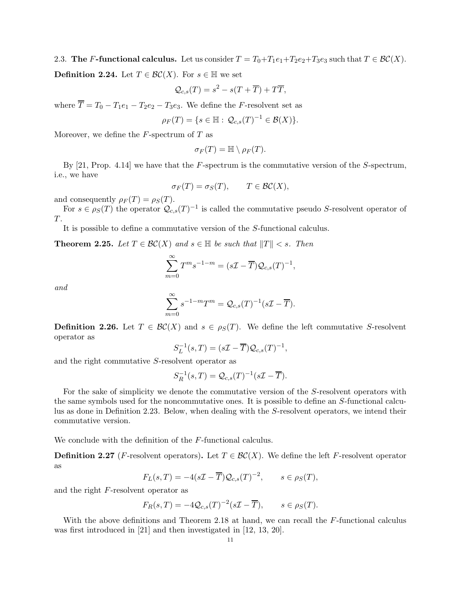<span id="page-10-1"></span><span id="page-10-0"></span>2.3. The F-functional calculus. Let us consider  $T = T_0 + T_1e_1 + T_2e_2 + T_3e_3$  such that  $T \in \mathcal{BC}(X)$ . **Definition 2.24.** Let  $T \in \mathcal{BC}(X)$ . For  $s \in \mathbb{H}$  we set

$$
\mathcal{Q}_{c,s}(T) = s^2 - s(T + \overline{T}) + T\overline{T},
$$

where  $\overline{T} = T_0 - T_1e_1 - T_2e_2 - T_3e_3$ . We define the *F*-resolvent set as

$$
\rho_F(T) = \{ s \in \mathbb{H} : \mathcal{Q}_{c,s}(T)^{-1} \in \mathcal{B}(X) \}.
$$

Moreover, we define the  $F$ -spectrum of  $T$  as

$$
\sigma_F(T)=\mathbb{H}\setminus \rho_F(T).
$$

By  $[21,$  Prop. 4.14] we have that the F-spectrum is the commutative version of the S-spectrum, i.e., we have

$$
\sigma_F(T) = \sigma_S(T), \qquad T \in \mathcal{BC}(X),
$$

and consequently  $\rho_F(T) = \rho_S(T)$ .

For  $s \in \rho_S(T)$  the operator  $\mathcal{Q}_{c,s}(T)^{-1}$  is called the commutative pseudo S-resolvent operator of T.

It is possible to define a commutative version of the S-functional calculus.

**Theorem 2.25.** Let  $T \in \mathcal{BC}(X)$  and  $s \in \mathbb{H}$  be such that  $||T|| < s$ . Then

$$
\sum_{m=0}^{\infty} T^{m} s^{-1-m} = (s\mathcal{I} - \overline{T}) \mathcal{Q}_{c,s}(T)^{-1},
$$

and

$$
\sum_{m=0}^{\infty} s^{-1-m} T^m = \mathcal{Q}_{c,s}(T)^{-1} (s\mathcal{I} - \overline{T}).
$$

**Definition 2.26.** Let  $T \in \mathcal{BC}(X)$  and  $s \in \rho_S(T)$ . We define the left commutative S-resolvent operator as

$$
S_L^{-1}(s,T) = (s\mathcal{I} - \overline{T})\mathcal{Q}_{c,s}(T)^{-1},
$$

and the right commutative S-resolvent operator as

$$
S_R^{-1}(s,T) = \mathcal{Q}_{c,s}(T)^{-1}(s\mathcal{I} - \overline{T}).
$$

For the sake of simplicity we denote the commutative version of the S-resolvent operators with the same symbols used for the noncommutative ones. It is possible to define an S-functional calculus as done in Definition [2.23.](#page-9-2) Below, when dealing with the S-resolvent operators, we intend their commutative version.

We conclude with the definition of the F-functional calculus.

**Definition 2.27** (F-resolvent operators). Let  $T \in \mathcal{BC}(X)$ . We define the left F-resolvent operator as

$$
F_L(s,T) = -4(s\mathcal{I} - \overline{T})\mathcal{Q}_{c,s}(T)^{-2}, \qquad s \in \rho_S(T),
$$

and the right F-resolvent operator as

$$
F_R(s,T) = -4Q_{c,s}(T)^{-2}(s\mathcal{I} - \overline{T}), \qquad s \in \rho_S(T).
$$

With the above definitions and Theorem [2.18](#page-8-1) at hand, we can recall the F-functional calculus was first introduced in [\[21\]](#page-38-17) and then investigated in [\[12,](#page-38-14) [13,](#page-38-15) [20\]](#page-38-16).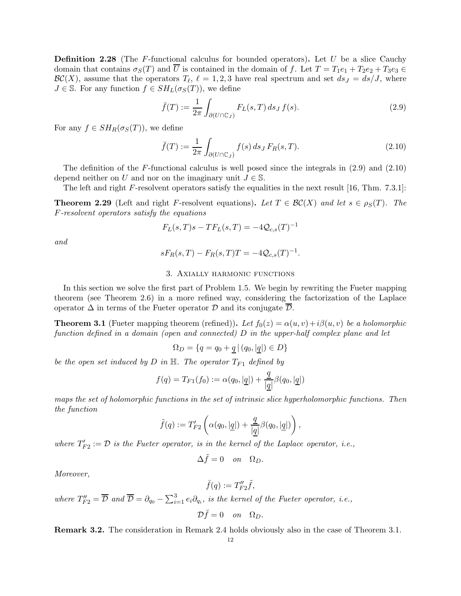**Definition 2.28** (The F-functional calculus for bounded operators). Let U be a slice Cauchy domain that contains  $\sigma_S(T)$  and  $\overline{U}$  is contained in the domain of f. Let  $T = T_1e_1 + T_2e_2 + T_3e_3 \in$  $\mathcal{BC}(X)$ , assume that the operators  $T_{\ell}$ ,  $\ell = 1, 2, 3$  have real spectrum and set  $ds_J = ds/J$ , where  $J \in \mathbb{S}$ . For any function  $f \in SH_L(\sigma_S(T))$ , we define

<span id="page-11-1"></span>
$$
\breve{f}(T) := \frac{1}{2\pi} \int_{\partial(U \cap \mathbb{C}_J)} F_L(s, T) \, ds_J \, f(s). \tag{2.9}
$$

For any  $f \in SH_R(\sigma_S(T))$ , we define

<span id="page-11-2"></span>
$$
\breve{f}(T) := \frac{1}{2\pi} \int_{\partial(U \cap \mathbb{C}_J)} f(s) \, ds_J \, F_R(s, T). \tag{2.10}
$$

The definition of the F-functional calculus is well posed since the integrals in  $(2.9)$  and  $(2.10)$ depend neither on U and nor on the imaginary unit  $J \in \mathbb{S}$ .

<span id="page-11-4"></span>The left and right F-resolvent operators satisfy the equalities in the next result [\[16,](#page-38-5) Thm. 7.3.1]:

**Theorem 2.29** (Left and right F-resolvent equations). Let  $T \in \mathcal{BC}(X)$  and let  $s \in \rho_S(T)$ . The F-resolvent operators satisfy the equations

$$
F_L(s, T)s - TF_L(s, T) = -4Q_{c,s}(T)^{-1}
$$

<span id="page-11-0"></span>and

$$
sF_R(s,T) - F_R(s,T)T = -4Q_{c,s}(T)^{-1}.
$$

## 3. Axially harmonic functions

In this section we solve the first part of Problem [1.5.](#page-3-1) We begin by rewriting the Fueter mapping theorem (see Theorem [2.6\)](#page-5-1) in a more refined way, considering the factorization of the Laplace operator  $\Delta$  in terms of the Fueter operator  $\mathcal D$  and its conjugate  $\overline{\mathcal D}$ .

<span id="page-11-3"></span>**Theorem 3.1** (Fueter mapping theorem (refined)). Let  $f_0(z) = \alpha(u, v) + i\beta(u, v)$  be a holomorphic function defined in a domain (open and connected) D in the upper-half complex plane and let

$$
\Omega_D = \{ q = q_0 + \underline{q} \, | \, (q_0, |\underline{q}|) \in D \}
$$

be the open set induced by D in  $\mathbb{H}$ . The operator  $T_{F1}$  defined by

$$
f(q) = T_{F1}(f_0) := \alpha(q_0, |\underline{q}|) + \frac{\underline{q}}{|\underline{q}|} \beta(q_0, |\underline{q}|)
$$

maps the set of holomorphic functions in the set of intrinsic slice hyperholomorphic functions. Then the function

$$
\tilde{f}(q) := T'_{F2}\left(\alpha(q_0, |\underline{q}|) + \frac{\underline{q}}{|\underline{q}|}\beta(q_0, |\underline{q}|)\right),\,
$$

where  $T'_{F2} := \mathcal{D}$  is the Fueter operator, is in the kernel of the Laplace operator, i.e.,

$$
\Delta \tilde{f} = 0 \quad on \quad \Omega_D.
$$

Moreover,

$$
\breve{f}(q) := T''_{F2}\widetilde{f},
$$

where  $T''_{F2} = \overline{\mathcal{D}}$  and  $\overline{\mathcal{D}} = \partial_{q_0} - \sum_{i=1}^3 e_i \partial_{q_i}$ , is the kernel of the Fueter operator, i.e.,

$$
\mathcal{D}\breve{f}=0 \quad on \quad \Omega_D.
$$

Remark 3.2. The consideration in Remark [2.4](#page-5-2) holds obviously also in the case of Theorem [3.1.](#page-11-3)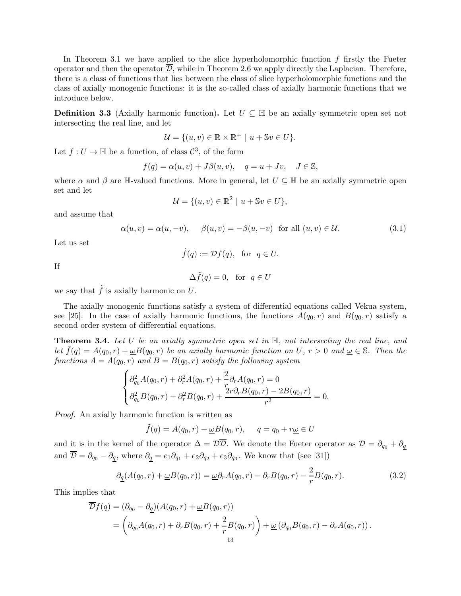In Theorem [3.1](#page-11-3) we have applied to the slice hyperholomorphic function  $f$  firstly the Fueter operator and then the operator  $D$ , while in Theorem [2.6](#page-5-1) we apply directly the Laplacian. Therefore, there is a class of functions that lies between the class of slice hyperholomorphic functions and the class of axially monogenic functions: it is the so-called class of axially harmonic functions that we introduce below.

<span id="page-12-0"></span>**Definition 3.3** (Axially harmonic function). Let  $U \subseteq \mathbb{H}$  be an axially symmetric open set not intersecting the real line, and let

$$
\mathcal{U} = \{(u, v) \in \mathbb{R} \times \mathbb{R}^+ \mid u + \mathbb{S}v \in U\}.
$$

Let  $f: U \to \mathbb{H}$  be a function, of class  $\mathcal{C}^3$ , of the form

$$
f(q) = \alpha(u, v) + J\beta(u, v), \quad q = u + Jv, \quad J \in \mathbb{S},
$$

where  $\alpha$  and  $\beta$  are H-valued functions. More in general, let  $U \subseteq \mathbb{H}$  be an axially symmetric open set and let

$$
\mathcal{U} = \{ (u, v) \in \mathbb{R}^2 \mid u + \mathbb{S}v \in U \},\
$$

and assume that

$$
\alpha(u, v) = \alpha(u, -v), \quad \beta(u, v) = -\beta(u, -v) \quad \text{for all } (u, v) \in \mathcal{U}.
$$
 (3.1)

Let us set

$$
\tilde{f}(q) := \mathcal{D}f(q)
$$
, for  $q \in U$ .

If

$$
\Delta \tilde{f}(q) = 0, \text{ for } q \in U
$$

we say that  $\tilde{f}$  is axially harmonic on U.

The axially monogenic functions satisfy a system of differential equations called Vekua system, see [\[25\]](#page-39-6). In the case of axially harmonic functions, the functions  $A(q_0, r)$  and  $B(q_0, r)$  satisfy a second order system of differential equations.

**Theorem 3.4.** Let U be an axially symmetric open set in  $\mathbb{H}$ , not intersecting the real line, and let  $\tilde{f}(q) = A(q_0, r) + \underline{\omega}B(q_0, r)$  be an axially harmonic function on U,  $r > 0$  and  $\underline{\omega} \in \mathbb{S}$ . Then the functions  $A = A(q_0, r)$  and  $B = B(q_0, r)$  satisfy the following system

$$
\begin{cases} \partial_{q_0}^2 A(q_0, r) + \partial_r^2 A(q_0, r) + \frac{2}{r} \partial_r A(q_0, r) = 0 \\ \partial_{q_0}^2 B(q_0, r) + \partial_r^2 B(q_0, r) + \frac{2r \partial_r B(q_0, r) - 2B(q_0, r)}{r^2} = 0. \end{cases}
$$

Proof. An axially harmonic function is written as

$$
\tilde{f}(q) = A(q_0, r) + \underline{\omega}B(q_0, r), \qquad q = q_0 + r\underline{\omega} \in U
$$

and it is in the kernel of the operator  $\Delta = \mathcal{D}\overline{\mathcal{D}}$ . We denote the Fueter operator as  $\mathcal{D} = \partial_{q_0} + \partial_q$ and  $\mathcal{D} = \partial_{q_0} - \partial_{\underline{q}},$  where  $\partial_{\underline{q}} = e_1 \partial_{q_1} + e_2 \partial_{q_2} + e_3 \partial_{q_3}$ . We know that (see [\[31\]](#page-39-7))

<span id="page-12-1"></span>
$$
\partial_{\underline{q}}(A(q_0, r) + \underline{\omega}B(q_0, r)) = \underline{\omega}\partial_r A(q_0, r) - \partial_r B(q_0, r) - \frac{2}{r}B(q_0, r). \tag{3.2}
$$

This implies that

$$
\overline{\mathcal{D}}f(q) = (\partial_{q_0} - \partial_{\underline{q}})(A(q_0, r) + \underline{\omega}B(q_0, r))
$$
  
= 
$$
\left(\partial_{q_0}A(q_0, r) + \partial_r B(q_0, r) + \frac{2}{r}B(q_0, r)\right) + \underline{\omega}(\partial_{q_0}B(q_0, r) - \partial_r A(q_0, r)).
$$
  
<sub>13</sub>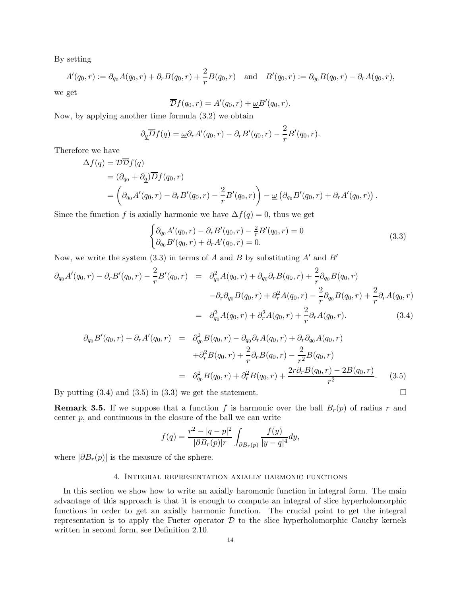By setting

$$
A'(q_0,r) := \partial_{q_0} A(q_0,r) + \partial_r B(q_0,r) + \frac{2}{r} B(q_0,r) \text{ and } B'(q_0,r) := \partial_{q_0} B(q_0,r) - \partial_r A(q_0,r),
$$

we get

$$
\overline{\mathcal{D}}f(q_0,r) = A'(q_0,r) + \underline{\omega}B'(q_0,r).
$$

Now, by applying another time formula [\(3.2\)](#page-12-1) we obtain

$$
\partial_{\underline{q}} \overline{D} f(q) = \underline{\omega} \partial_r A'(q_0, r) - \partial_r B'(q_0, r) - \frac{2}{r} B'(q_0, r).
$$

Therefore we have

$$
\Delta f(q) = \mathcal{D} \overline{\mathcal{D}} f(q)
$$
  
=  $(\partial_{q_0} + \partial_{q}) \overline{\mathcal{D}} f(q_0, r)$   
=  $\left( \partial_{q_0} A'(q_0, r) - \partial_r B'(q_0, r) - \frac{2}{r} B'(q_0, r) \right) - \underline{\omega} \left( \partial_{q_0} B'(q_0, r) + \partial_r A'(q_0, r) \right).$ 

Since the function f is axially harmonic we have  $\Delta f(q) = 0$ , thus we get

<span id="page-13-1"></span>
$$
\begin{cases} \partial_{q_0} A'(q_0, r) - \partial_r B'(q_0, r) - \frac{2}{r} B'(q_0, r) = 0 \\ \partial_{q_0} B'(q_0, r) + \partial_r A'(q_0, r) = 0. \end{cases}
$$
\n(3.3)

Now, we write the system [\(3.3\)](#page-13-1) in terms of  $A$  and  $B$  by substituting  $A'$  and  $B'$ 

<span id="page-13-2"></span>
$$
\partial_{q_0} A'(q_0, r) - \partial_r B'(q_0, r) - \frac{2}{r} B'(q_0, r) = \partial_{q_0}^2 A(q_0, r) + \partial_{q_0} \partial_r B(q_0, r) + \frac{2}{r} \partial_{q_0} B(q_0, r) \n- \partial_r \partial_{q_0} B(q_0, r) + \partial_r^2 A(q_0, r) - \frac{2}{r} \partial_{q_0} B(q_0, r) + \frac{2}{r} \partial_r A(q_0, r) \n= \partial_{q_0}^2 A(q_0, r) + \partial_r^2 A(q_0, r) + \frac{2}{r} \partial_r A(q_0, r).
$$
\n(3.4)

<span id="page-13-3"></span>
$$
\partial_{q_0} B'(q_0, r) + \partial_r A'(q_0, r) = \partial_{q_0}^2 B(q_0, r) - \partial_{q_0} \partial_r A(q_0, r) + \partial_r \partial_{q_0} A(q_0, r) \n+ \partial_r^2 B(q_0, r) + \frac{2}{r} \partial_r B(q_0, r) - \frac{2}{r^2} B(q_0, r) \n= \partial_{q_0}^2 B(q_0, r) + \partial_r^2 B(q_0, r) + \frac{2r \partial_r B(q_0, r) - 2B(q_0, r)}{r^2}.
$$
\n(3.5)

By putting  $(3.4)$  and  $(3.5)$  in  $(3.3)$  we get the statement.

**Remark 3.5.** If we suppose that a function f is harmonic over the ball  $B_r(p)$  of radius r and center  $p$ , and continuous in the closure of the ball we can write

$$
f(q) = \frac{r^2 - |q - p|^2}{|\partial B_r(p)|r} \int_{\partial B_r(p)} \frac{f(y)}{|y - q|^4} dy,
$$

<span id="page-13-0"></span>where  $|\partial B_r(p)|$  is the measure of the sphere.

## 4. Integral representation axially harmonic functions

<span id="page-13-4"></span>In this section we show how to write an axially haromonic function in integral form. The main advantage of this approach is that it is enough to compute an integral of slice hyperholomorphic functions in order to get an axially harmonic function. The crucial point to get the integral representation is to apply the Fueter operator  $D$  to the slice hyperholomorphic Cauchy kernels written in second form, see Definition [2.10.](#page-7-0)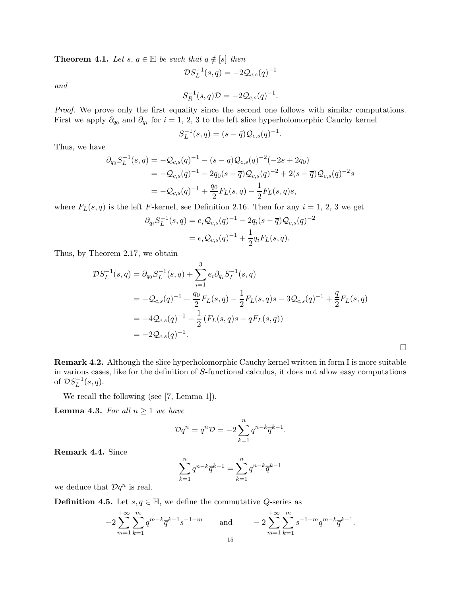**Theorem 4.1.** Let s,  $q \in \mathbb{H}$  be such that  $q \notin [s]$  then

and

$$
S_R^{-1}(s,q)\mathcal{D} = -2\mathcal{Q}_{c,s}(q)^{-1}.
$$

 ${\mathcal{D}} S_L^{-1}(s,q) = -2{\mathcal{Q}}_{c,s}(q)^{-1}$ 

Proof. We prove only the first equality since the second one follows with similar computations. First we apply  $\partial_{q_0}$  and  $\partial_{q_i}$  for  $i = 1, 2, 3$  to the left slice hyperholomorphic Cauchy kernel

$$
S_L^{-1}(s,q) = (s - \bar{q})\mathcal{Q}_{c,s}(q)^{-1}
$$

.

 $\Box$ 

Thus, we have

$$
\partial_{q_0} S_L^{-1}(s, q) = -\mathcal{Q}_{c,s}(q)^{-1} - (s - \overline{q})\mathcal{Q}_{c,s}(q)^{-2}(-2s + 2q_0)
$$
  
=  $-\mathcal{Q}_{c,s}(q)^{-1} - 2q_0(s - \overline{q})\mathcal{Q}_{c,s}(q)^{-2} + 2(s - \overline{q})\mathcal{Q}_{c,s}(q)^{-2}s$   
=  $-\mathcal{Q}_{c,s}(q)^{-1} + \frac{q_0}{2}F_L(s,q) - \frac{1}{2}F_L(s,q)s,$ 

where  $F_L(s,q)$  is the left F-kernel, see Definition [2.16.](#page-8-2) Then for any  $i = 1, 2, 3$  we get

$$
\partial_{q_i} S_L^{-1}(s, q) = e_i Q_{c,s}(q)^{-1} - 2q_i(s - \overline{q}) Q_{c,s}(q)^{-2}
$$
  
=  $e_i Q_{c,s}(q)^{-1} + \frac{1}{2} q_i F_L(s, q)$ .

Thus, by Theorem [2.17,](#page-8-3) we obtain

$$
\mathcal{D}S_L^{-1}(s,q) = \partial_{q_0}S_L^{-1}(s,q) + \sum_{i=1}^3 e_i \partial_{q_i}S_L^{-1}(s,q)
$$
  
=  $-\mathcal{Q}_{c,s}(q)^{-1} + \frac{q_0}{2}F_L(s,q) - \frac{1}{2}F_L(s,q)s - 3\mathcal{Q}_{c,s}(q)^{-1} + \frac{q}{2}F_L(s,q)$   
=  $-4\mathcal{Q}_{c,s}(q)^{-1} - \frac{1}{2}(F_L(s,q)s - qF_L(s,q))$   
=  $-2\mathcal{Q}_{c,s}(q)^{-1}.$ 

Remark 4.2. Although the slice hyperholomorphic Cauchy kernel written in form I is more suitable in various cases, like for the definition of S-functional calculus, it does not allow easy computations of  $\mathcal{D}S_L^{-1}(s,q)$ .

<span id="page-14-1"></span>We recall the following (see [\[7,](#page-38-22) Lemma 1]).

**Lemma 4.3.** For all  $n \geq 1$  we have

$$
\mathcal{D}q^n = q^n \mathcal{D} = -2 \sum_{k=1}^n q^{n-k} \overline{q}^{k-1}.
$$

Remark 4.4. Since

$$
\sum_{k=1}^{n} q^{n-k} \overline{q}^{k-1} = \sum_{k=1}^{n} q^{n-k} \overline{q}^{k-1}
$$

<span id="page-14-0"></span>we deduce that  $\mathcal{D}q^n$  is real.

**Definition 4.5.** Let  $s, q \in \mathbb{H}$ , we define the commutative Q-series as

$$
-2\sum_{m=1}^{+\infty}\sum_{k=1}^{m}q^{m-k}\overline{q}^{k-1}s^{-1-m} \quad \text{and} \quad -2\sum_{m=1}^{+\infty}\sum_{k=1}^{m}s^{-1-m}q^{m-k}\overline{q}^{k-1}.
$$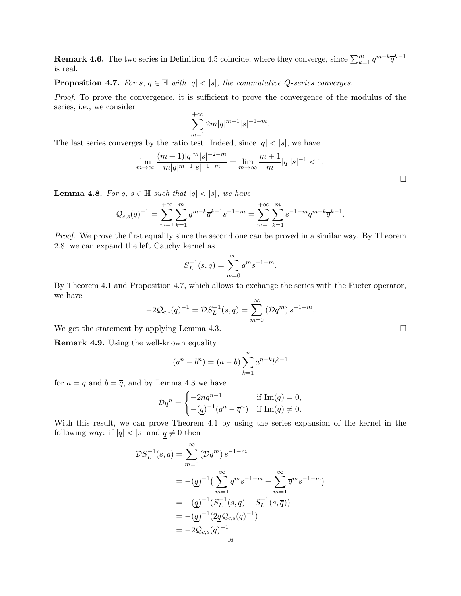**Remark 4.6.** The two series in Definition [4.5](#page-14-0) coincide, where they converge, since  $\sum_{k=1}^{m} q^{m-k} \overline{q}^{k-1}$ is real.

<span id="page-15-0"></span>**Proposition 4.7.** For  $s, q \in \mathbb{H}$  with  $|q| < |s|$ , the commutative Q-series converges.

Proof. To prove the convergence, it is sufficient to prove the convergence of the modulus of the series, i.e., we consider

$$
\sum_{m=1}^{+\infty} 2m|q|^{m-1}|s|^{-1-m}.
$$

The last series converges by the ratio test. Indeed, since  $|q| < |s|$ , we have

$$
\lim_{m \to \infty} \frac{(m+1)|q|^m |s|^{-2-m}}{m|q|^{m-1}|s|^{-1-m}} = \lim_{m \to \infty} \frac{m+1}{m}|q||s|^{-1} < 1.
$$

**Lemma 4.8.** For  $q, s \in \mathbb{H}$  such that  $|q| < |s|$ , we have

$$
\mathcal{Q}_{c,s}(q)^{-1} = \sum_{m=1}^{+\infty} \sum_{k=1}^{m} q^{m-k} \overline{q}^{k-1} s^{-1-m} = \sum_{m=1}^{+\infty} \sum_{k=1}^{m} s^{-1-m} q^{m-k} \overline{q}^{k-1}.
$$

Proof. We prove the first equality since the second one can be proved in a similar way. By Theorem [2.8,](#page-6-0) we can expand the left Cauchy kernel as

$$
S_L^{-1}(s,q) = \sum_{m=0}^{\infty} q^m s^{-1-m}.
$$

By Theorem [4.1](#page-13-4) and Proposition [4.7,](#page-15-0) which allows to exchange the series with the Fueter operator, we have

$$
-2\mathcal{Q}_{c,s}(q)^{-1} = \mathcal{D}S_L^{-1}(s,q) = \sum_{m=0}^{\infty} (\mathcal{D}q^m) s^{-1-m}.
$$

We get the statement by applying Lemma [4.3.](#page-14-1)

Remark 4.9. Using the well-known equality

$$
(an - bn) = (a - b) \sum_{k=1}^{n} a^{n-k} b^{k-1}
$$

for  $a = q$  and  $b = \overline{q}$ , and by Lemma [4.3](#page-14-1) we have

$$
\mathcal{D}q^n = \begin{cases}\n-2nq^{n-1} & \text{if } \text{Im}(q) = 0, \\
-(\underline{q})^{-1}(q^n - \overline{q}^n) & \text{if } \text{Im}(q) \neq 0.\n\end{cases}
$$

With this result, we can prove Theorem [4.1](#page-13-4) by using the series expansion of the kernel in the following way: if  $|q| < |s|$  and  $q \neq 0$  then

$$
\mathcal{D}S_L^{-1}(s,q) = \sum_{m=0}^{\infty} (\mathcal{D}q^m) s^{-1-m}
$$
  
=  $-(\underline{q})^{-1} \left( \sum_{m=1}^{\infty} q^m s^{-1-m} - \sum_{m=1}^{\infty} \overline{q}^m s^{-1-m} \right)$   
=  $-(\underline{q})^{-1} (S_L^{-1}(s, q) - S_L^{-1}(s, \overline{q}))$   
=  $-(\underline{q})^{-1} (2\underline{q} \mathcal{Q}_{c,s}(q)^{-1})$   
=  $-2\mathcal{Q}_{c,s}(q)^{-1},$   
16

 $\Box$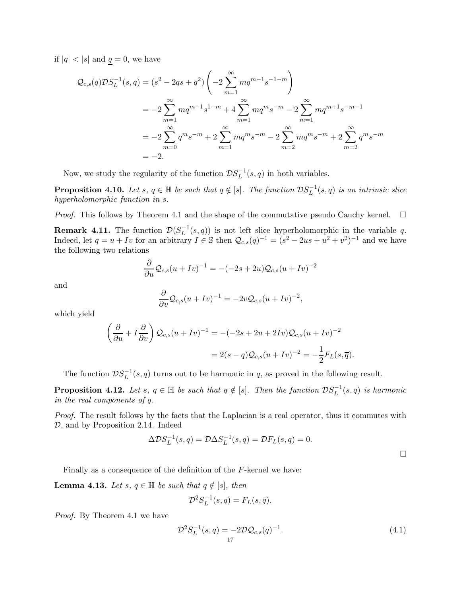if  $|q| < |s|$  and  $q = 0$ , we have

$$
Q_{c,s}(q)DS_{L}^{-1}(s,q) = (s^{2} - 2qs + q^{2}) \left( -2 \sum_{m=1}^{\infty} mq^{m-1} s^{-1-m} \right)
$$
  
=  $-2 \sum_{m=1}^{\infty} mq^{m-1} s^{1-m} + 4 \sum_{m=1}^{\infty} mq^{m} s^{-m} - 2 \sum_{m=1}^{\infty} mq^{m+1} s^{-m-1}$   
=  $-2 \sum_{m=0}^{\infty} q^{m} s^{-m} + 2 \sum_{m=1}^{\infty} nq^{m} s^{-m} - 2 \sum_{m=2}^{\infty} nq^{m} s^{-m} + 2 \sum_{m=2}^{\infty} q^{m} s^{-m}$   
=  $-2$ .

<span id="page-16-4"></span>Now, we study the regularity of the function  $\mathcal{D}S_L^{-1}(s,q)$  in both variables.

**Proposition 4.10.** Let s,  $q \in \mathbb{H}$  be such that  $q \notin [s]$ . The function  $DS_L^{-1}(s,q)$  is an intrinsic slice hyperholomorphic function in s.

<span id="page-16-2"></span>*Proof.* This follows by Theorem [4.1](#page-13-4) and the shape of the commutative pseudo Cauchy kernel.  $\Box$ 

**Remark 4.11.** The function  $\mathcal{D}(S_L^{-1}(s,q))$  is not left slice hyperholomorphic in the variable q. Indeed, let  $q = u + Iv$  for an arbitrary  $I \in \mathbb{S}$  then  $\mathcal{Q}_{c,s}(q)^{-1} = (s^2 - 2us + u^2 + v^2)^{-1}$  and we have the following two relations

$$
\frac{\partial}{\partial u} \mathcal{Q}_{c,s}(u+Iv)^{-1} = -(-2s+2u)\mathcal{Q}_{c,s}(u+Iv)^{-2}
$$

and

$$
\frac{\partial}{\partial v} \mathcal{Q}_{c,s}(u+Iv)^{-1} = -2v \mathcal{Q}_{c,s}(u+Iv)^{-2},
$$

which yield

$$
\left(\frac{\partial}{\partial u} + I\frac{\partial}{\partial v}\right) \mathcal{Q}_{c,s}(u+Iv)^{-1} = -(-2s + 2u + 2Iv)\mathcal{Q}_{c,s}(u+Iv)^{-2}
$$

$$
= 2(s-q)\mathcal{Q}_{c,s}(u+Iv)^{-2} = -\frac{1}{2}F_L(s,\overline{q}).
$$

<span id="page-16-3"></span>The function  $DS<sub>L</sub><sup>-1</sup>(s,q)$  turns out to be harmonic in q, as proved in the following result.

**Proposition 4.12.** Let  $s, q \in \mathbb{H}$  be such that  $q \notin [s]$ . Then the function  $DS<sub>L</sub><sup>-1</sup>(s,q)$  is harmonic in the real components of q.

Proof. The result follows by the facts that the Laplacian is a real operator, thus it commutes with D, and by Proposition [2.14.](#page-7-1) Indeed

$$
\Delta \mathcal{D} S_L^{-1}(s, q) = \mathcal{D} \Delta S_L^{-1}(s, q) = \mathcal{D} F_L(s, q) = 0.
$$

<span id="page-16-1"></span>Finally as a consequence of the definition of the F-kernel we have:

**Lemma 4.13.** Let s,  $q \in \mathbb{H}$  be such that  $q \notin [s]$ , then

$$
\mathcal{D}^2 S_L^{-1}(s,q) = F_L(s,\bar{q}).
$$

Proof. By Theorem [4.1](#page-13-4) we have

<span id="page-16-0"></span>
$$
\mathcal{D}^2 S_L^{-1}(s, q) = -2\mathcal{D}\mathcal{Q}_{c,s}(q)^{-1}.
$$
\n(4.1)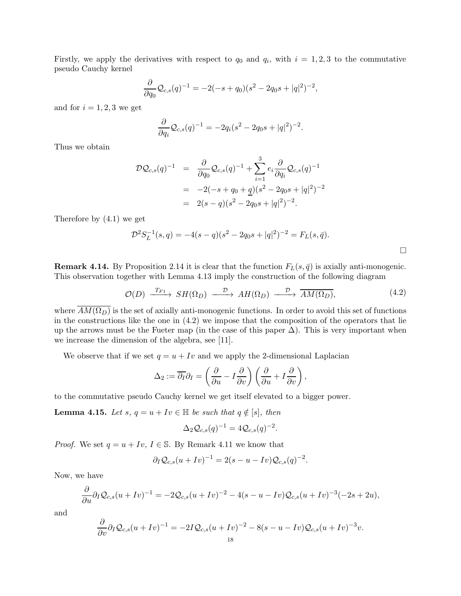Firstly, we apply the derivatives with respect to  $q_0$  and  $q_i$ , with  $i = 1, 2, 3$  to the commutative pseudo Cauchy kernel

$$
\frac{\partial}{\partial q_0} \mathcal{Q}_{c,s}(q)^{-1} = -2(-s+q_0)(s^2 - 2q_0s + |q|^2)^{-2},
$$

and for  $i = 1, 2, 3$  we get

$$
\frac{\partial}{\partial q_i} \mathcal{Q}_{c,s}(q)^{-1} = -2q_i(s^2 - 2q_0s + |q|^2)^{-2}.
$$

Thus we obtain

$$
\mathcal{D}\mathcal{Q}_{c,s}(q)^{-1} = \frac{\partial}{\partial q_0} \mathcal{Q}_{c,s}(q)^{-1} + \sum_{i=1}^3 e_i \frac{\partial}{\partial q_i} \mathcal{Q}_{c,s}(q)^{-1}
$$
  
= -2(-s + q<sub>0</sub> + q)(s<sup>2</sup> - 2q<sub>0</sub>s + |q|<sup>2</sup>)<sup>-2</sup>  
= 2(s - q)(s<sup>2</sup> - 2q<sub>0</sub>s + |q|<sup>2</sup>)<sup>-2</sup>.

Therefore by [\(4.1\)](#page-16-0) we get

$$
\mathcal{D}^2 S_L^{-1}(s,q) = -4(s-q)(s^2 - 2q_0s + |q|^2)^{-2} = F_L(s,\bar{q}).
$$

**Remark 4.14.** By Proposition [2.14](#page-7-1) it is clear that the function  $F_L(s, \bar{q})$  is axially anti-monogenic. This observation together with Lemma [4.13](#page-16-1) imply the construction of the following diagram

<span id="page-17-0"></span>
$$
\mathcal{O}(D) \xrightarrow{T_{F1}} SH(\Omega_D) \xrightarrow{\mathcal{D}} AH(\Omega_D) \xrightarrow{\mathcal{D}} \overline{AM(\Omega_D)},
$$
\n(4.2)

where  $\overline{AM(\Omega_D)}$  is the set of axially anti-monogenic functions. In order to avoid this set of functions in the constructions like the one in  $(4.2)$  we impose that the composition of the operators that lie up the arrows must be the Fueter map (in the case of this paper  $\Delta$ ). This is very important when we increase the dimension of the algebra, see [\[11\]](#page-38-18).

We observe that if we set  $q = u + Iv$  and we apply the 2-dimensional Laplacian

$$
\Delta_2 := \overline{\partial_I} \partial_I = \left(\frac{\partial}{\partial u} - I\frac{\partial}{\partial v}\right) \left(\frac{\partial}{\partial u} + I\frac{\partial}{\partial v}\right),
$$

to the commutative pseudo Cauchy kernel we get itself elevated to a bigger power.

**Lemma 4.15.** Let s,  $q = u + Iv \in \mathbb{H}$  be such that  $q \notin [s]$ , then

$$
\Delta_2 \mathcal{Q}_{c,s}(q)^{-1} = 4 \mathcal{Q}_{c,s}(q)^{-2}.
$$

*Proof.* We set  $q = u + Iv$ ,  $I \in \mathbb{S}$ . By Remark [4.11](#page-16-2) we know that

$$
\partial_I Q_{c,s}(u+Iv)^{-1} = 2(s-u-Iv)Q_{c,s}(q)^{-2}.
$$

Now, we have

$$
\frac{\partial}{\partial u}\partial_{I}Q_{c,s}(u+Iv)^{-1} = -2Q_{c,s}(u+Iv)^{-2} - 4(s-u-Iv)Q_{c,s}(u+Iv)^{-3}(-2s+2u),
$$

and

$$
\frac{\partial}{\partial v}\partial_I\mathcal{Q}_{c,s}(u+Iv)^{-1}=-2I\mathcal{Q}_{c,s}(u+Iv)^{-2}-8(s-u-Iv)\mathcal{Q}_{c,s}(u+Iv)^{-3}v.
$$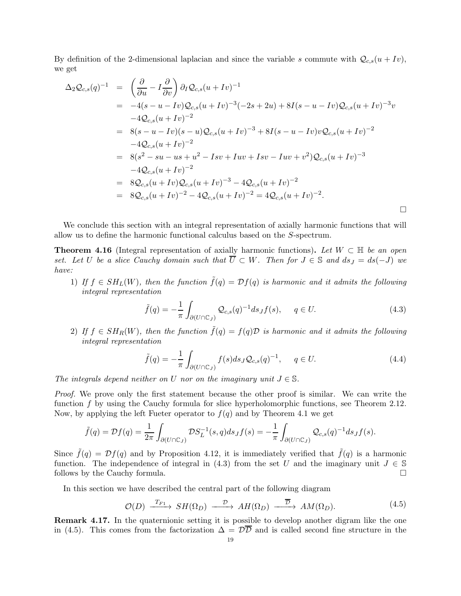By definition of the 2-dimensional laplacian and since the variable s commute with  $Q_{c,s}(u + Iv)$ , we get

$$
\Delta_2 Q_{c,s}(q)^{-1} = \left(\frac{\partial}{\partial u} - I \frac{\partial}{\partial v}\right) \partial_I Q_{c,s}(u+Iv)^{-1}
$$
  
\n
$$
= -4(s - u - Iv)Q_{c,s}(u+Iv)^{-3}(-2s+2u) + 8I(s - u - Iv)Q_{c,s}(u+Iv)^{-3}v
$$
  
\n
$$
-4Q_{c,s}(u+Iv)^{-2}
$$
  
\n
$$
= 8(s - u - Iv)(s - u)Q_{c,s}(u+Iv)^{-3} + 8I(s - u - Iv)vQ_{c,s}(u+Iv)^{-2}
$$
  
\n
$$
-4Q_{c,s}(u+Iv)^{-2}
$$
  
\n
$$
= 8(s^2 - su - us + u^2 - Isv + Iuv + Isv - Iuv + v^2)Q_{c,s}(u+Iv)^{-3}
$$
  
\n
$$
-4Q_{c,s}(u+Iv)^{-2}
$$
  
\n
$$
= 8Q_{c,s}(u+Iv)Q_{c,s}(u+Iv)^{-3} - 4Q_{c,s}(u+Iv)^{-2}
$$
  
\n
$$
= 8Q_{c,s}(u+Iv)^{-2} - 4Q_{c,s}(u+Iv)^{-2} = 4Q_{c,s}(u+Iv)^{-2}.
$$

<span id="page-18-0"></span>We conclude this section with an integral representation of axially harmonic functions that will allow us to define the harmonic functional calculus based on the S-spectrum.

**Theorem 4.16** (Integral representation of axially harmonic functions). Let  $W \subset \mathbb{H}$  be an open set. Let U be a slice Cauchy domain such that  $\overline{U} \subset W$ . Then for  $J \in \mathbb{S}$  and  $ds_J = ds(-J)$  we have:

1) If  $f \in SH_L(W)$ , then the function  $\tilde{f}(q) = \mathcal{D}f(q)$  is harmonic and it admits the following integral representation

<span id="page-18-1"></span>
$$
\tilde{f}(q) = -\frac{1}{\pi} \int_{\partial (U \cap \mathbb{C}_J)} \mathcal{Q}_{c,s}(q)^{-1} ds_J f(s), \qquad q \in U.
$$
\n(4.3)

2) If  $f \in SH_R(W)$ , then the function  $\tilde{f}(q) = f(q)\mathcal{D}$  is harmonic and it admits the following integral representation

$$
\tilde{f}(q) = -\frac{1}{\pi} \int_{\partial (U \cap \mathbb{C}_J)} f(s) ds_J \mathcal{Q}_{c,s}(q)^{-1}, \qquad q \in U.
$$
\n(4.4)

The integrals depend neither on U nor on the imaginary unit  $J \in \mathbb{S}$ .

Proof. We prove only the first statement because the other proof is similar. We can write the function f by using the Cauchy formula for slice hyperholomorphic functions, see Theorem [2.12.](#page-7-2) Now, by applying the left Fueter operator to  $f(q)$  and by Theorem [4.1](#page-13-4) we get

$$
\tilde{f}(q) = \mathcal{D}f(q) = \frac{1}{2\pi} \int_{\partial(U \cap \mathbb{C}_J)} \mathcal{D}S_L^{-1}(s,q) ds_J f(s) = -\frac{1}{\pi} \int_{\partial(U \cap \mathbb{C}_J)} \mathcal{Q}_{c,s}(q)^{-1} ds_J f(s).
$$

Since  $\tilde{f}(q) = \mathcal{D}f(q)$  and by Proposition [4.12,](#page-16-3) it is immediately verified that  $\tilde{f}(q)$  is a harmonic function. The independence of integral in [\(4.3\)](#page-18-1) from the set U and the imaginary unit  $J \in \mathbb{S}$  follows by the Cauchy formula. follows by the Cauchy formula.

In this section we have described the central part of the following diagram

<span id="page-18-2"></span>
$$
\mathcal{O}(D) \xrightarrow{T_{F1}} SH(\Omega_D) \xrightarrow{\mathcal{D}} AH(\Omega_D) \xrightarrow{\overline{\mathcal{D}}} AM(\Omega_D). \tag{4.5}
$$

Remark 4.17. In the quaternionic setting it is possible to develop another digram like the one in [\(4.5\)](#page-18-2). This comes from the factorization  $\Delta = \mathcal{D}\overline{\mathcal{D}}$  and is called second fine structure in the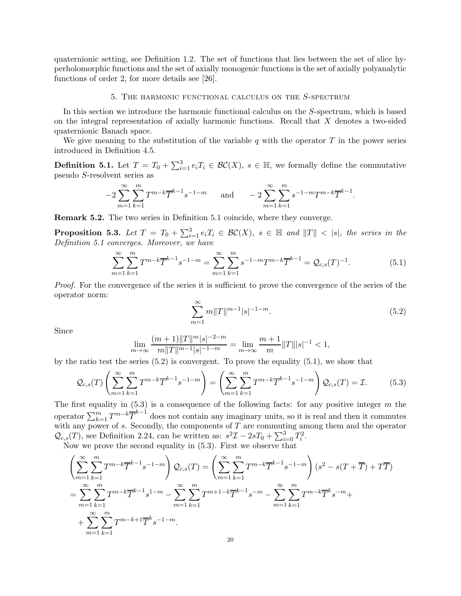quaternionic setting, see Definition [1.2.](#page-3-2) The set of functions that lies between the set of slice hyperholomorphic functions and the set of axially monogenic functions is the set of axially polyanalytic functions of order 2, for more details see [\[26\]](#page-39-8).

### 5. The harmonic functional calculus on the S-spectrum

<span id="page-19-0"></span>In this section we introduce the harmonic functional calculus on the S-spectrum, which is based on the integral representation of axially harmonic functions. Recall that X denotes a two-sided quaternionic Banach space.

<span id="page-19-1"></span>We give meaning to the substitution of the variable q with the operator  $T$  in the power series introduced in Definition [4.5.](#page-14-0)

**Definition 5.1.** Let  $T = T_0 + \sum_{i=1}^3 e_i T_i \in \mathcal{BC}(X)$ ,  $s \in \mathbb{H}$ , we formally define the commutative pseudo S-resolvent series as

$$
-2\sum_{m=1}^{\infty}\sum_{k=1}^{m}T^{m-k}\overline{T}^{k-1}s^{-1-m} \quad \text{and} \quad -2\sum_{m=1}^{\infty}\sum_{k=1}^{m}s^{-1-m}T^{m-k}\overline{T}^{k-1}.
$$

<span id="page-19-5"></span>Remark 5.2. The two series in Definition [5.1](#page-19-1) coincide, where they converge.

**Proposition 5.3.** Let  $T = T_0 + \sum_{i=1}^3 e_i T_i \in BC(X)$ ,  $s \in \mathbb{H}$  and  $||T|| < |s|$ , the series in the Definition [5.1](#page-19-1) converges. Moreover, we have

<span id="page-19-3"></span>
$$
\sum_{m=1}^{\infty} \sum_{k=1}^{m} T^{m-k} \overline{T}^{k-1} s^{-1-m} = \sum_{m=1}^{\infty} \sum_{k=1}^{m} s^{-1-m} T^{m-k} \overline{T}^{k-1} = \mathcal{Q}_{c,s}(T)^{-1}.
$$
 (5.1)

Proof. For the convergence of the series it is sufficient to prove the convergence of the series of the operator norm:

<span id="page-19-2"></span>
$$
\sum_{m=1}^{\infty} m ||T||^{m-1} |s|^{-1-m}.
$$
\n(5.2)

Since

$$
\lim_{m \to \infty} \frac{(m+1) \|T\|^m |s|^{-2-m}}{m \|T\|^{m-1} |s|^{-1-m}} = \lim_{m \to \infty} \frac{m+1}{m} \|T\| |s|^{-1} < 1,
$$

by the ratio test the series  $(5.2)$  is convergent. To prove the equality  $(5.1)$ , we show that

<span id="page-19-4"></span>
$$
\mathcal{Q}_{c,s}(T)\left(\sum_{m=1}^{\infty}\sum_{k=1}^{m}T^{m-k}\overline{T}^{k-1}s^{-1-m}\right) = \left(\sum_{m=1}^{\infty}\sum_{k=1}^{m}T^{m-k}\overline{T}^{k-1}s^{-1-m}\right)\mathcal{Q}_{c,s}(T) = \mathcal{I}.
$$
 (5.3)

The first equality in  $(5.3)$  is a consequence of the following facts: for any positive integer m the operator  $\sum_{k=1}^{m} T^{m-k} \overline{T}^{k-1}$  does not contain any imaginary units, so it is real and then it commutes with any power of s. Secondly, the components of  $\overline{T}$  are commuting among them and the operator  $\mathcal{Q}_{c,s}(T)$ , see Definition [2.24,](#page-10-1) can be written as:  $s^2\mathcal{I} - 2sT_0 + \sum_{i=0}^3 T_i^2$ .

Now we prove the second equality in  $(5.3)$ . First we observe that

$$
\left(\sum_{m=1}^{\infty} \sum_{k=1}^{m} T^{m-k} \overline{T}^{k-1} s^{-1-m}\right) \mathcal{Q}_{c,s}(T) = \left(\sum_{m=1}^{\infty} \sum_{k=1}^{m} T^{m-k} \overline{T}^{k-1} s^{-1-m}\right) (s^2 - s(T + \overline{T}) + T\overline{T})
$$
\n
$$
= \sum_{m=1}^{\infty} \sum_{k=1}^{m} T^{m-k} \overline{T}^{k-1} s^{1-m} - \sum_{m=1}^{\infty} \sum_{k=1}^{m} T^{m+1-k} \overline{T}^{k-1} s^{-m} - \sum_{m=1}^{\infty} \sum_{k=1}^{m} T^{m-k} \overline{T}^{k} s^{-m} +
$$
\n
$$
+ \sum_{m=1}^{\infty} \sum_{k=1}^{m} T^{m-k+1} \overline{T}^{k} s^{-1-m}.
$$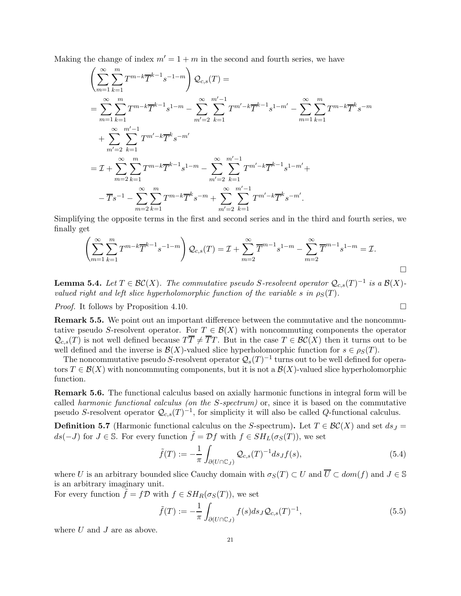Making the change of index  $m' = 1 + m$  in the second and fourth series, we have

$$
\left(\sum_{m=1}^{\infty} \sum_{k=1}^{m} T^{m-k} \overline{T}^{k-1} s^{-1-m}\right) \mathcal{Q}_{c,s}(T) =
$$
\n
$$
= \sum_{m=1}^{\infty} \sum_{k=1}^{m} T^{m-k} \overline{T}^{k-1} s^{1-m} - \sum_{m'=2}^{\infty} \sum_{k=1}^{m'-1} T^{m'-k} \overline{T}^{k-1} s^{1-m'} - \sum_{m=1}^{\infty} \sum_{k=1}^{m} T^{m-k} \overline{T}^{k} s^{-m}
$$
\n
$$
+ \sum_{m'=2}^{\infty} \sum_{k=1}^{m'-1} T^{m'-k} \overline{T}^{k} s^{-m'}
$$
\n
$$
= \mathcal{I} + \sum_{m=2}^{\infty} \sum_{k=1}^{m} T^{m-k} \overline{T}^{k-1} s^{1-m} - \sum_{m'=2}^{\infty} \sum_{k=1}^{m'-1} T^{m'-k} \overline{T}^{k-1} s^{1-m'} +
$$
\n
$$
- \overline{T} s^{-1} - \sum_{m=2}^{\infty} \sum_{k=1}^{m} T^{m-k} \overline{T}^{k} s^{-m} + \sum_{m'=2}^{\infty} \sum_{k=1}^{m'-1} T^{m'-k} \overline{T}^{k} s^{-m'}.
$$

Simplifying the opposite terms in the first and second series and in the third and fourth series, we finally get

$$
\left(\sum_{m=1}^{\infty}\sum_{k=1}^{m}T^{m-k}\overline{T}^{k-1}s^{-1-m}\right)Q_{c,s}(T)=\mathcal{I}+\sum_{m=2}^{\infty}\overline{T}^{m-1}s^{1-m}-\sum_{m=2}^{\infty}\overline{T}^{m-1}s^{1-m}=\mathcal{I}.
$$

**Lemma 5.4.** Let  $T \in \mathcal{BC}(X)$ . The commutative pseudo S-resolvent operator  $\mathcal{Q}_{c,s}(T)^{-1}$  is a  $\mathcal{B}(X)$ valued right and left slice hyperholomorphic function of the variable s in  $\rho_S(T)$ .

*Proof.* It follows by Proposition [4.10.](#page-16-4)

Remark 5.5. We point out an important difference between the commutative and the noncommutative pseudo S-resolvent operator. For  $T \in \mathcal{B}(X)$  with noncommuting components the operator  $\mathcal{Q}_{c,s}(T)$  is not well defined because  $T\overline{T} \neq \overline{T}T$ . But in the case  $T \in \mathcal{BC}(X)$  then it turns out to be well defined and the inverse is  $\mathcal{B}(X)$ -valued slice hyperholomorphic function for  $s \in \rho_S(T)$ .

The noncommutative pseudo S-resolvent operator  $\mathcal{Q}_s(T)^{-1}$  turns out to be well defined for operators  $T \in \mathcal{B}(X)$  with noncommuting components, but it is not a  $\mathcal{B}(X)$ -valued slice hyperholomorphic function.

Remark 5.6. The functional calculus based on axially harmonic functions in integral form will be called harmonic functional calculus (on the S-spectrum) or, since it is based on the commutative pseudo S-resolvent operator  $\mathcal{Q}_{c,s}(T)^{-1}$ , for simplicity it will also be called Q-functional calculus.

<span id="page-20-0"></span>**Definition 5.7** (Harmonic functional calculus on the S-spectrum). Let  $T \in \mathcal{BC}(X)$  and set  $ds_J =$ ds(-J) for  $J \in \mathbb{S}$ . For every function  $\tilde{f} = \mathcal{D}f$  with  $f \in SH_L(\sigma_S(T))$ , we set

<span id="page-20-1"></span>
$$
\tilde{f}(T) := -\frac{1}{\pi} \int_{\partial(U \cap \mathbb{C}_J)} \mathcal{Q}_{c,s}(T)^{-1} ds_J f(s),\tag{5.4}
$$

where U is an arbitrary bounded slice Cauchy domain with  $\sigma_S(T) \subset U$  and  $\overline{U} \subset dom(f)$  and  $J \in \mathbb{S}$ is an arbitrary imaginary unit.

For every function  $\tilde{f} = f\mathcal{D}$  with  $f \in SH_R(\sigma_S(T))$ , we set

<span id="page-20-2"></span>
$$
\tilde{f}(T) := -\frac{1}{\pi} \int_{\partial(U \cap \mathbb{C}_J)} f(s) ds_J \mathcal{Q}_{c,s}(T)^{-1},\tag{5.5}
$$

where  $U$  and  $J$  are as above.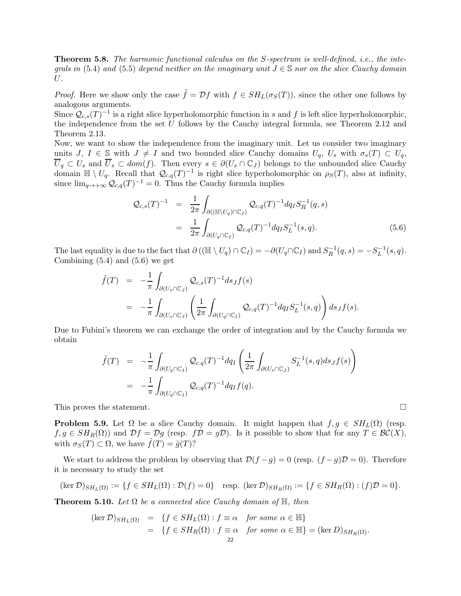Theorem 5.8. The harmonic functional calculus on the S-spectrum is well-defined, i.e., the inte-qrals in [\(5.4\)](#page-20-1) and [\(5.5\)](#page-20-2) depend neither on the imaginary unit  $J \in \mathbb{S}$  nor on the slice Cauchy domain U.

*Proof.* Here we show only the case  $\tilde{f} = Df$  with  $f \in SH_L(\sigma_S(T))$ , since the other one follows by analogous arguments.

Since  $\mathcal{Q}_{c,s}(T)^{-1}$  is a right slice hyperholomorphic function in s and f is left slice hyperholomorphic, the independence from the set  $U$  follows by the Cauchy integral formula, see Theorem [2.12](#page-7-2) and Theorem [2.13.](#page-7-3)

Now, we want to show the independence from the imaginary unit. Let us consider two imaginary units J,  $I \in \mathbb{S}$  with  $J \neq I$  and two bounded slice Cauchy domains  $U_q$ ,  $U_s$  with  $\sigma_s(T) \subset U_q$ ,  $\overline{U}_q \subset U_s$  and  $\overline{U}_s \subset dom(f)$ . Then every  $s \in \partial(U_s \cap \mathbb{C}_J)$  belongs to the unbounded slice Cauchy domain  $\mathbb{H} \setminus U_q$ . Recall that  $\mathcal{Q}_{c,q}(T)^{-1}$  is right slice hyperholomorphic on  $\rho_S(T)$ , also at infinity, since  $\lim_{q \to +\infty} \mathcal{Q}_{c,q}(T)^{-1} = 0$ . Thus the Cauchy formula implies

<span id="page-21-0"></span>
$$
\mathcal{Q}_{c,s}(T)^{-1} = \frac{1}{2\pi} \int_{\partial((\mathbb{H}\setminus U_q)\cap\mathbb{C}_I)} \mathcal{Q}_{c,q}(T)^{-1} dq_I S_R^{-1}(q,s)
$$
  

$$
= \frac{1}{2\pi} \int_{\partial(U_q\cap\mathbb{C}_I)} \mathcal{Q}_{c,q}(T)^{-1} dq_I S_L^{-1}(s,q).
$$
(5.6)

The last equality is due to the fact that  $\partial ((\mathbb{H} \setminus U_q) \cap \mathbb{C}_I) = -\partial (U_q \cap \mathbb{C}_I)$  and  $S_R^{-1}(q, s) = -S_L^{-1}(s, q)$ . Combining  $(5.4)$  and  $(5.6)$  we get

$$
\tilde{f}(T) = -\frac{1}{\pi} \int_{\partial(U_s \cap \mathbb{C}_J)} \mathcal{Q}_{c,s}(T)^{-1} ds_J f(s)
$$
\n
$$
= -\frac{1}{\pi} \int_{\partial(U_s \cap \mathbb{C}_J)} \left( \frac{1}{2\pi} \int_{\partial(U_q \cap \mathbb{C}_I)} \mathcal{Q}_{c,q}(T)^{-1} dq_I S_L^{-1}(s,q) \right) ds_J f(s).
$$

Due to Fubini's theorem we can exchange the order of integration and by the Cauchy formula we obtain

$$
\tilde{f}(T) = -\frac{1}{\pi} \int_{\partial (U_q \cap \mathbb{C}_I)} \mathcal{Q}_{c,q}(T)^{-1} dq_I \left( \frac{1}{2\pi} \int_{\partial (U_s \cap \mathbb{C}_J)} S_L^{-1}(s,q) ds_J f(s) \right)
$$
\n
$$
= -\frac{1}{\pi} \int_{\partial (U_q \cap \mathbb{C}_I)} \mathcal{Q}_{c,q}(T)^{-1} dq_I f(q).
$$

This proves the statement.

<span id="page-21-1"></span>**Problem 5.9.** Let  $\Omega$  be a slice Cauchy domain. It might happen that  $f, g \in SH<sub>L</sub>(\Omega)$  (resp.  $f, g \in SH_R(\Omega)$  and  $\mathcal{D}f = \mathcal{D}g$  (resp.  $f\mathcal{D} = g\mathcal{D}$ ). Is it possible to show that for any  $T \in \mathcal{BC}(X)$ , with  $\sigma_S(T) \subset \Omega$ , we have  $\tilde{f}(T) = \tilde{g}(T)$ ?

We start to address the problem by observing that  $\mathcal{D}(f - g) = 0$  (resp.  $(f - g)\mathcal{D} = 0$ ). Therefore it is necessary to study the set

$$
(\ker \mathcal{D})_{SH_L(\Omega)} := \{ f \in SH_L(\Omega) : \mathcal{D}(f) = 0 \} \quad \text{resp. } (\ker \mathcal{D})_{SH_R(\Omega)} := \{ f \in SH_R(\Omega) : (f)\mathcal{D} = 0 \}.
$$

<span id="page-21-2"></span>**Theorem 5.10.** Let  $\Omega$  be a connected slice Cauchy domain of  $\mathbb{H}$ , then

$$
(\ker \mathcal{D})_{SH_L(\Omega)} = \{ f \in SH_L(\Omega) : f \equiv \alpha \text{ for some } \alpha \in \mathbb{H} \}
$$
  
= 
$$
\{ f \in SH_R(\Omega) : f \equiv \alpha \text{ for some } \alpha \in \mathbb{H} \} = (\ker D)_{SH_R(\Omega)}.
$$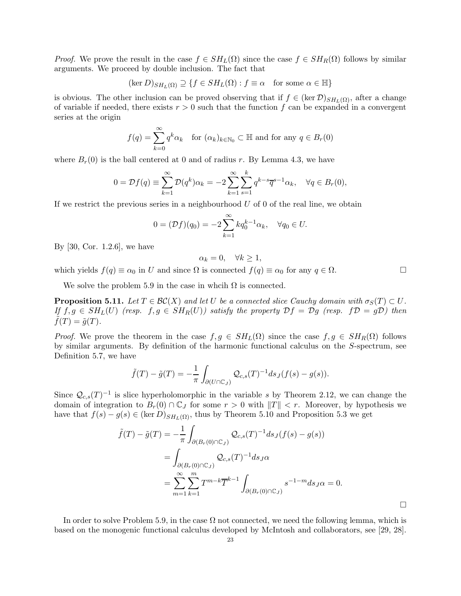*Proof.* We prove the result in the case  $f \in SH<sub>L</sub>(\Omega)$  since the case  $f \in SH<sub>R</sub>(\Omega)$  follows by similar arguments. We proceed by double inclusion. The fact that

$$
(\ker D)_{SH_L(\Omega)} \supseteq \{f \in SH_L(\Omega) : f \equiv \alpha \quad \text{for some } \alpha \in \mathbb{H} \}
$$

is obvious. The other inclusion can be proved observing that if  $f \in (\ker \mathcal{D})_{SH_{L}(\Omega)}$ , after a change of variable if needed, there exists  $r > 0$  such that the function f can be expanded in a convergent series at the origin

$$
f(q) = \sum_{k=0}^{\infty} q^k \alpha_k \quad \text{for } (\alpha_k)_{k \in \mathbb{N}_0} \subset \mathbb{H} \text{ and for any } q \in B_r(0)
$$

where  $B_r(0)$  is the ball centered at 0 and of radius r. By Lemma [4.3,](#page-14-1) we have

$$
0 = \mathcal{D}f(q) \equiv \sum_{k=1}^{\infty} \mathcal{D}(q^k)\alpha_k = -2\sum_{k=1}^{\infty} \sum_{s=1}^{k} q^{k-s} \overline{q}^{s-1}\alpha_k, \quad \forall q \in B_r(0),
$$

If we restrict the previous series in a neighbourhood  $U$  of 0 of the real line, we obtain

$$
0 = (\mathcal{D}f)(q_0) = -2 \sum_{k=1}^{\infty} k q_0^{k-1} \alpha_k, \quad \forall q_0 \in U.
$$

By [\[30,](#page-39-9) Cor. 1.2.6], we have

$$
\alpha_k = 0, \quad \forall k \ge 1,
$$

which yields  $f(q) \equiv \alpha_0$  in U and since  $\Omega$  is connected  $f(q) \equiv \alpha_0$  for any  $q \in \Omega$ .

<span id="page-22-0"></span>We solve the problem [5.9](#page-21-1) in the case in whcih  $\Omega$  is connected.

**Proposition 5.11.** Let  $T \in \mathcal{BC}(X)$  and let U be a connected slice Cauchy domain with  $\sigma_S(T) \subset U$ . If  $f, g \in SH_L(U)$  (resp.  $f, g \in SH_R(U)$ ) satisfy the property  $\mathcal{D}f = \mathcal{D}g$  (resp.  $f\mathcal{D} = g\mathcal{D}$ ) then  $f(T) = \tilde{g}(T).$ 

*Proof.* We prove the theorem in the case  $f, g \in SH<sub>L</sub>(\Omega)$  since the case  $f, g \in SH<sub>R</sub>(\Omega)$  follows by similar arguments. By definition of the harmonic functional calculus on the S-spectrum, see Definition [5.7,](#page-20-0) we have

$$
\tilde{f}(T) - \tilde{g}(T) = -\frac{1}{\pi} \int_{\partial(U \cap \mathbb{C}_J)} \mathcal{Q}_{c,s}(T)^{-1} ds_J(f(s) - g(s)).
$$

Since  $\mathcal{Q}_{c,s}(T)^{-1}$  is slice hyperholomorphic in the variable s by Theorem [2.12,](#page-7-2) we can change the domain of integration to  $B_r(0) \cap \mathbb{C}_J$  for some  $r > 0$  with  $||T|| < r$ . Moreover, by hypothesis we have that  $f(s) - g(s) \in (\ker D)_{SH_L(\Omega)}$ , thus by Theorem [5.10](#page-21-2) and Proposition [5.3](#page-19-5) we get

$$
\tilde{f}(T) - \tilde{g}(T) = -\frac{1}{\pi} \int_{\partial (B_r(0) \cap \mathbb{C}_J)} \mathcal{Q}_{c,s}(T)^{-1} ds_J(f(s) - g(s))
$$
  
\n
$$
= \int_{\partial (B_r(0) \cap \mathbb{C}_J)} \mathcal{Q}_{c,s}(T)^{-1} ds_J \alpha
$$
  
\n
$$
= \sum_{m=1}^{\infty} \sum_{k=1}^{m} T^{m-k} \overline{T}^{k-1} \int_{\partial (B_r(0) \cap \mathbb{C}_J)} s^{-1-m} ds_J \alpha = 0.
$$

<span id="page-22-1"></span>In order to solve Problem [5.9,](#page-21-1) in the case  $\Omega$  not connected, we need the following lemma, which is based on the monogenic functional calculus developed by McIntosh and collaborators, see [\[29,](#page-39-4) [28\]](#page-39-5).

 $\Box$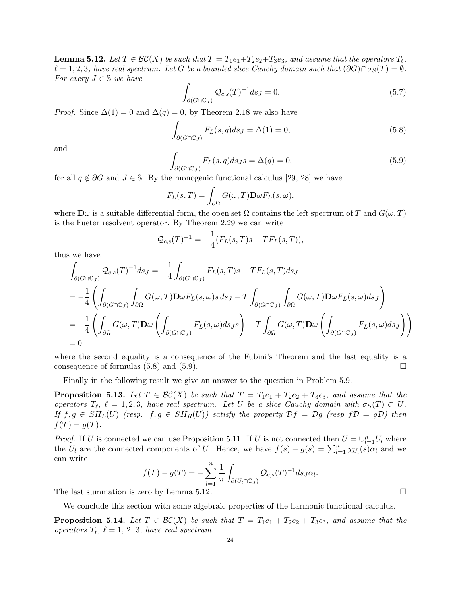**Lemma 5.12.** Let  $T \in \mathcal{BC}(X)$  be such that  $T = T_1e_1 + T_2e_2 + T_3e_3$ , and assume that the operators  $T_{\ell}$ ,  $\ell = 1, 2, 3$ , have real spectrum. Let G be a bounded slice Cauchy domain such that  $(\partial G) \cap \sigma_S(T) = \emptyset$ . For every  $J \in \mathbb{S}$  we have

$$
\int_{\partial(G \cap \mathbb{C}_J)} \mathcal{Q}_{c,s}(T)^{-1} ds_J = 0.
$$
\n(5.7)

*Proof.* Since  $\Delta(1) = 0$  and  $\Delta(q) = 0$ , by Theorem [2.18](#page-8-1) we also have

<span id="page-23-0"></span>
$$
\int_{\partial(G \cap \mathbb{C}_J)} F_L(s, q) ds_J = \Delta(1) = 0,
$$
\n(5.8)

and

<span id="page-23-1"></span>
$$
\int_{\partial(G \cap \mathbb{C}_J)} F_L(s, q) ds_J s = \Delta(q) = 0,
$$
\n(5.9)

for all  $q \notin \partial G$  and  $J \in \mathbb{S}$ . By the monogenic functional calculus [\[29,](#page-39-4) [28\]](#page-39-5) we have

$$
F_L(s,T) = \int_{\partial\Omega} G(\omega,T) \mathbf{D}\omega F_L(s,\omega),
$$

where  $\mathbf{D}\omega$  is a suitable differential form, the open set  $\Omega$  contains the left spectrum of T and  $G(\omega, T)$ is the Fueter resolvent operator. By Theorem [2.29](#page-11-4) we can write

$$
\mathcal{Q}_{c,s}(T)^{-1} = -\frac{1}{4}(F_L(s,T)s - TF_L(s,T)),
$$

thus we have

$$
\int_{\partial(G\cap\mathbb{C}_J)} \mathcal{Q}_{c,s}(T)^{-1} ds_J = -\frac{1}{4} \int_{\partial(G\cap\mathbb{C}_J)} F_L(s,T) s - TF_L(s,T) ds_J
$$
\n
$$
= -\frac{1}{4} \left( \int_{\partial(G\cap\mathbb{C}_J)} \int_{\partial\Omega} G(\omega,T) \mathbf{D}\omega F_L(s,\omega) s \, ds_J - T \int_{\partial(G\cap\mathbb{C}_J)} \int_{\partial\Omega} G(\omega,T) \mathbf{D}\omega F_L(s,\omega) ds_J \right)
$$
\n
$$
= -\frac{1}{4} \left( \int_{\partial\Omega} G(\omega,T) \mathbf{D}\omega \left( \int_{\partial(G\cap\mathbb{C}_J)} F_L(s,\omega) ds_J s \right) - T \int_{\partial\Omega} G(\omega,T) \mathbf{D}\omega \left( \int_{\partial(G\cap\mathbb{C}_J)} F_L(s,\omega) ds_J \right) \right)
$$
\n
$$
= 0
$$

where the second equality is a consequence of the Fubini's Theorem and the last equality is a consequence of formulas  $(5.8)$  and  $(5.9)$ .

Finally in the following result we give an answer to the question in Problem [5.9.](#page-21-1)

**Proposition 5.13.** Let  $T \in BC(X)$  be such that  $T = T_1e_1 + T_2e_2 + T_3e_3$ , and assume that the operators  $T_{\ell}$ ,  $\ell = 1, 2, 3$ , have real spectrum. Let U be a slice Cauchy domain with  $\sigma_S(T) \subset U$ . If  $f, g \in SH_L(U)$  (resp.  $f, g \in SH_R(U)$ ) satisfy the property  $\mathcal{D}f = \mathcal{D}g$  (resp  $f\mathcal{D} = g\mathcal{D}$ ) then  $f(T) = \tilde{g}(T)$ .

*Proof.* If U is connected we can use Proposition [5.11.](#page-22-0) If U is not connected then  $U = \bigcup_{l=1}^{n} U_l$  where the  $U_l$  are the connected components of U. Hence, we have  $f(s) - g(s) = \sum_{l=1}^n \chi_{U_l}(s) \alpha_l$  and we can write

$$
\tilde{f}(T) - \tilde{g}(T) = -\sum_{l=1}^{n} \frac{1}{\pi} \int_{\partial (U_l \cap \mathbb{C}_J)} \mathcal{Q}_{c,s}(T)^{-1} ds_J \alpha_l.
$$

The last summation is zero by Lemma [5.12.](#page-22-1)  $\Box$ 

We conclude this section with some algebraic properties of the harmonic functional calculus.

**Proposition 5.14.** Let  $T \in BC(X)$  be such that  $T = T_1e_1 + T_2e_2 + T_3e_3$ , and assume that the operators  $T_{\ell}$ ,  $\ell = 1, 2, 3$ , have real spectrum.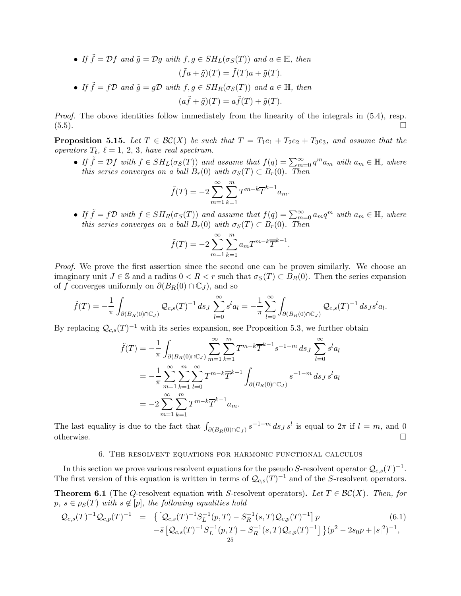\n- \n
$$
\text{If } \tilde{f} = \mathcal{D}f \text{ and } \tilde{g} = \mathcal{D}g \text{ with } f, g \in SH_L(\sigma_S(T)) \text{ and } a \in \mathbb{H}, \text{ then}
$$
\n
$$
(\tilde{f}a + \tilde{g})(T) = \tilde{f}(T)a + \tilde{g}(T).
$$
\n
\n- \n
$$
\text{If } \tilde{f} = f\mathcal{D} \text{ and } \tilde{g} = g\mathcal{D} \text{ with } f, g \in SH_R(\sigma_S(T)) \text{ and } a \in \mathbb{H}, \text{ then}
$$
\n
$$
(a\tilde{f} + \tilde{g})(T) = a\tilde{f}(T) + \tilde{g}(T).
$$
\n
\n

Proof. The obove identities follow immediately from the linearity of the integrals in  $(5.4)$ , resp.  $(5.5)$ .

**Proposition 5.15.** Let  $T \in BC(X)$  be such that  $T = T_1e_1 + T_2e_2 + T_3e_3$ , and assume that the operators  $T_{\ell}$ ,  $\ell = 1, 2, 3$ , have real spectrum.

• If  $\tilde{f} = Df$  with  $f \in SH_L(\sigma_S(T))$  and assume that  $f(q) = \sum_{m=0}^{\infty} q^m a_m$  with  $a_m \in \mathbb{H}$ , where this series converges on a ball  $B_r(0)$  with  $\sigma_S(T) \subset B_r(0)$ . Then

$$
\tilde{f}(T) = -2 \sum_{m=1}^{\infty} \sum_{k=1}^{m} T^{m-k} \overline{T}^{k-1} a_m.
$$

• If  $\tilde{f} = f\mathcal{D}$  with  $f \in SH_R(\sigma_S(T))$  and assume that  $f(q) = \sum_{m=0}^{\infty} a_m q^m$  with  $a_m \in \mathbb{H}$ , where this series converges on a ball  $B_r(0)$  with  $\sigma_S(T) \subset B_r(0)$ . Then

$$
\tilde{f}(T) = -2 \sum_{m=1}^{\infty} \sum_{k=1}^{m} a_m T^{m-k} \overline{T}^{k-1}.
$$

Proof. We prove the first assertion since the second one can be proven similarly. We choose an imaginary unit  $J \in \mathbb{S}$  and a radius  $0 < R < r$  such that  $\sigma_S(T) \subset B_R(0)$ . Then the series expansion of f converges uniformly on  $\partial(B_R(0) \cap \mathbb{C}_J)$ , and so

$$
\tilde{f}(T) = -\frac{1}{\pi} \int_{\partial (B_R(0) \cap \mathbb{C}_J)} \mathcal{Q}_{c,s}(T)^{-1} \, ds_J \sum_{l=0}^{\infty} s^l a_l = -\frac{1}{\pi} \sum_{l=0}^{\infty} \int_{\partial (B_R(0) \cap \mathbb{C}_J)} \mathcal{Q}_{c,s}(T)^{-1} \, ds_J s^l a_l.
$$

By replacing  $\mathcal{Q}_{c,s}(T)^{-1}$  with its series expansion, see Proposition [5.3,](#page-19-5) we further obtain

$$
\tilde{f}(T) = -\frac{1}{\pi} \int_{\partial (B_R(0) \cap \mathbb{C}_J)} \sum_{m=1}^{\infty} \sum_{k=1}^{m} T^{m-k} \overline{T}^{k-1} s^{-1-m} ds_J \sum_{l=0}^{\infty} s^l a_l
$$
  
\n
$$
= -\frac{1}{\pi} \sum_{m=1}^{\infty} \sum_{k=1}^{m} \sum_{l=0}^{\infty} T^{m-k} \overline{T}^{k-1} \int_{\partial (B_R(0) \cap \mathbb{C}_J)} s^{-1-m} ds_J s^l a_l
$$
  
\n
$$
= -2 \sum_{m=1}^{\infty} \sum_{k=1}^{m} T^{m-k} \overline{T}^{k-1} a_m.
$$

<span id="page-24-0"></span>The last equality is due to the fact that  $\int_{\partial (B_R(0) \cap \mathbb{C}_J)} s^{-1-m} ds_J s^l$  is equal to  $2\pi$  if  $l = m$ , and 0 otherwise.  $\square$ 

## 6. The resolvent equations for harmonic functional calculus

In this section we prove various resolvent equations for the pseudo S-resolvent operator  $\mathcal{Q}_{c,s}(T)^{-1}$ . The first version of this equation is written in terms of  $\mathcal{Q}_{c,s}(T)^{-1}$  and of the S-resolvent operators.

<span id="page-24-1"></span>**Theorem 6.1** (The Q-resolvent equation with S-resolvent operators). Let  $T \in \mathcal{BC}(X)$ . Then, for  $p, s \in \rho_S(T)$  with  $s \notin [p]$ , the following equalities hold

$$
\mathcal{Q}_{c,s}(T)^{-1}\mathcal{Q}_{c,p}(T)^{-1} = \left\{ \left[ \mathcal{Q}_{c,s}(T)^{-1}S_L^{-1}(p,T) - S_R^{-1}(s,T)\mathcal{Q}_{c,p}(T)^{-1} \right] p - \bar{s} \left[ \mathcal{Q}_{c,s}(T)^{-1}S_L^{-1}(p,T) - S_R^{-1}(s,T)\mathcal{Q}_{c,p}(T)^{-1} \right] \right\} (p^2 - 2s_0p + |s|^2)^{-1},
$$
\n(6.1)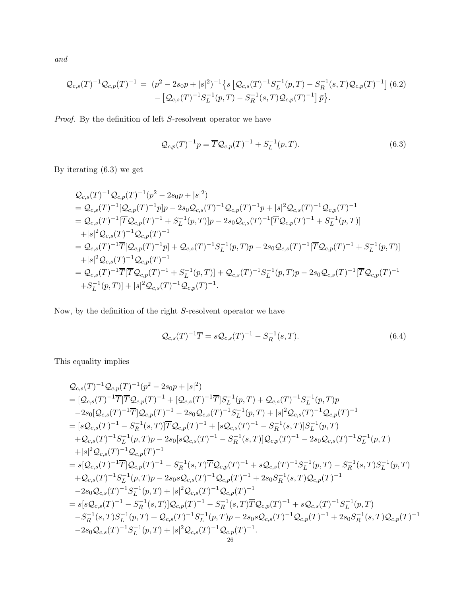and

<span id="page-25-1"></span>
$$
\mathcal{Q}_{c,s}(T)^{-1}\mathcal{Q}_{c,p}(T)^{-1} = (p^2 - 2s_0p + |s|^2)^{-1} \left\{ s \left[ \mathcal{Q}_{c,s}(T)^{-1}S_L^{-1}(p,T) - S_R^{-1}(s,T)\mathcal{Q}_{c,p}(T)^{-1} \right] (6.2) - \left[ \mathcal{Q}_{c,s}(T)^{-1}S_L^{-1}(p,T) - S_R^{-1}(s,T)\mathcal{Q}_{c,p}(T)^{-1} \right] \bar{p} \right\}.
$$

Proof. By the definition of left S-resolvent operator we have

<span id="page-25-0"></span>
$$
\mathcal{Q}_{c,p}(T)^{-1}p = \overline{T}\mathcal{Q}_{c,p}(T)^{-1} + S_L^{-1}(p,T).
$$
\n(6.3)

By iterating [\(6.3\)](#page-25-0) we get

$$
Q_{c,s}(T)^{-1}Q_{c,p}(T)^{-1}(p^{2}-2s_{0}p+|s|^{2})
$$
  
=  $Q_{c,s}(T)^{-1}[Q_{c,p}(T)^{-1}p]p-2s_{0}Q_{c,s}(T)^{-1}Q_{c,p}(T)^{-1}p+|s|^{2}Q_{c,s}(T)^{-1}Q_{c,p}(T)^{-1}$   
=  $Q_{c,s}(T)^{-1}[\overline{T}Q_{c,p}(T)^{-1}+S_{L}^{-1}(p,T)]p-2s_{0}Q_{c,s}(T)^{-1}[\overline{T}Q_{c,p}(T)^{-1}+S_{L}^{-1}(p,T)]$   
+ $|s|^{2}Q_{c,s}(T)^{-1}Q_{c,p}(T)^{-1}$   
=  $Q_{c,s}(T)^{-1}\overline{T}[Q_{c,p}(T)^{-1}p]+Q_{c,s}(T)^{-1}S_{L}^{-1}(p,T)p-2s_{0}Q_{c,s}(T)^{-1}[\overline{T}Q_{c,p}(T)^{-1}+S_{L}^{-1}(p,T)]$   
+ $|s|^{2}Q_{c,s}(T)^{-1}Q_{c,p}(T)^{-1}$   
=  $Q_{c,s}(T)^{-1}\overline{T}[\overline{T}Q_{c,p}(T)^{-1}+S_{L}^{-1}(p,T)]+Q_{c,s}(T)^{-1}S_{L}^{-1}(p,T)p-2s_{0}Q_{c,s}(T)^{-1}[\overline{T}Q_{c,p}(T)^{-1}$   
+ $S_{L}^{-1}(p,T)]+|s|^{2}Q_{c,s}(T)^{-1}Q_{c,p}(T)^{-1}$ .

Now, by the definition of the right  $S$ -resolvent operator we have

$$
\mathcal{Q}_{c,s}(T)^{-1}\overline{T} = s\mathcal{Q}_{c,s}(T)^{-1} - S_R^{-1}(s,T). \tag{6.4}
$$

This equality implies

$$
Q_{c,s}(T)^{-1}Q_{c,p}(T)^{-1}(p^{2}-2s_{0}p+|s|^{2})
$$
\n
$$
= [Q_{c,s}(T)^{-1}\overline{T}]\overline{T}Q_{c,p}(T)^{-1} + [Q_{c,s}(T)^{-1}\overline{T}]S_{L}^{-1}(p,T) + Q_{c,s}(T)^{-1}S_{L}^{-1}(p,T)p
$$
\n
$$
-2s_{0}[Q_{c,s}(T)^{-1}\overline{T}]\mathcal{Q}_{c,p}(T)^{-1} - 2s_{0}Q_{c,s}(T)^{-1}S_{L}^{-1}(p,T) + |s|^{2}Q_{c,s}(T)^{-1}\mathcal{Q}_{c,p}(T)^{-1}
$$
\n
$$
= [sQ_{c,s}(T)^{-1}S_{L}^{-1}(p,T)p - 2s_{0}[sQ_{c,s}(T)^{-1} + [sQ_{c,s}(T)^{-1} - S_{R}^{-1}(s,T)]S_{L}^{-1}(p,T)
$$
\n
$$
+Q_{c,s}(T)^{-1}S_{L}^{-1}(p,T)p - 2s_{0}[sQ_{c,s}(T)^{-1} - S_{R}^{-1}(s,T)]Q_{c,p}(T)^{-1} - 2s_{0}Q_{c,s}(T)^{-1}S_{L}^{-1}(p,T)
$$
\n
$$
+|s|^{2}Q_{c,s}(T)^{-1}\mathcal{Q}_{c,p}(T)^{-1}
$$
\n
$$
= s[Q_{c,s}(T)^{-1}\overline{T}]\mathcal{Q}_{c,p}(T)^{-1} - S_{R}^{-1}(s,T)\overline{T}\mathcal{Q}_{c,p}(T)^{-1} + sQ_{c,s}(T)^{-1}S_{L}^{-1}(p,T) - S_{R}^{-1}(s,T)S_{L}^{-1}(p,T)
$$
\n
$$
+Q_{c,s}(T)^{-1}S_{L}^{-1}(p,T)p - 2s_{0}sQ_{c,s}(T)^{-1}\mathcal{Q}_{c,p}(T)^{-1} + 2s_{0}S_{R}^{-1}(s,T)\mathcal{Q}_{c,p}(T)^{-1}
$$
\n
$$
-2s_{0}Q_{c,s}(T)^{-1}S_{L}^{-1}(p,T) + |s|^{2}\mathcal{Q}_{c,s}(T)^{-1}\mathcal{Q}_{c,p}(T)^{-1}
$$
\n
$$
= s[sQ_{c,s}(T)^{-1} - S_{R}^{-1}(s,T)]\mathcal{Q}_{c,p}(T)^{-
$$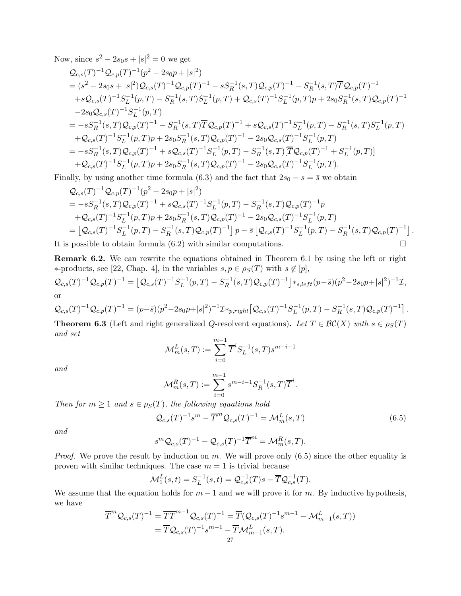Now, since  $s^2 - 2s_0s + |s|^2 = 0$  we get

$$
Q_{c,s}(T)^{-1}Q_{c,p}(T)^{-1}(p^{2}-2s_{0}p+|s|^{2})
$$
  
\n
$$
= (s^{2}-2s_{0}s+|s|^{2})Q_{c,s}(T)^{-1}Q_{c,p}(T)^{-1}-sS_{R}^{-1}(s,T)Q_{c,p}(T)^{-1}-S_{R}^{-1}(s,T)\overline{T}Q_{c,p}(T)^{-1}
$$
  
\n
$$
+sQ_{c,s}(T)^{-1}S_{L}^{-1}(p,T)-S_{R}^{-1}(s,T)S_{L}^{-1}(p,T)+Q_{c,s}(T)^{-1}S_{L}^{-1}(p,T)p+2s_{0}S_{R}^{-1}(s,T)Q_{c,p}(T)^{-1}
$$
  
\n
$$
-2s_{0}Q_{c,s}(T)^{-1}S_{L}^{-1}(p,T)
$$
  
\n
$$
= -sS_{R}^{-1}(s,T)Q_{c,p}(T)^{-1}-S_{R}^{-1}(s,T)\overline{T}Q_{c,p}(T)^{-1}+sQ_{c,s}(T)^{-1}S_{L}^{-1}(p,T)-S_{R}^{-1}(s,T)S_{L}^{-1}(p,T)
$$
  
\n
$$
+Q_{c,s}(T)^{-1}S_{L}^{-1}(p,T)p+2s_{0}S_{R}^{-1}(s,T)Q_{c,p}(T)^{-1}-2s_{0}Q_{c,s}(T)^{-1}S_{L}^{-1}(p,T)
$$
  
\n
$$
= -sS_{R}^{-1}(s,T)Q_{c,p}(T)^{-1}+sQ_{c,s}(T)^{-1}S_{L}^{-1}(p,T)-S_{R}^{-1}(s,T)[\overline{T}Q_{c,p}(T)^{-1}+S_{L}^{-1}(p,T)]
$$
  
\n
$$
+Q_{c,s}(T)^{-1}S_{L}^{-1}(p,T)p+2s_{0}S_{R}^{-1}(s,T)Q_{c,p}(T)^{-1}-2s_{0}Q_{c,s}(T)^{-1}S_{L}^{-1}(p,T).
$$

Finally, by using another time formula [\(6.3\)](#page-25-0) and the fact that  $2s_0 - s = \overline{s}$  we obtain

$$
Q_{c,s}(T)^{-1}Q_{c,p}(T)^{-1}(p^{2}-2s_{0}p+|s|^{2})
$$
  
= -sS<sub>R</sub><sup>-1</sup>(s, T)Q<sub>c,p</sub>(T)<sup>-1</sup> + sQ<sub>c,s</sub>(T)<sup>-1</sup>S<sub>L</sub><sup>-1</sup>(p, T) - S<sub>R</sub><sup>-1</sup>(s, T)Q<sub>c,p</sub>(T)<sup>-1</sup>p  
+Q<sub>c,s</sub>(T)<sup>-1</sup>S<sub>L</sub><sup>-1</sup>(p, T)p + 2s\_{0}S<sub>R</sub><sup>-1</sup>(s, T)Q<sub>c,p</sub>(T)<sup>-1</sup> - 2s\_{0}Q<sub>c,s</sub>(T)<sup>-1</sup>S<sub>L</sub><sup>-1</sup>(p, T)  
= [Q<sub>c,s</sub>(T)<sup>-1</sup>S<sub>L</sub><sup>-1</sup>(p, T) - S<sub>R</sub><sup>-1</sup>(s, T)Q<sub>c,p</sub>(T)<sup>-1</sup>] p - \bar{s}[Q<sub>c,s</sub>(T)<sup>-1</sup>S<sub>L</sub><sup>-1</sup>(p, T) - S<sub>R</sub><sup>-1</sup>(s, T)Q<sub>c,p</sub>(T)<sup>-1</sup>].

It is possible to obtain formula [\(6.2\)](#page-25-1) with similar computations.

Remark 6.2. We can rewrite the equations obtained in Theorem [6.1](#page-24-1) by using the left or right ∗-products, see [\[22,](#page-38-6) Chap. 4], in the variables  $s, p \in \rho_S(T)$  with  $s \notin [p]$ ,

$$
\mathcal{Q}_{c,s}(T)^{-1}\mathcal{Q}_{c,p}(T)^{-1} = \left[\mathcal{Q}_{c,s}(T)^{-1}S_L^{-1}(p,T) - S_R^{-1}(s,T)\mathcal{Q}_{c,p}(T)^{-1}\right] *_{s,left}(p-\bar{s})(p^2-2s_0p+|s|^2)^{-1}\mathcal{I},
$$
 or

$$
\mathcal{Q}_{c,s}(T)^{-1}\mathcal{Q}_{c,p}(T)^{-1} = (p-\bar{s})(p^2-2s_0p+|s|^2)^{-1}\mathcal{I} *_{p, right}[\mathcal{Q}_{c,s}(T)^{-1}S_L^{-1}(p,T)-S_R^{-1}(s,T)\mathcal{Q}_{c,p}(T)^{-1}].
$$

**Theorem 6.3** (Left and right generalized Q-resolvent equations). Let  $T \in \mathcal{BC}(X)$  with  $s \in \rho_S(T)$ and set

$$
\mathcal{M}^L_m(s,T):=\sum_{i=0}^{m-1}\overline{T}^iS^{-1}_L(s,T)s^{m-i-1}
$$

and

$$
\mathcal{M}_m^R(s,T) := \sum_{i=0}^{m-1} s^{m-i-1} S_R^{-1}(s,T) \overline{T}^i.
$$

Then for  $m \geq 1$  and  $s \in \rho_S(T)$ , the following equations hold

<span id="page-26-0"></span>
$$
\mathcal{Q}_{c,s}(T)^{-1} s^m - \overline{T}^m \mathcal{Q}_{c,s}(T)^{-1} = \mathcal{M}_m^L(s,T)
$$
\n
$$
(6.5)
$$

and

$$
s^m \mathcal{Q}_{c,s}(T)^{-1} - \mathcal{Q}_{c,s}(T)^{-1}\overline{T}^m = \mathcal{M}_m^R(s,T).
$$

*Proof.* We prove the result by induction on m. We will prove only  $(6.5)$  since the other equality is proven with similar techniques. The case  $m = 1$  is trivial because

$$
\mathcal{M}_1^L(s,t) = S_L^{-1}(s,t) = \mathcal{Q}_{c,s}^{-1}(T)s - \overline{T}\mathcal{Q}_{c,s}^{-1}(T).
$$

We assume that the equation holds for  $m-1$  and we will prove it for m. By inductive hypothesis, we have

$$
\overline{T}^m \mathcal{Q}_{c,s}(T)^{-1} = \overline{TT}^{m-1} \mathcal{Q}_{c,s}(T)^{-1} = \overline{T}(\mathcal{Q}_{c,s}(T)^{-1} s^{m-1} - \mathcal{M}_{m-1}^L(s,T))
$$
  
=  $\overline{T} \mathcal{Q}_{c,s}(T)^{-1} s^{m-1} - \overline{T} \mathcal{M}_{m-1}^L(s,T).$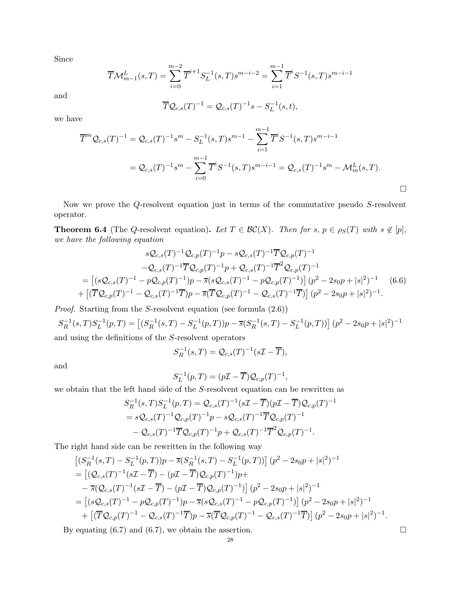Since

$$
\overline{T}\mathcal{M}_{m-1}^{L}(s,T) = \sum_{i=0}^{m-2} \overline{T}^{i+1} S_L^{-1}(s,T) s^{m-i-2} = \sum_{i=1}^{m-1} \overline{T}^i S^{-1}(s,T) s^{m-i-1}
$$

and

$$
\overline{T}\mathcal{Q}_{c,s}(T)^{-1} = \mathcal{Q}_{c,s}(T)^{-1}s - S_L^{-1}(s,t),
$$

we have

$$
\overline{T}^m \mathcal{Q}_{c,s}(T)^{-1} = \mathcal{Q}_{c,s}(T)^{-1} s^m - S_L^{-1}(s,T) s^{m-1} - \sum_{i=1}^{m-1} \overline{T}^i S^{-1}(s,T) s^{m-i-1}
$$
  
= 
$$
\mathcal{Q}_{c,s}(T)^{-1} s^m - \sum_{i=0}^{m-1} \overline{T}^i S^{-1}(s,T) s^{m-i-1} = \mathcal{Q}_{c,s}(T)^{-1} s^m - \mathcal{M}_m^L(s,T).
$$

<span id="page-27-1"></span>Now we prove the Q-resolvent equation just in terms of the commutative pseudo S-resolvent operator.

**Theorem 6.4** (The Q-resolvent equation). Let  $T \in \mathcal{BC}(X)$ . Then for  $s, p \in \rho_S(T)$  with  $s \notin [p]$ , we have the following equation

<span id="page-27-0"></span>
$$
sQ_{c,s}(T)^{-1}Q_{c,p}(T)^{-1}p - sQ_{c,s}(T)^{-1}\overline{T}Q_{c,p}(T)^{-1}
$$
  
\n
$$
-Q_{c,s}(T)^{-1}\overline{T}Q_{c,p}(T)^{-1}p + Q_{c,s}(T)^{-1}\overline{T}^2Q_{c,p}(T)^{-1}
$$
  
\n
$$
= [(sQ_{c,s}(T)^{-1} - pQ_{c,p}(T)^{-1})p - \overline{s}(sQ_{c,s}(T)^{-1} - pQ_{c,p}(T)^{-1})] (p^2 - 2s_0p + |s|^2)^{-1} (6.6)
$$
  
\n
$$
+ [(\overline{T}Q_{c,p}(T)^{-1} - Q_{c,s}(T)^{-1}\overline{T})p - \overline{s}(\overline{T}Q_{c,p}(T)^{-1} - Q_{c,s}(T)^{-1}\overline{T})] (p^2 - 2s_0p + |s|^2)^{-1}.
$$

Proof. Starting from the S-resolvent equation (see formula [\(2.6\)](#page-9-3))

 $S_R^{-1}(s,T)S_L^{-1}(p,T) = [(S_R^{-1}(s,T) - S_L^{-1}(p,T))p - \overline{s}(S_R^{-1}(s,T) - S_L^{-1}(p,T))] (p^2 - 2s_0p + |s|^2)^{-1}$ and using the definitions of the S-resolvent operators

$$
S_R^{-1}(s,T) = \mathcal{Q}_{c,s}(T)^{-1}(s\mathcal{I} - \overline{T}),
$$

and

$$
S_L^{-1}(p,T) = (p\mathcal{I} - \overline{T})\mathcal{Q}_{c,p}(T)^{-1},
$$

we obtain that the left hand side of the S-resolvent equation can be rewritten as

$$
S_R^{-1}(s,T)S_L^{-1}(p,T) = \mathcal{Q}_{c,s}(T)^{-1}(s\mathcal{I} - \overline{T})(p\mathcal{I} - \overline{T})\mathcal{Q}_{c,p}(T)^{-1}
$$
  
=  $s\mathcal{Q}_{c,s}(T)^{-1}\mathcal{Q}_{c,p}(T)^{-1}p - s\mathcal{Q}_{c,s}(T)^{-1}\overline{T}\mathcal{Q}_{c,p}(T)^{-1}$   
-  $\mathcal{Q}_{c,s}(T)^{-1}\overline{T}\mathcal{Q}_{c,p}(T)^{-1}p + \mathcal{Q}_{c,s}(T)^{-1}\overline{T}^2\mathcal{Q}_{c,p}(T)^{-1}.$ 

The right hand side can be rewritten in the following way

$$
\begin{split}\n&\left[ (S_R^{-1}(s,T) - S_L^{-1}(p,T))p - \overline{s}(S_R^{-1}(s,T) - S_L^{-1}(p,T)) \right] (p^2 - 2s_0p + |s|^2)^{-1} \\
&= \left[ (\mathcal{Q}_{c,s}(T)^{-1}(s\mathcal{I} - \overline{T}) - (p\mathcal{I} - \overline{T})\mathcal{Q}_{c,p}(T)^{-1})p + \\
&- \overline{s}(\mathcal{Q}_{c,s}(T)^{-1}(s\mathcal{I} - \overline{T}) - (p\mathcal{I} - \overline{T})\mathcal{Q}_{c,p}(T)^{-1}) \right] (p^2 - 2s_0p + |s|^2)^{-1} \\
&= \left[ (s\mathcal{Q}_{c,s}(T)^{-1} - p\mathcal{Q}_{c,p}(T)^{-1})p - \overline{s}(s\mathcal{Q}_{c,s}(T)^{-1} - p\mathcal{Q}_{c,p}(T)^{-1}) \right] (p^2 - 2s_0p + |s|^2)^{-1} \\
&+ \left[ (\overline{T}\mathcal{Q}_{c,p}(T)^{-1} - \mathcal{Q}_{c,s}(T)^{-1}\overline{T})p - \overline{s}(\overline{T}\mathcal{Q}_{c,p}(T)^{-1} - \mathcal{Q}_{c,s}(T)^{-1}\overline{T}) \right] (p^2 - 2s_0p + |s|^2)^{-1}.\n\end{split}
$$

By equating  $(6.7)$  and  $(6.7)$ , we obtain the assertion.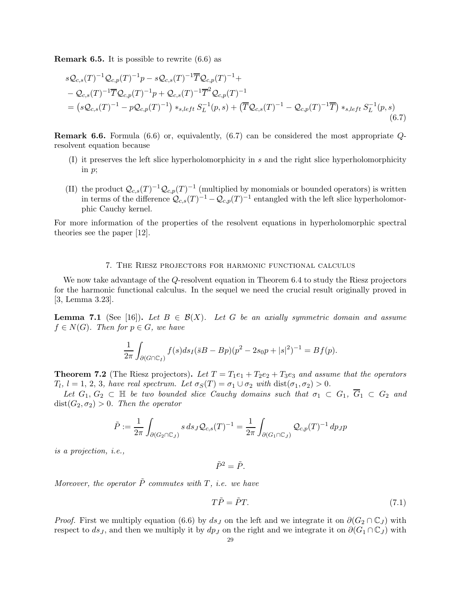**Remark 6.5.** It is possible to rewrite  $(6.6)$  as

<span id="page-28-2"></span>
$$
sQ_{c,s}(T)^{-1}Q_{c,p}(T)^{-1}p - sQ_{c,s}(T)^{-1}\overline{T}Q_{c,p}(T)^{-1} +
$$
  
\n
$$
-Q_{c,s}(T)^{-1}\overline{T}Q_{c,p}(T)^{-1}p + Q_{c,s}(T)^{-1}\overline{T}^{2}Q_{c,p}(T)^{-1}
$$
  
\n
$$
= (sQ_{c,s}(T)^{-1} - pQ_{c,p}(T)^{-1}) *_{s,left} S_{L}^{-1}(p,s) + (\overline{T}Q_{c,s}(T)^{-1} - Q_{c,p}(T)^{-1}\overline{T}) *_{s,left} S_{L}^{-1}(p,s)
$$
\n(6.7)

Remark 6.6. Formula [\(6.6\)](#page-27-0) or, equivalently, [\(6.7\)](#page-28-2) can be considered the most appropriate Qresolvent equation because

- (I) it preserves the left slice hyperholomorphicity in s and the right slice hyperholomorphicity in p;
- (II) the product  $\mathcal{Q}_{c,s}(T)^{-1}\mathcal{Q}_{c,p}(T)^{-1}$  (multiplied by monomials or bounded operators) is written in terms of the difference  $Q_{c,s}(T)^{-1} - Q_{c,p}(T)^{-1}$  entangled with the left slice hyperholomorphic Cauchy kernel.

For more information of the properties of the resolvent equations in hyperholomorphic spectral theories see the paper [\[12\]](#page-38-14).

## 7. The Riesz projectors for harmonic functional calculus

<span id="page-28-0"></span>We now take advantage of the Q-resolvent equation in Theorem [6.4](#page-27-1) to study the Riesz projectors for the harmonic functional calculus. In the sequel we need the crucial result originally proved in [\[3,](#page-38-20) Lemma 3.23].

<span id="page-28-3"></span>**Lemma 7.1** (See [\[16\]](#page-38-5)). Let  $B \in \mathcal{B}(X)$ . Let G be an axially symmetric domain and assume  $f \in N(G)$ . Then for  $p \in G$ , we have

$$
\frac{1}{2\pi} \int_{\partial (G \cap \mathbb{C}_I)} f(s) ds_I(\bar{s}B - Bp)(p^2 - 2s_0p + |s|^2)^{-1} = Bf(p).
$$

<span id="page-28-1"></span>**Theorem 7.2** (The Riesz projectors). Let  $T = T_1e_1 + T_2e_2 + T_3e_3$  and assume that the operators  $T_l$ ,  $l = 1, 2, 3$ , have real spectrum. Let  $\sigma_S(T) = \sigma_1 \cup \sigma_2$  with  $dist(\sigma_1, \sigma_2) > 0$ .

Let  $G_1, G_2 \subset \mathbb{H}$  be two bounded slice Cauchy domains such that  $\sigma_1 \subset G_1$ ,  $\overline{G}_1 \subset G_2$  and  $dist(G_2, \sigma_2) > 0$ . Then the operator

$$
\tilde{P} := \frac{1}{2\pi} \int_{\partial(G_2 \cap \mathbb{C}_J)} s \, ds_J \mathcal{Q}_{c,s}(T)^{-1} = \frac{1}{2\pi} \int_{\partial(G_1 \cap \mathbb{C}_J)} \mathcal{Q}_{c,p}(T)^{-1} \, dp_J p
$$

is a projection, i.e.,

$$
\tilde{P}^2 = \tilde{P}.
$$

Moreover, the operator  $\tilde{P}$  commutes with T, i.e. we have

<span id="page-28-4"></span>
$$
T\tilde{P} = \tilde{P}T.\tag{7.1}
$$

*Proof.* First we multiply equation [\(6.6\)](#page-27-0) by  $ds_J$  on the left and we integrate it on  $\partial(G_2 \cap \mathbb{C}_J)$  with respect to  $ds_J$ , and then we multiply it by  $dp_J$  on the right and we integrate it on  $\partial(G_1 \cap \mathbb{C}_J)$  with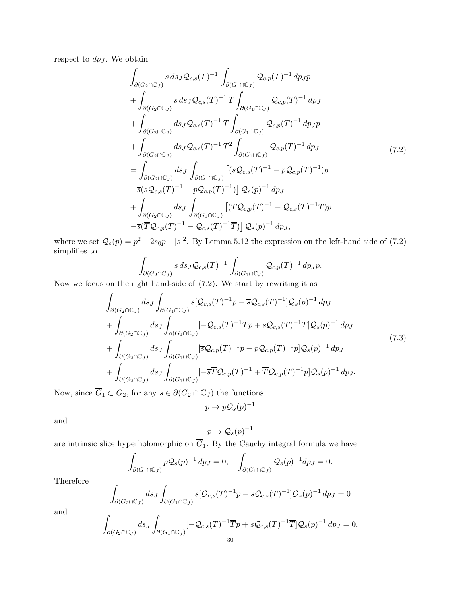<span id="page-29-0"></span>respect to  $dp_J$ . We obtain

$$
\int_{\partial(G_2 \cap \mathbb{C}_J)} s \, ds_J \mathcal{Q}_{c,s}(T)^{-1} \int_{\partial(G_1 \cap \mathbb{C}_J)} \mathcal{Q}_{c,p}(T)^{-1} \, dp_J p \n+ \int_{\partial(G_2 \cap \mathbb{C}_J)} s \, ds_J \mathcal{Q}_{c,s}(T)^{-1} T \int_{\partial(G_1 \cap \mathbb{C}_J)} \mathcal{Q}_{c,p}(T)^{-1} \, dp_J \n+ \int_{\partial(G_2 \cap \mathbb{C}_J)} ds_J \mathcal{Q}_{c,s}(T)^{-1} T \int_{\partial(G_1 \cap \mathbb{C}_J)} \mathcal{Q}_{c,p}(T)^{-1} \, dp_J p \n+ \int_{\partial(G_2 \cap \mathbb{C}_J)} ds_J \mathcal{Q}_{c,s}(T)^{-1} T^2 \int_{\partial(G_1 \cap \mathbb{C}_J)} \mathcal{Q}_{c,p}(T)^{-1} \, dp_J \n= \int_{\partial(G_2 \cap \mathbb{C}_J)} ds_J \int_{\partial(G_1 \cap \mathbb{C}_J)} [(s \mathcal{Q}_{c,s}(T)^{-1} - p \mathcal{Q}_{c,p}(T)^{-1}) p \n- \overline{s}(s \mathcal{Q}_{c,s}(T)^{-1} - p \mathcal{Q}_{c,p}(T)^{-1})] \mathcal{Q}_s(p)^{-1} \, dp_J \n+ \int_{\partial(G_2 \cap \mathbb{C}_J)} ds_J \int_{\partial(G_1 \cap \mathbb{C}_J)} [(\overline{T} \mathcal{Q}_{c,p}(T)^{-1} - \mathcal{Q}_{c,s}(T)^{-1} \overline{T}) p \n- \overline{s}(\overline{T} \mathcal{Q}_{c,p}(T)^{-1} - \mathcal{Q}_{c,s}(T)^{-1} \overline{T})] \mathcal{Q}_s(p)^{-1} \, dp_J,
$$

where we set  $Q_s(p) = p^2 - 2s_0p + |s|^2$ . By Lemma [5.12](#page-22-1) the expression on the left-hand side of [\(7.2\)](#page-29-0) simplifies to

$$
\int_{\partial(G_2 \cap \mathbb{C}_J)} s \, ds_J \mathcal{Q}_{c,s}(T)^{-1} \int_{\partial(G_1 \cap \mathbb{C}_J)} \mathcal{Q}_{c,p}(T)^{-1} \, dp_J p.
$$

Now we focus on the right hand-side of [\(7.2\)](#page-29-0). We start by rewriting it as

$$
\int_{\partial(G_2 \cap \mathbb{C}_J)} ds_J \int_{\partial(G_1 \cap \mathbb{C}_J)} s[\mathcal{Q}_{c,s}(T)^{-1}p - \overline{s}\mathcal{Q}_{c,s}(T)^{-1}]\mathcal{Q}_s(p)^{-1} dp_J \n+ \int_{\partial(G_2 \cap \mathbb{C}_J)} ds_J \int_{\partial(G_1 \cap \mathbb{C}_J)} [-\mathcal{Q}_{c,s}(T)^{-1}\overline{T}p + \overline{s}\mathcal{Q}_{c,s}(T)^{-1}\overline{T}]\mathcal{Q}_s(p)^{-1} dp_J \n+ \int_{\partial(G_2 \cap \mathbb{C}_J)} ds_J \int_{\partial(G_1 \cap \mathbb{C}_J)} [\overline{s}\mathcal{Q}_{c,p}(T)^{-1}p - p\mathcal{Q}_{c,p}(T)^{-1}p]\mathcal{Q}_s(p)^{-1} dp_J \n+ \int_{\partial(G_2 \cap \mathbb{C}_J)} ds_J \int_{\partial(G_1 \cap \mathbb{C}_J)} [-\overline{s}\overline{T}\mathcal{Q}_{c,p}(T)^{-1} + \overline{T}\mathcal{Q}_{c,p}(T)^{-1}p]\mathcal{Q}_s(p)^{-1} dp_J.
$$
\n(7.3)

<span id="page-29-1"></span>Now, since  $\overline{G}_1\subset G_2,$  for any  $s\in \partial (G_2 \cap \mathbb{C}_J)$  the functions

$$
p \to p \mathcal{Q}_s(p)^{-1}
$$

and

$$
p \to \mathcal{Q}_s(p)^{-1}
$$

are intrinsic slice hyperholomorphic on  $G_1$ . By the Cauchy integral formula we have

$$
\int_{\partial (G_1 \cap \mathbb{C}_J)} p \mathcal{Q}_s(p)^{-1} dp_J = 0, \quad \int_{\partial (G_1 \cap \mathbb{C}_J)} \mathcal{Q}_s(p)^{-1} dp_J = 0.
$$

Therefore

Z

$$
\int_{\partial(G_2 \cap \mathbb{C}_J)} ds_J \int_{\partial(G_1 \cap \mathbb{C}_J)} s[\mathcal{Q}_{c,s}(T)^{-1}p - \overline{s}\mathcal{Q}_{c,s}(T)^{-1}]\mathcal{Q}_s(p)^{-1} dp_J = 0
$$

and

$$
\int_{\partial (G_2 \cap \mathbb{C}_J)} ds_J \int_{\partial (G_1 \cap \mathbb{C}_J)} [-\mathcal{Q}_{c,s}(T)^{-1} \overline{T}p + \overline{s} \mathcal{Q}_{c,s}(T)^{-1} \overline{T}] \mathcal{Q}_s(p)^{-1} dp_J = 0.
$$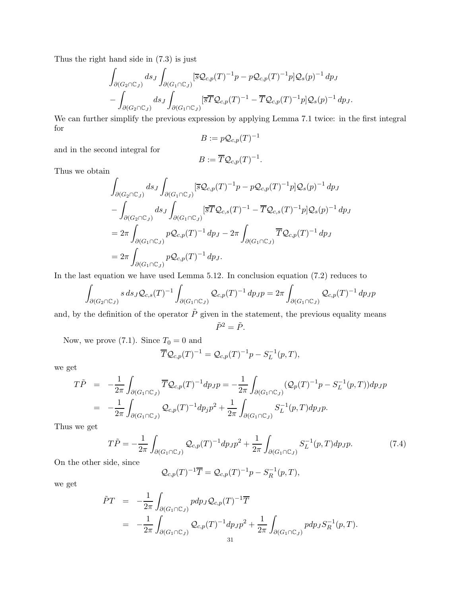Thus the right hand side in [\(7.3\)](#page-29-1) is just

$$
\int_{\partial (G_2 \cap \mathbb{C}_J)} ds_J \int_{\partial (G_1 \cap \mathbb{C}_J)} [\overline{s} \mathcal{Q}_{c,p}(T)^{-1} p - p \mathcal{Q}_{c,p}(T)^{-1} p] \mathcal{Q}_s(p)^{-1} dp_J \n- \int_{\partial (G_2 \cap \mathbb{C}_J)} ds_J \int_{\partial (G_1 \cap \mathbb{C}_J)} [\overline{s} \overline{T} \mathcal{Q}_{c,p}(T)^{-1} - \overline{T} \mathcal{Q}_{c,p}(T)^{-1} p] \mathcal{Q}_s(p)^{-1} dp_J.
$$

We can further simplify the previous expression by applying Lemma [7.1](#page-28-3) twice: in the first integral for

$$
B:=p{\mathcal Q}_{c,p}(T)^{-1}
$$

and in the second integral for

$$
B:=\overline{T}\mathcal{Q}_{c,p}(T)^{-1}
$$

.

Thus we obtain

$$
\int_{\partial(G_2 \cap \mathbb{C}_J)} ds_J \int_{\partial(G_1 \cap \mathbb{C}_J)} [\overline{s} \mathcal{Q}_{c,p}(T)^{-1} p - p \mathcal{Q}_{c,p}(T)^{-1} p] \mathcal{Q}_s(p)^{-1} dp_J \n- \int_{\partial(G_2 \cap \mathbb{C}_J)} ds_J \int_{\partial(G_1 \cap \mathbb{C}_J)} [\overline{s} \overline{T} \mathcal{Q}_{c,s}(T)^{-1} - \overline{T} \mathcal{Q}_{c,s}(T)^{-1} p] \mathcal{Q}_s(p)^{-1} dp_J \n= 2\pi \int_{\partial(G_1 \cap \mathbb{C}_J)} p \mathcal{Q}_{c,p}(T)^{-1} dp_J - 2\pi \int_{\partial(G_1 \cap \mathbb{C}_J)} \overline{T} \mathcal{Q}_{c,p}(T)^{-1} dp_J \n= 2\pi \int_{\partial(G_1 \cap \mathbb{C}_J)} p \mathcal{Q}_{c,p}(T)^{-1} dp_J.
$$

In the last equation we have used Lemma [5.12.](#page-22-1) In conclusion equation [\(7.2\)](#page-29-0) reduces to

$$
\int_{\partial (G_2 \cap \mathbb{C}_J)} s \, ds_J \mathcal{Q}_{c,s}(T)^{-1} \int_{\partial (G_1 \cap \mathbb{C}_J)} \mathcal{Q}_{c,p}(T)^{-1} \, dp_J p = 2\pi \int_{\partial (G_1 \cap \mathbb{C}_J)} \mathcal{Q}_{c,p}(T)^{-1} \, dp_J p
$$

and, by the definition of the operator  $\tilde{P}$  given in the statement, the previous equality means  $\tilde{P}^2 = \tilde{P}$ .

Now, we prove [\(7.1\)](#page-28-4). Since  $T_0 = 0$  and

$$
\overline{T} \mathcal{Q}_{c,p}(T)^{-1} = \mathcal{Q}_{c,p}(T)^{-1} p - S_L^{-1}(p,T),
$$

we get

$$
T\tilde{P} = -\frac{1}{2\pi} \int_{\partial(G_1 \cap \mathbb{C}_J)} \overline{T} \mathcal{Q}_{c,p}(T)^{-1} dp_J p = -\frac{1}{2\pi} \int_{\partial(G_1 \cap \mathbb{C}_J)} (\mathcal{Q}_p(T)^{-1} p - S_L^{-1}(p, T)) dp_J p
$$
  
= 
$$
-\frac{1}{2\pi} \int_{\partial(G_1 \cap \mathbb{C}_J)} \mathcal{Q}_{c,p}(T)^{-1} dp_j p^2 + \frac{1}{2\pi} \int_{\partial(G_1 \cap \mathbb{C}_J)} S_L^{-1}(p, T) dp_J p.
$$

Thus we get

<span id="page-30-0"></span>
$$
T\tilde{P} = -\frac{1}{2\pi} \int_{\partial (G_1 \cap \mathbb{C}_J)} \mathcal{Q}_{c,p}(T)^{-1} dp_J p^2 + \frac{1}{2\pi} \int_{\partial (G_1 \cap \mathbb{C}_J)} S_L^{-1}(p,T) dp_J p. \tag{7.4}
$$

On the other side, since

$$
\mathcal{Q}_{c,p}(T)^{-1}\overline{T}=\mathcal{Q}_{c,p}(T)^{-1}p-S_R^{-1}(p,T),
$$

we get

$$
\tilde{P}T = -\frac{1}{2\pi} \int_{\partial(G_1 \cap \mathbb{C}_J)} p dp_J \mathcal{Q}_{c,p}(T)^{-1} \overline{T}
$$
\n
$$
= -\frac{1}{2\pi} \int_{\partial(G_1 \cap \mathbb{C}_J)} \mathcal{Q}_{c,p}(T)^{-1} dp_J p^2 + \frac{1}{2\pi} \int_{\partial(G_1 \cap \mathbb{C}_J)} p dp_J S_R^{-1}(p,T).
$$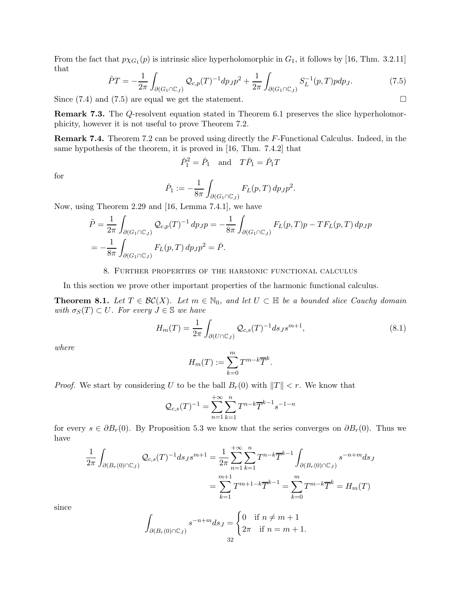From the fact that  $p\chi_{G_1}(p)$  is intrinsic slice hyperholomorphic in  $G_1$ , it follows by [\[16,](#page-38-5) Thm. 3.2.11] that

<span id="page-31-1"></span>
$$
\tilde{P}T = -\frac{1}{2\pi} \int_{\partial(G_1 \cap \mathbb{C}_J)} \mathcal{Q}_{c,p}(T)^{-1} dp_J p^2 + \frac{1}{2\pi} \int_{\partial(G_1 \cap \mathbb{C}_J)} S_L^{-1}(p,T) p dp_J.
$$
 (7.5)

Since  $(7.4)$  and  $(7.5)$  are equal we get the statement.

Remark 7.3. The Q-resolvent equation stated in Theorem [6.1](#page-24-1) preserves the slice hyperholomorphicity, however it is not useful to prove Theorem [7.2.](#page-28-1)

Remark 7.4. Theorem [7.2](#page-28-1) can be proved using directly the F-Functional Calculus. Indeed, in the same hypothesis of the theorem, it is proved in [\[16,](#page-38-5) Thm. 7.4.2] that

$$
\check{P}_1^2 = \check{P}_1 \quad \text{and} \quad T\check{P}_1 = \check{P}_1T
$$

for

$$
\check{P}_1 := -\frac{1}{8\pi} \int_{\partial(G_1 \cap \mathbb{C}_J)} F_L(p, T) \, dp_J p^2.
$$

Now, using Theorem [2.29](#page-11-4) and [\[16,](#page-38-5) Lemma 7.4.1], we have

$$
\tilde{P} = \frac{1}{2\pi} \int_{\partial(G_1 \cap \mathbb{C}_J)} \mathcal{Q}_{c,p}(T)^{-1} dp_J p = -\frac{1}{8\pi} \int_{\partial(G_1 \cap \mathbb{C}_J)} F_L(p,T) p - TF_L(p,T) dp_J p
$$
  
=  $-\frac{1}{8\pi} \int_{\partial(G_1 \cap \mathbb{C}_J)} F_L(p,T) dp_J p^2 = \check{P}.$ 

### 8. Further properties of the harmonic functional calculus

<span id="page-31-3"></span><span id="page-31-0"></span>In this section we prove other important properties of the harmonic functional calculus.

**Theorem 8.1.** Let  $T \in \mathcal{BC}(X)$ . Let  $m \in \mathbb{N}_0$ , and let  $U \subset \mathbb{H}$  be a bounded slice Cauchy domain with  $\sigma_S(T) \subset U$ . For every  $J \in \mathbb{S}$  we have

<span id="page-31-2"></span>
$$
H_m(T) = \frac{1}{2\pi} \int_{\partial(U \cap \mathbb{C}_J)} \mathcal{Q}_{c,s}(T)^{-1} ds_J s^{m+1},\tag{8.1}
$$

where

$$
H_m(T) := \sum_{k=0}^m T^{m-k} \overline{T}^k.
$$

*Proof.* We start by considering U to be the ball  $B_r(0)$  with  $||T|| < r$ . We know that

$$
\mathcal{Q}_{c,s}(T)^{-1} = \sum_{n=1}^{+\infty} \sum_{k=1}^{n} T^{n-k} \overline{T}^{k-1} s^{-1-n}
$$

for every  $s \in \partial B_r(0)$ . By Proposition [5.3](#page-19-5) we know that the series converges on  $\partial B_r(0)$ . Thus we have

$$
\frac{1}{2\pi} \int_{\partial (B_r(0) \cap \mathbb{C}_J)} \mathcal{Q}_{c,s}(T)^{-1} ds_J s^{m+1} = \frac{1}{2\pi} \sum_{n=1}^{+\infty} \sum_{k=1}^n T^{n-k} \overline{T}^{k-1} \int_{\partial (B_r(0) \cap \mathbb{C}_J)} s^{-n+m} ds_J
$$

$$
= \sum_{k=1}^{m+1} T^{m+1-k} \overline{T}^{k-1} = \sum_{k=0}^m T^{m-k} \overline{T}^k = H_m(T)
$$

since

$$
\int_{\partial (B_r(0)\cap\mathbb{C}_J)} s^{-n+m} ds_J = \begin{cases} 0 & \text{if } n \neq m+1 \\ 2\pi & \text{if } n = m+1. \end{cases}
$$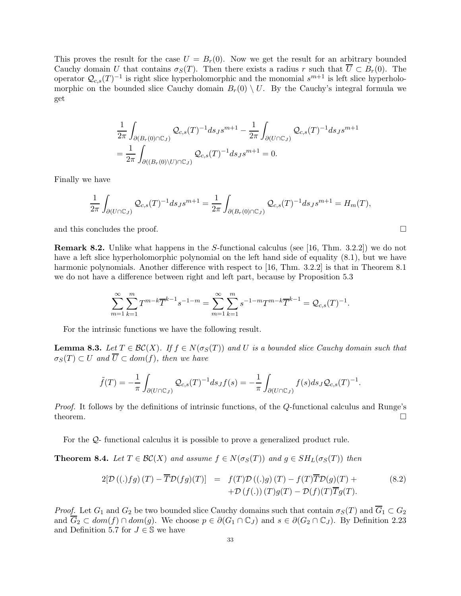This proves the result for the case  $U = B<sub>r</sub>(0)$ . Now we get the result for an arbitrary bounded Cauchy domain U that contains  $\sigma_S(T)$ . Then there exists a radius r such that  $\overline{U} \subset B_r(0)$ . The operator  $\mathcal{Q}_{c,s}(T)^{-1}$  is right slice hyperholomorphic and the monomial  $s^{m+1}$  is left slice hyperholomorphic on the bounded slice Cauchy domain  $B_r(0) \setminus U$ . By the Cauchy's integral formula we get

$$
\begin{split} &\frac{1}{2\pi}\int_{\partial (B_{r}(0)\cap \mathbb{C}_{J})}\mathcal{Q}_{c,s}(T)^{-1}ds_{J}s^{m+1}-\frac{1}{2\pi}\int_{\partial (U\cap \mathbb{C}_{J})}\mathcal{Q}_{c,s}(T)^{-1}ds_{J}s^{m+1}\\ &=\frac{1}{2\pi}\int_{\partial ((B_{r}(0)\backslash U)\cap \mathbb{C}_{J})}\mathcal{Q}_{c,s}(T)^{-1}ds_{J}s^{m+1}=0. \end{split}
$$

Finally we have

$$
\frac{1}{2\pi} \int_{\partial (U \cap \mathbb{C}_J)} \mathcal{Q}_{c,s}(T)^{-1} ds_J s^{m+1} = \frac{1}{2\pi} \int_{\partial (B_r(0) \cap \mathbb{C}_J)} \mathcal{Q}_{c,s}(T)^{-1} ds_J s^{m+1} = H_m(T),
$$

and this concludes the proof.

Remark 8.2. Unlike what happens in the S-functional calculus (see [\[16,](#page-38-5) Thm. 3.2.2]) we do not have a left slice hyperholomorphic polynomial on the left hand side of equality  $(8.1)$ , but we have harmonic polynomials. Another difference with respect to [\[16,](#page-38-5) Thm. 3.2.2] is that in Theorem [8.1](#page-31-3) we do not have a difference between right and left part, because by Proposition [5.3](#page-19-5)

$$
\sum_{m=1}^{\infty} \sum_{k=1}^{m} T^{m-k} \overline{T}^{k-1} s^{-1-m} = \sum_{m=1}^{\infty} \sum_{k=1}^{m} s^{-1-m} T^{m-k} \overline{T}^{k-1} = \mathcal{Q}_{c,s}(T)^{-1}.
$$

<span id="page-32-0"></span>For the intrinsic functions we have the following result.

**Lemma 8.3.** Let  $T \in \mathcal{BC}(X)$ . If  $f \in N(\sigma_S(T))$  and U is a bounded slice Cauchy domain such that  $\sigma_S(T) \subset U$  and  $\overline{U} \subset dom(f)$ , then we have

$$
\tilde{f}(T) = -\frac{1}{\pi} \int_{\partial(U \cap \mathbb{C}_J)} \mathcal{Q}_{c,s}(T)^{-1} ds_J f(s) = -\frac{1}{\pi} \int_{\partial(U \cap \mathbb{C}_J)} f(s) ds_J \mathcal{Q}_{c,s}(T)^{-1}.
$$

Proof. It follows by the definitions of intrinsic functions, of the Q-functional calculus and Runge's theorem.  $\Box$ 

For the Q- functional calculus it is possible to prove a generalized product rule.

**Theorem 8.4.** Let  $T \in \mathcal{BC}(X)$  and assume  $f \in N(\sigma_S(T))$  and  $g \in SH_L(\sigma_S(T))$  then

$$
2[\mathcal{D}((.)fg)(T) - \overline{T}\mathcal{D}(fg)(T)] = f(T)\mathcal{D}((.)g)(T) - f(T)\overline{T}\mathcal{D}(g)(T) + + \mathcal{D}(f(.))(T)g(T) - \mathcal{D}(f)(T)\overline{T}g(T).
$$
(8.2)

*Proof.* Let  $G_1$  and  $G_2$  be two bounded slice Cauchy domains such that contain  $\sigma_S(T)$  and  $\overline{G}_1 \subset G_2$ and  $\overline{G}_2 \subset dom(f) \cap dom(g)$ . We choose  $p \in \partial(G_1 \cap \mathbb{C}_J)$  and  $s \in \partial(G_2 \cap \mathbb{C}_J)$ . By Definition [2.23](#page-9-2) and Definition [5.7](#page-20-0) for  $J \in \mathbb{S}$  we have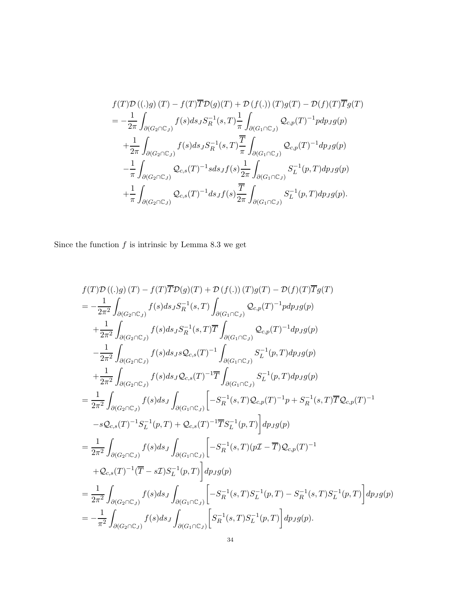$$
f(T)\mathcal{D}((.)g) (T) - f(T)\overline{T}\mathcal{D}(g)(T) + \mathcal{D}(f(.)) (T)g(T) - \mathcal{D}(f)(T)\overline{T}g(T)
$$
  
\n
$$
= -\frac{1}{2\pi} \int_{\partial(G_2 \cap \mathbb{C}_J)} f(s) ds_J S_R^{-1}(s, T) \frac{1}{\pi} \int_{\partial(G_1 \cap \mathbb{C}_J)} \mathcal{Q}_{c,p}(T)^{-1} p d p_J g(p)
$$
  
\n
$$
+ \frac{1}{2\pi} \int_{\partial(G_2 \cap \mathbb{C}_J)} f(s) ds_J S_R^{-1}(s, T) \frac{\overline{T}}{\pi} \int_{\partial(G_1 \cap \mathbb{C}_J)} \mathcal{Q}_{c,p}(T)^{-1} d p_J g(p)
$$
  
\n
$$
- \frac{1}{\pi} \int_{\partial(G_2 \cap \mathbb{C}_J)} \mathcal{Q}_{c,s}(T)^{-1} s ds_J f(s) \frac{1}{2\pi} \int_{\partial(G_1 \cap \mathbb{C}_J)} S_L^{-1}(p, T) d p_J g(p)
$$
  
\n
$$
+ \frac{1}{\pi} \int_{\partial(G_2 \cap \mathbb{C}_J)} \mathcal{Q}_{c,s}(T)^{-1} d s_J f(s) \frac{\overline{T}}{2\pi} \int_{\partial(G_1 \cap \mathbb{C}_J)} S_L^{-1}(p, T) d p_J g(p).
$$

Since the function  $f$  is intrinsic by Lemma [8.3](#page-32-0) we get

$$
f(T)\mathcal{D}((.)g)(T) - f(T)\overline{T}\mathcal{D}(g)(T) + \mathcal{D}(f(.))(T)g(T) - \mathcal{D}(f)(T)\overline{T}g(T)
$$
\n
$$
= -\frac{1}{2\pi^2} \int_{\partial(G_2 \cap \mathbb{C}_J)} f(s)ds_J S_R^{-1}(s,T) \int_{\partial(G_1 \cap \mathbb{C}_J)} \mathcal{Q}_{c,p}(T)^{-1} pdp_J g(p)
$$
\n
$$
+ \frac{1}{2\pi^2} \int_{\partial(G_2 \cap \mathbb{C}_J)} f(s)ds_J S_R^{-1}(s,T) \overline{T} \int_{\partial(G_1 \cap \mathbb{C}_J)} \mathcal{Q}_{c,p}(T)^{-1} dp_J g(p)
$$
\n
$$
- \frac{1}{2\pi^2} \int_{\partial(G_2 \cap \mathbb{C}_J)} f(s)ds_J s \mathcal{Q}_{c,s}(T)^{-1} \int_{\partial(G_1 \cap \mathbb{C}_J)} S_L^{-1}(p,T) dp_J g(p)
$$
\n
$$
+ \frac{1}{2\pi^2} \int_{\partial(G_2 \cap \mathbb{C}_J)} f(s)ds_J \mathcal{Q}_{c,s}(T)^{-1} \overline{T} \int_{\partial(G_1 \cap \mathbb{C}_J)} S_L^{-1}(p,T) dp_J g(p)
$$
\n
$$
= \frac{1}{2\pi^2} \int_{\partial(G_2 \cap \mathbb{C}_J)} f(s)ds_J \int_{\partial(G_1 \cap \mathbb{C}_J)} \left[ -S_R^{-1}(s,T) \mathcal{Q}_{c,p}(T)^{-1} p + S_R^{-1}(s,T) \overline{T} \mathcal{Q}_{c,p}(T)^{-1} \right.
$$
\n
$$
- s\mathcal{Q}_{c,s}(T)^{-1} S_L^{-1}(p,T) + \mathcal{Q}_{c,s}(T)^{-1} \overline{T} S_L^{-1}(p,T) \right] dp_J g(p)
$$
\n
$$
= \frac{1}{2\pi^2} \int_{\partial(G_2 \cap \mathbb{C}_J)} f(s)ds_J \int_{\partial(G_1 \cap \mathbb{C}_J)} \left[ -S_R^{-1}(s,T)(p\mathcal{I} - \overline{T}) \mathcal{Q}_{c,p}(T)^{-1} \right.
$$
\n
$$
+ \mathcal{Q}_{c,s}(T)^{-1} (\overline{T} - s\math
$$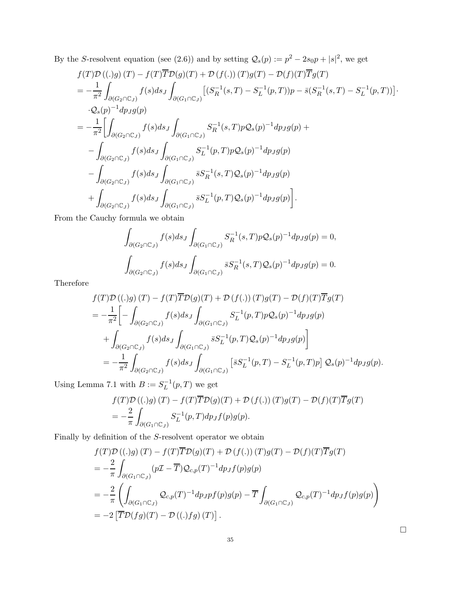By the S-resolvent equation (see [\(2.6\)](#page-9-3)) and by setting  $Q_s(p) := p^2 - 2s_0p + |s|^2$ , we get

$$
f(T)\mathcal{D}((.)g) (T) - f(T)\overline{T}\mathcal{D}(g)(T) + \mathcal{D}(f(.)) (T)g(T) - \mathcal{D}(f)(T)\overline{T}g(T)
$$
  
\n
$$
= -\frac{1}{\pi^2} \int_{\partial(G_2 \cap \mathbb{C}_J)} f(s) ds_J \int_{\partial(G_1 \cap \mathbb{C}_J)} [(S_R^{-1}(s, T) - S_L^{-1}(p, T))p - \overline{s}(S_R^{-1}(s, T) - S_L^{-1}(p, T))].
$$
  
\n
$$
\cdot Q_s(p)^{-1} dp_J g(p)
$$
  
\n
$$
= -\frac{1}{\pi^2} \Biggl[ \int_{\partial(G_2 \cap \mathbb{C}_J)} f(s) ds_J \int_{\partial(G_1 \cap \mathbb{C}_J)} S_R^{-1}(s, T) p Q_s(p)^{-1} dp_J g(p) +
$$
  
\n
$$
- \int_{\partial(G_2 \cap \mathbb{C}_J)} f(s) ds_J \int_{\partial(G_1 \cap \mathbb{C}_J)} S_L^{-1}(p, T) p Q_s(p)^{-1} dp_J g(p)
$$
  
\n
$$
- \int_{\partial(G_2 \cap \mathbb{C}_J)} f(s) ds_J \int_{\partial(G_1 \cap \mathbb{C}_J)} \overline{s} S_R^{-1}(s, T) Q_s(p)^{-1} dp_J g(p)
$$
  
\n
$$
+ \int_{\partial(G_2 \cap \mathbb{C}_J)} f(s) ds_J \int_{\partial(G_1 \cap \mathbb{C}_J)} \overline{s} S_L^{-1}(p, T) Q_s(p)^{-1} dp_J g(p) \Biggr].
$$

From the Cauchy formula we obtain

$$
\int_{\partial(G_2 \cap \mathbb{C}_J)} f(s) ds_J \int_{\partial(G_1 \cap \mathbb{C}_J)} S_R^{-1}(s, T) p \mathcal{Q}_s(p)^{-1} dp_J g(p) = 0,
$$
  

$$
\int_{\partial(G_2 \cap \mathbb{C}_J)} f(s) ds_J \int_{\partial(G_1 \cap \mathbb{C}_J)} \overline{s} S_R^{-1}(s, T) \mathcal{Q}_s(p)^{-1} dp_J g(p) = 0.
$$

Therefore

$$
f(T)\mathcal{D}((.)g) (T) - f(T)\overline{T}\mathcal{D}(g)(T) + \mathcal{D}(f(.)) (T)g(T) - \mathcal{D}(f)(T)\overline{T}g(T)
$$
  
\n
$$
= -\frac{1}{\pi^2} \Bigg[ -\int_{\partial(G_2 \cap \mathbb{C}_J)} f(s) ds_J \int_{\partial(G_1 \cap \mathbb{C}_J)} S_L^{-1}(p, T) p \mathcal{Q}_s(p)^{-1} dp_J g(p)
$$
  
\n
$$
+ \int_{\partial(G_2 \cap \mathbb{C}_J)} f(s) ds_J \int_{\partial(G_1 \cap \mathbb{C}_J)} \overline{s} S_L^{-1}(p, T) \mathcal{Q}_s(p)^{-1} dp_J g(p) \Bigg]
$$
  
\n
$$
= -\frac{1}{\pi^2} \int_{\partial(G_2 \cap \mathbb{C}_J)} f(s) ds_J \int_{\partial(G_1 \cap \mathbb{C}_J)} \left[ \overline{s} S_L^{-1}(p, T) - S_L^{-1}(p, T) p \right] \mathcal{Q}_s(p)^{-1} dp_J g(p).
$$

Using Lemma [7.1](#page-28-3) with  $B := S_L^{-1}(p,T)$  we get

$$
f(T)\mathcal{D}((.)g) (T) - f(T)\overline{T}\mathcal{D}(g) (T) + \mathcal{D}(f(.)) (T)g(T) - \mathcal{D}(f) (T)\overline{T}g(T)
$$
  
= 
$$
-\frac{2}{\pi} \int_{\partial(G_1 \cap \mathbb{C}_J)} S_L^{-1}(p, T) dp_J f(p)g(p).
$$

Finally by definition of the  $S$ -resolvent operator we obtain

$$
f(T)\mathcal{D}((.)g) (T) - f(T)\overline{T}\mathcal{D}(g) (T) + \mathcal{D}(f(.)) (T)g(T) - \mathcal{D}(f) (T)\overline{T}g(T)
$$
  
=  $-\frac{2}{\pi} \int_{\partial(G_1 \cap \mathbb{C}_J)} (p\mathcal{I} - \overline{T}) \mathcal{Q}_{c,p}(T)^{-1} dp_J f(p)g(p)$   
=  $-\frac{2}{\pi} \left( \int_{\partial(G_1 \cap \mathbb{C}_J)} \mathcal{Q}_{c,p}(T)^{-1} dp_J p f(p)g(p) - \overline{T} \int_{\partial(G_1 \cap \mathbb{C}_J)} \mathcal{Q}_{c,p}(T)^{-1} dp_J f(p)g(p) \right)$   
=  $-2 \left[ \overline{T} \mathcal{D}(fg)(T) - \mathcal{D}((.)fg) (T) \right].$ 

 $\Box$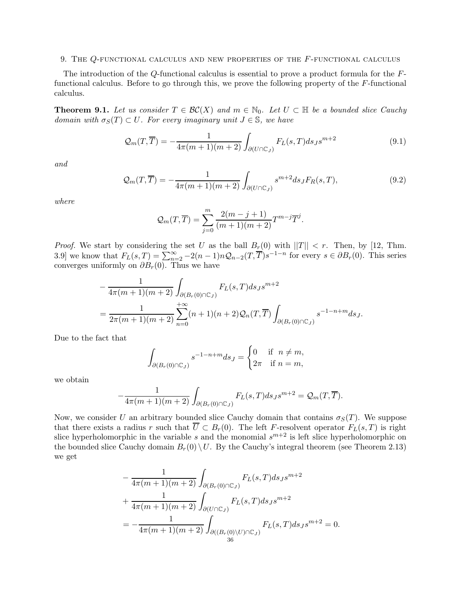#### <span id="page-35-0"></span>9. The Q-functional calculus and new properties of the F-functional calculus

<span id="page-35-1"></span>The introduction of the Q-functional calculus is essential to prove a product formula for the Ffunctional calculus. Before to go through this, we prove the following property of the F-functional calculus.

**Theorem 9.1.** Let us consider  $T \in \mathcal{BC}(X)$  and  $m \in \mathbb{N}_0$ . Let  $U \subset \mathbb{H}$  be a bounded slice Cauchy domain with  $\sigma_S(T) \subset U$ . For every imaginary unit  $J \in \mathbb{S}$ , we have

<span id="page-35-2"></span>
$$
\mathcal{Q}_m(T,\overline{T}) = -\frac{1}{4\pi(m+1)(m+2)} \int_{\partial(U \cap \mathbb{C}_J)} F_L(s,T) ds_J s^{m+2}
$$
\n(9.1)

and

<span id="page-35-3"></span>
$$
\mathcal{Q}_m(T, \overline{T}) = -\frac{1}{4\pi(m+1)(m+2)} \int_{\partial(U \cap \mathbb{C}_J)} s^{m+2} ds_J F_R(s, T), \tag{9.2}
$$

where

$$
Q_m(T, \overline{T}) = \sum_{j=0}^{m} \frac{2(m-j+1)}{(m+1)(m+2)} T^{m-j} \overline{T}^{j}.
$$

*Proof.* We start by considering the set U as the ball  $B_r(0)$  with  $||T|| < r$ . Then, by [\[12,](#page-38-14) Thm. 3.9] we know that  $F_L(s,T) = \sum_{n=2}^{\infty} -2(n-1)nQ_{n-2}(T,\overline{T})s^{-1-n}$  for every  $s \in \partial B_r(0)$ . This series converges uniformly on  $\partial B_r(0)$ . Thus we have

$$
-\frac{1}{4\pi(m+1)(m+2)} \int_{\partial (B_r(0)\cap\mathbb{C}_J)} F_L(s,T) ds_J s^{m+2}
$$
  
= 
$$
\frac{1}{2\pi(m+1)(m+2)} \sum_{n=0}^{+\infty} (n+1)(n+2) \mathcal{Q}_n(T,\overline{T}) \int_{\partial (B_r(0)\cap\mathbb{C}_J)} s^{-1-n+m} ds_J.
$$

Due to the fact that

$$
\int_{\partial (B_r(0)\cap\mathbb{C}_J)} s^{-1-n+m} ds_J = \begin{cases} 0 & \text{if } n \neq m, \\ 2\pi & \text{if } n = m, \end{cases}
$$

we obtain

$$
-\frac{1}{4\pi(m+1)(m+2)}\int_{\partial(B_r(0)\cap\mathbb{C}_J)}F_L(s,T)ds_Js^{m+2}=\mathcal{Q}_m(T,\overline{T}).
$$

Now, we consider U an arbitrary bounded slice Cauchy domain that contains  $\sigma_S(T)$ . We suppose that there exists a radius r such that  $\overline{U} \subset B_r(0)$ . The left F-resolvent operator  $F_L(s,T)$  is right slice hyperholomorphic in the variable s and the monomial  $s^{m+2}$  is left slice hyperholomorphic on the bounded slice Cauchy domain  $B_r(0) \setminus U$ . By the Cauchy's integral theorem (see Theorem [2.13\)](#page-7-3) we get

$$
-\frac{1}{4\pi(m+1)(m+2)} \int_{\partial(B_r(0)\cap\mathbb{C}_J)} F_L(s,T) ds_J s^{m+2}
$$
  
+ 
$$
\frac{1}{4\pi(m+1)(m+2)} \int_{\partial(U\cap\mathbb{C}_J)} F_L(s,T) ds_J s^{m+2}
$$
  
= 
$$
-\frac{1}{4\pi(m+1)(m+2)} \int_{\partial((B_r(0)\setminus U)\cap\mathbb{C}_J)} F_L(s,T) ds_J s^{m+2} = 0.
$$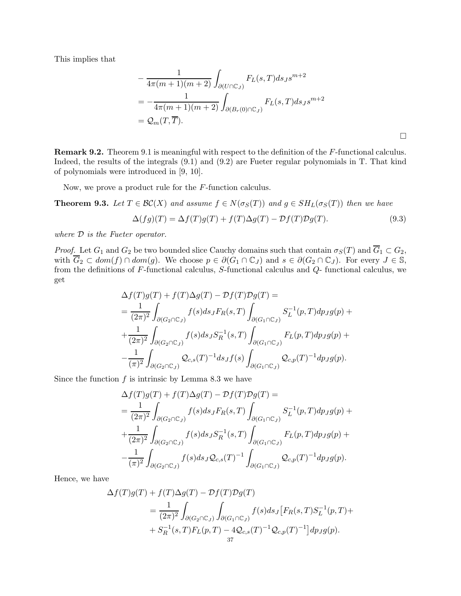This implies that

$$
-\frac{1}{4\pi(m+1)(m+2)} \int_{\partial(U \cap \mathbb{C}_J)} F_L(s,T) ds_J s^{m+2}
$$
  
=  $-\frac{1}{4\pi(m+1)(m+2)} \int_{\partial(B_r(0) \cap \mathbb{C}_J)} F_L(s,T) ds_J s^{m+2}$   
=  $\mathcal{Q}_m(T,\overline{T}).$ 

Remark 9.2. Theorem [9.1](#page-35-1) is meaningful with respect to the definition of the F-functional calculus. Indeed, the results of the integrals [\(9.1\)](#page-35-2) and [\(9.2\)](#page-35-3) are Fueter regular polynomials in T. That kind of polynomials were introduced in [\[9,](#page-38-23) [10\]](#page-38-24).

<span id="page-36-0"></span>Now, we prove a product rule for the F-function calculus.

**Theorem 9.3.** Let  $T \in \mathcal{BC}(X)$  and assume  $f \in N(\sigma_S(T))$  and  $g \in SH_L(\sigma_S(T))$  then we have

<span id="page-36-1"></span>
$$
\Delta(fg)(T) = \Delta f(T)g(T) + f(T)\Delta g(T) - \mathcal{D}f(T)\mathcal{D}g(T). \tag{9.3}
$$

where D is the Fueter operator.

Proof. Let  $G_1$  and  $G_2$  be two bounded slice Cauchy domains such that contain  $\sigma_S(T)$  and  $\overline{G}_1 \subset G_2$ , with  $\overline{G}_2 \subset dom(f) \cap dom(g)$ . We choose  $p \in \partial(G_1 \cap \mathbb{C}_J)$  and  $s \in \partial(G_2 \cap \mathbb{C}_J)$ . For every  $J \in \mathbb{S}$ , from the definitions of F-functional calculus, S-functional calculus and Q- functional calculus, we get

$$
\Delta f(T)g(T) + f(T)\Delta g(T) - \mathcal{D}f(T)\mathcal{D}g(T) =
$$
\n
$$
= \frac{1}{(2\pi)^2} \int_{\partial(G_2 \cap \mathbb{C}_J)} f(s) ds_J F_R(s, T) \int_{\partial(G_1 \cap \mathbb{C}_J)} S_L^{-1}(p, T) dp_J g(p) +
$$
\n
$$
+ \frac{1}{(2\pi)^2} \int_{\partial(G_2 \cap \mathbb{C}_J)} f(s) ds_J S_R^{-1}(s, T) \int_{\partial(G_1 \cap \mathbb{C}_J)} F_L(p, T) dp_J g(p) +
$$
\n
$$
- \frac{1}{(\pi)^2} \int_{\partial(G_2 \cap \mathbb{C}_J)} \mathcal{Q}_{c,s}(T)^{-1} ds_J f(s) \int_{\partial(G_1 \cap \mathbb{C}_J)} \mathcal{Q}_{c,p}(T)^{-1} dp_J g(p).
$$

Since the function  $f$  is intrinsic by Lemma [8.3](#page-32-0) we have

$$
\Delta f(T)g(T) + f(T)\Delta g(T) - \mathcal{D}f(T)\mathcal{D}g(T) =
$$
\n
$$
= \frac{1}{(2\pi)^2} \int_{\partial(G_2 \cap \mathbb{C}_J)} f(s) ds_J F_R(s, T) \int_{\partial(G_1 \cap \mathbb{C}_J)} S_L^{-1}(p, T) dp_J g(p) +
$$
\n
$$
+ \frac{1}{(2\pi)^2} \int_{\partial(G_2 \cap \mathbb{C}_J)} f(s) ds_J S_R^{-1}(s, T) \int_{\partial(G_1 \cap \mathbb{C}_J)} F_L(p, T) dp_J g(p) +
$$
\n
$$
- \frac{1}{(\pi)^2} \int_{\partial(G_2 \cap \mathbb{C}_J)} f(s) ds_J \mathcal{Q}_{c,s}(T)^{-1} \int_{\partial(G_1 \cap \mathbb{C}_J)} \mathcal{Q}_{c,p}(T)^{-1} dp_J g(p).
$$

Hence, we have

$$
\Delta f(T)g(T) + f(T)\Delta g(T) - \mathcal{D}f(T)\mathcal{D}g(T)
$$
  
=  $\frac{1}{(2\pi)^2} \int_{\partial(G_2 \cap \mathbb{C}_J)} \int_{\partial(G_1 \cap \mathbb{C}_J)} f(s) ds_J [F_R(s, T)S_L^{-1}(p, T) ++ S_R^{-1}(s, T)F_L(p, T) - 4Q_{c,s}(T)^{-1}Q_{c,p}(T)^{-1}] dp_J g(p).$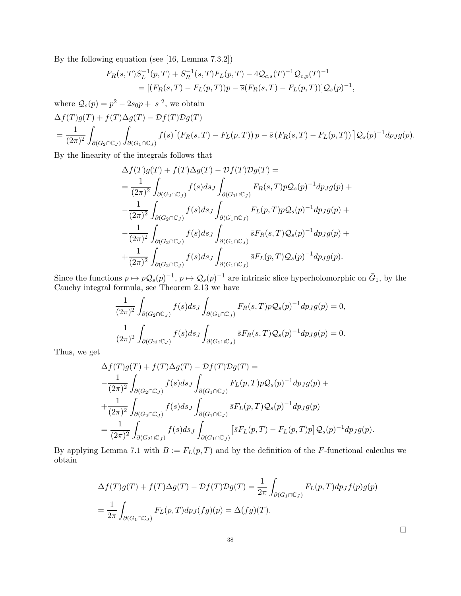By the following equation (see [\[16,](#page-38-5) Lemma 7.3.2])

$$
F_R(s,T)S_L^{-1}(p,T) + S_R^{-1}(s,T)F_L(p,T) - 4Q_{c,s}(T)^{-1}Q_{c,p}(T)^{-1}
$$
  
= 
$$
[(F_R(s,T) - F_L(p,T))p - \overline{s}(F_R(s,T) - F_L(p,T))]Q_s(p)^{-1},
$$

where  $Q_s(p) = p^2 - 2s_0p + |s|^2$ , we obtain  $\Lambda f(T)g(T) + f(T)\Lambda g(T) - \mathcal{D}f(T)\mathcal{D}g(T)$ 

$$
\Delta f(T)g(T) + f(T)\Delta g(T) - Df(T)Dg(T)
$$
  
= 
$$
\frac{1}{(2\pi)^2} \int_{\partial(G_2 \cap \mathbb{C}_J)} \int_{\partial(G_1 \cap \mathbb{C}_J)} f(s) \left[ \left( F_R(s,T) - F_L(p,T) \right) p - \bar{s} \left( F_R(s,T) - F_L(p,T) \right) \right] \mathcal{Q}_s(p)^{-1} dp_J g(p).
$$

By the linearity of the integrals follows that

$$
\Delta f(T)g(T) + f(T)\Delta g(T) - \mathcal{D}f(T)\mathcal{D}g(T) =
$$
\n
$$
= \frac{1}{(2\pi)^2} \int_{\partial(G_2 \cap \mathbb{C}_J)} f(s) ds_J \int_{\partial(G_1 \cap \mathbb{C}_J)} F_R(s, T) p \mathcal{Q}_s(p)^{-1} dp_J g(p) +
$$
\n
$$
- \frac{1}{(2\pi)^2} \int_{\partial(G_2 \cap \mathbb{C}_J)} f(s) ds_J \int_{\partial(G_1 \cap \mathbb{C}_J)} F_L(p, T) p \mathcal{Q}_s(p)^{-1} dp_J g(p) +
$$
\n
$$
- \frac{1}{(2\pi)^2} \int_{\partial(G_2 \cap \mathbb{C}_J)} f(s) ds_J \int_{\partial(G_1 \cap \mathbb{C}_J)} \bar{s} F_R(s, T) \mathcal{Q}_s(p)^{-1} dp_J g(p) +
$$
\n
$$
+ \frac{1}{(2\pi)^2} \int_{\partial(G_2 \cap \mathbb{C}_J)} f(s) ds_J \int_{\partial(G_1 \cap \mathbb{C}_J)} \bar{s} F_L(p, T) \mathcal{Q}_s(p)^{-1} dp_J g(p).
$$

Since the functions  $p \mapsto p\mathcal{Q}_s(p)^{-1}$ ,  $p \mapsto \mathcal{Q}_s(p)^{-1}$  are intrinsic slice hyperholomorphic on  $\bar{G}_1$ , by the Cauchy integral formula, see Theorem [2.13](#page-7-3) we have

$$
\frac{1}{(2\pi)^2} \int_{\partial(G_2 \cap \mathbb{C}_J)} f(s) ds_J \int_{\partial(G_1 \cap \mathbb{C}_J)} F_R(s, T) p \mathcal{Q}_s(p)^{-1} dp_J g(p) = 0,
$$
  

$$
\frac{1}{(2\pi)^2} \int_{\partial(G_2 \cap \mathbb{C}_J)} f(s) ds_J \int_{\partial(G_1 \cap \mathbb{C}_J)} \bar{s} F_R(s, T) \mathcal{Q}_s(p)^{-1} dp_J g(p) = 0.
$$

Thus, we get

$$
\Delta f(T)g(T) + f(T)\Delta g(T) - \mathcal{D}f(T)\mathcal{D}g(T) =
$$
  
\n
$$
-\frac{1}{(2\pi)^2} \int_{\partial(G_2 \cap \mathbb{C}_J)} f(s) ds_J \int_{\partial(G_1 \cap \mathbb{C}_J)} F_L(p, T) p \mathcal{Q}_s(p)^{-1} dp_J g(p) +
$$
  
\n
$$
+\frac{1}{(2\pi)^2} \int_{\partial(G_2 \cap \mathbb{C}_J)} f(s) ds_J \int_{\partial(G_1 \cap \mathbb{C}_J)} \bar{s} F_L(p, T) \mathcal{Q}_s(p)^{-1} dp_J g(p)
$$
  
\n
$$
=\frac{1}{(2\pi)^2} \int_{\partial(G_2 \cap \mathbb{C}_J)} f(s) ds_J \int_{\partial(G_1 \cap \mathbb{C}_J)} [\bar{s} F_L(p, T) - F_L(p, T) p] \mathcal{Q}_s(p)^{-1} dp_J g(p).
$$

By applying Lemma [7.1](#page-28-3) with  $B := F_L(p, T)$  and by the definition of the F-functional calculus we obtain

<span id="page-37-0"></span>
$$
\Delta f(T)g(T) + f(T)\Delta g(T) - \mathcal{D}f(T)\mathcal{D}g(T) = \frac{1}{2\pi} \int_{\partial(G_1 \cap \mathbb{C}_J)} F_L(p,T) dp_J f(p)g(p)
$$
  
= 
$$
\frac{1}{2\pi} \int_{\partial(G_1 \cap \mathbb{C}_J)} F_L(p,T) dp_J(fg)(p) = \Delta(fg)(T).
$$

 $\Box$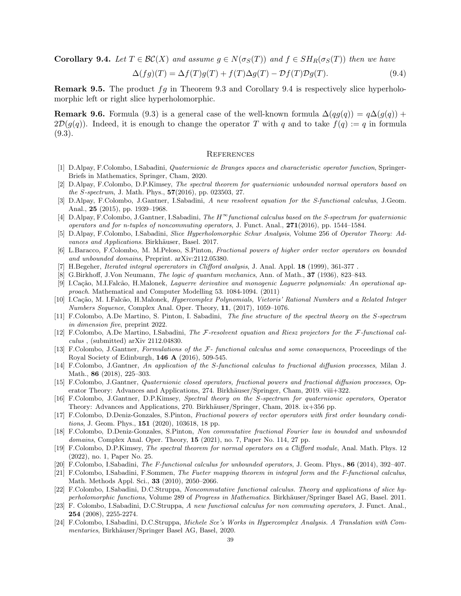**Corollary 9.4.** Let  $T \in \mathcal{BC}(X)$  and assume  $q \in N(\sigma_S(T))$  and  $f \in SH_R(\sigma_S(T))$  then we have

$$
\Delta(fg)(T) = \Delta f(T)g(T) + f(T)\Delta g(T) - \mathcal{D}f(T)\mathcal{D}g(T). \tag{9.4}
$$

**Remark 9.5.** The product  $fg$  in Theorem [9.3](#page-36-0) and Corollary [9.4](#page-37-0) is respectively slice hyperholomorphic left or right slice hyperholomorphic.

**Remark 9.6.** Formula [\(9.3\)](#page-36-1) is a general case of the well-known formula  $\Delta(qg(q)) = q\Delta(q(q))$  +  $2\mathcal{D}(g(q))$ . Indeed, it is enough to change the operator T with q and to take  $f(q) := q$  in formula [\(9.3\)](#page-36-1).

#### <span id="page-38-0"></span>**REFERENCES**

- <span id="page-38-7"></span><span id="page-38-2"></span>[1] D.Alpay, F.Colombo, I.Sabadini, Quaternionic de Branges spaces and characteristic operator function, Springer-Briefs in Mathematics, Springer, Cham, 2020.
- [2] D.Alpay, F.Colombo, D.P.Kimsey, The spectral theorem for quaternionic unbounded normal operators based on the S-spectrum, J. Math. Phys.,  $57(2016)$ , pp. 023503, 27.
- <span id="page-38-20"></span>[3] D.Alpay, F.Colombo, J.Gantner, I.Sabadini, A new resolvent equation for the S-functional calculus, J.Geom. Anal., 25 (2015), pp. 1939–1968.
- <span id="page-38-12"></span>[4] D.Alpay, F.Colombo, J.Gantner, I.Sabadini, The  $H^\infty$ functional calculus based on the S-spectrum for quaternionic operators and for n-tuples of noncommuting operators, J. Funct. Anal.,  $271(2016)$ , pp. 1544–1584.
- <span id="page-38-9"></span><span id="page-38-8"></span>[5] D.Alpay, F.Colombo, I.Sabadini, Slice Hyperholomorphic Schur Analysis, Volume 256 of Operator Theory: Advances and Applications. Birkhäuser, Basel. 2017.
- [6] L.Baracco, F.Colombo, M. M.Peloso, S.Pinton, Fractional powers of higher order vector operators on bounded and unbounded domains, Preprint. arXiv:2112.05380.
- <span id="page-38-22"></span><span id="page-38-1"></span>[7] H.Begeher, Iterated integral opererators in Clifford analysis, J. Anal. Appl. 18 (1999), 361-377.
- <span id="page-38-23"></span>[8] G.Birkhoff, J.Von Neumann, The logic of quantum mechanics, Ann. of Math., 37 (1936), 823–843.
- [9] I.Cação, M.I.Falcão, H.Malonek, Laguerre derivative and monogenic Laguerre polynomials: An operational approach. Mathematical and Computer Modelling 53. 1084-1094. (2011)
- <span id="page-38-24"></span>[10] I.Cação, M. I.Falcão, H.Malonek, Hypercomplex Polynomials, Vietoris' Rational Numbers and a Related Integer Numbers Sequence, Complex Anal. Oper. Theory, 11, (2017), 1059–1076.
- <span id="page-38-18"></span>[11] F.Colombo, A.De Martino, S. Pinton, I. Sabadini, The fine structure of the spectral theory on the S-spectrum in dimension five, preprint 2022.
- <span id="page-38-14"></span>[12] F.Colombo, A.De Martino, I.Sabadini, The F-resolvent equation and Riesz projectors for the F-functional calculus , (submitted) arXiv 2112.04830.
- <span id="page-38-15"></span>[13] F.Colombo, J.Gantner, Formulations of the F- functional calculus and some consequences, Proceedings of the Royal Society of Edinburgh,  $146 \text{ A}$  (2016), 509-545.
- <span id="page-38-13"></span>[14] F.Colombo, J.Gantner, An application of the S-functional calculus to fractional diffusion processes, Milan J. Math., 86 (2018), 225–303.
- <span id="page-38-4"></span>[15] F.Colombo, J.Gantner, Quaternionic closed operators, fractional powers and fractional diffusion processes, Operator Theory: Advances and Applications, 274. Birkhäuser/Springer, Cham, 2019. viii+322.
- <span id="page-38-5"></span>[16] F.Colombo, J.Gantner, D.P.Kimsey, Spectral theory on the S-spectrum for quaternionic operators, Operator Theory: Advances and Applications, 270. Birkhäuser/Springer, Cham, 2018. ix+356 pp.
- <span id="page-38-10"></span>[17] F.Colombo, D.Deniz-Gonzales, S.Pinton, Fractional powers of vector operators with first order boundary conditions, J. Geom. Phys., 151 (2020), 103618, 18 pp.
- <span id="page-38-11"></span>[18] F.Colombo, D.Deniz-Gonzales, S.Pinton, Non commutative fractional Fourier law in bounded and unbounded domains, Complex Anal. Oper. Theory, 15 (2021), no. 7, Paper No. 114, 27 pp.
- <span id="page-38-3"></span>[19] F.Colombo, D.P.Kimsey, The spectral theorem for normal operators on a Clifford module, Anal. Math. Phys. 12 (2022), no. 1, Paper No. 25.
- <span id="page-38-17"></span><span id="page-38-16"></span>[20] F.Colombo, I.Sabadini, The F-functional calculus for unbounded operators, J. Geom. Phys., 86 (2014), 392–407.
- [21] F.Colombo, I.Sabadini, F.Sommen, The Fueter mapping theorem in integral form and the F-functional calculus, Math. Methods Appl. Sci., 33 (2010), 2050–2066.
- <span id="page-38-6"></span>[22] F.Colombo, I.Sabadini, D.C.Struppa, Noncommutative functional calculus. Theory and applications of slice hyperholomorphic functions, Volume 289 of Progress in Mathematics. Birkhäuser/Springer Basel AG, Basel. 2011.
- <span id="page-38-21"></span>[23] F. Colombo, I.Sabadini, D.C.Struppa, A new functional calculus for non commuting operators, J. Funct. Anal., 254 (2008), 2255-2274.
- <span id="page-38-19"></span>[24] F.Colombo, I.Sabadini, D.C.Struppa, Michele Sce's Works in Hypercomplex Analysis. A Translation with Commentaries, Birkhäuser/Springer Basel AG, Basel, 2020.